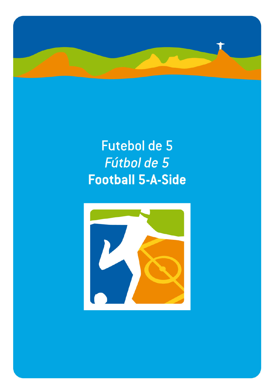

# **Futebol de 5 Fútbol de 5 Football 5-A-Side**

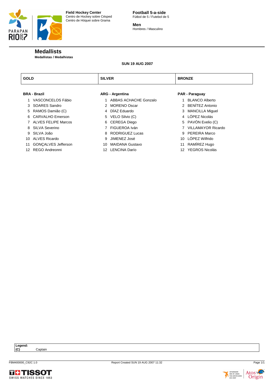



**Men** Hombres / Masculino

# **Medallists**

**Medallistas / Medalhistas**

# **SUN 19 AUG 2007**

| <b>GOLD</b>     |                            | <b>SILVER</b>   |                        |                 | <b>BRONZE</b>             |  |  |  |
|-----------------|----------------------------|-----------------|------------------------|-----------------|---------------------------|--|--|--|
|                 | <b>BRA - Brazil</b>        |                 | <b>ARG - Argentina</b> |                 | PAR - Paraguay            |  |  |  |
|                 | VASCONCELOS Fábio          |                 | ABBAS ACHACHE Gonzalo  |                 | <b>BLANCO Alberto</b>     |  |  |  |
|                 | 3 SOARES Sandro            |                 | 2 MORENO Oscar         |                 | 2 BENÍTEZ Antonio         |  |  |  |
| 5               | RAMOS Damião (C)           |                 | 4 DÍAZ Eduardo         |                 | 3 MANCILLA Miquel         |  |  |  |
| 6               | CARVALHO Emerson           |                 | 5 VELO Silvio (C)      |                 | 4 LÓPEZ Nicolás           |  |  |  |
|                 | ALVES FELIPE Marcos        |                 | 6 CEREGA Diego         |                 | 5 PAVÓN Evelio (C)        |  |  |  |
|                 | 8 SILVA Severino           |                 | FIGUEROA Iván          |                 | <b>VILLAMAYOR Ricardo</b> |  |  |  |
| 9               | SILVA João                 | 8               | <b>RODRIGUEZ Lucas</b> |                 | PEREIRA Marco             |  |  |  |
| 10.             | ALVES Ricardo              | 9.              | JIMENEZ José           |                 | 10 LÓPEZ Wilfrido         |  |  |  |
| 11              | <b>GONÇALVES Jefferson</b> | 10.             | <b>MAIDANA Gustavo</b> |                 | 11 RAMÍREZ Hugo           |  |  |  |
| 12 <sup>7</sup> | REGO Andreonni             | 12 <sup>7</sup> | LENCINA Darío          | 12 <sup>°</sup> | <b>YEGROS Nicolás</b>     |  |  |  |

**Legend: (C)** Captain



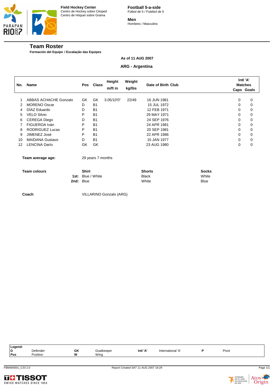

# **Team Roster**

**Formación del Equipo / Escalação das Equipes**

**As of 11 AUG 2007**

#### **ARG - Argentina**

| No. | Name                   |      | Pos          | <b>Class</b>      | Height<br>m/ft in | Weight<br>kg/lbs | Date of Birth Club |              |          | Intl 'A'<br><b>Matches</b><br>Caps Goals |
|-----|------------------------|------|--------------|-------------------|-------------------|------------------|--------------------|--------------|----------|------------------------------------------|
|     |                        |      |              |                   |                   |                  |                    |              |          |                                          |
| 1   | ABBAS ACHACHE Gonzalo  |      | <b>GK</b>    | GK                | 3.05/10'0"        | 22/49            | 16 JUN 1981        |              | 0        | 0                                        |
| 2   | <b>MORENO Oscar</b>    |      | D            | <b>B1</b>         |                   |                  | 15 JUL 1972        |              | $\Omega$ | 0                                        |
| 4   | DÍAZ Eduardo           |      | D            | <b>B1</b>         |                   |                  | 12 FEB 1971        |              | 0        | 0                                        |
| 5   | <b>VELO Silvio</b>     |      | P            | B <sub>1</sub>    |                   |                  | 29 MAY 1971        |              | 0        | 0                                        |
| 6   | <b>CEREGA Diego</b>    |      | D            | <b>B1</b>         |                   |                  | 24 SEP 1976        |              | 0        | 0                                        |
| 7   | FIGUEROA Iván          |      | P            | <b>B1</b>         |                   |                  | 24 APR 1981        |              | 0        | 0                                        |
| 8   | <b>RODRIGUEZ Lucas</b> |      | P            | <b>B1</b>         |                   |                  | 20 SEP 1981        |              | 0        | 0                                        |
| 9   | JIMENEZ José           |      | P            | <b>B1</b>         |                   |                  | 22 APR 1986        |              | 0        | 0                                        |
| 10  | <b>MAIDANA Gustavo</b> |      | D            | <b>B1</b>         |                   |                  | 15 JAN 1977        |              | 0        | 0                                        |
| 12  | <b>LENCINA Darío</b>   |      | GK           | GK                |                   |                  | 23 AUG 1980        |              | 0        | $\mathbf 0$                              |
|     | Team average age:      |      |              | 29 years 7 months |                   |                  |                    |              |          |                                          |
|     | <b>Team colours</b>    |      | <b>Shirt</b> |                   |                   |                  | <b>Shorts</b>      | <b>Socks</b> |          |                                          |
|     |                        | 1st: |              | Blue / White      |                   |                  | <b>Black</b>       | White        |          |                                          |
|     |                        |      | 2nd: Blue    |                   |                   |                  | White              | <b>Blue</b>  |          |                                          |

**Coach** VILLARINO Gonzalo (ARG)

| .eaend: |               |         |                      |                                                 |               |       |
|---------|---------------|---------|----------------------|-------------------------------------------------|---------------|-------|
| I D     | Defender<br>. | GK      | Goalkeeper<br>$\sim$ | Intl 'A'<br>the contract of the contract of the | International | Pivot |
| Pos     | Position      | W<br>., | Wing                 |                                                 |               |       |



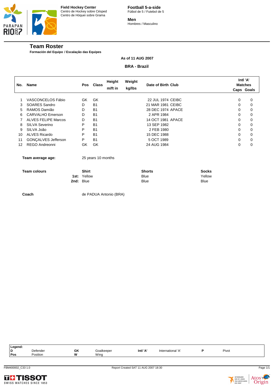

# **Team Roster**

**Formación del Equipo / Escalação das Equipes**

**As of 11 AUG 2007**

**BRA - Brazil**

| No. | Name                       |     | Pos Class          | Height<br>m/ft in | Weight<br>kg/lbs | Date of Birth Club |          | Intl 'A'<br><b>Matches</b><br>Caps Goals |
|-----|----------------------------|-----|--------------------|-------------------|------------------|--------------------|----------|------------------------------------------|
|     |                            |     |                    |                   |                  |                    |          |                                          |
|     | VASCONCELOS Fábio          | GK. | GK.                |                   |                  | 22 JUL 1974 CEIBC  | 0        | 0                                        |
| 3   | <b>SOARES Sandro</b>       | D.  | <b>B1</b>          |                   |                  | 21 MAR 1981 CEIBC  | 0        | 0                                        |
| 5   | RAMOS Damião               | D   | <b>B1</b>          |                   |                  | 28 DEC 1974 APACE  | 0        | 0                                        |
| 6   | CARVALHO Emerson           | D   | B <sub>1</sub>     |                   |                  | 2 APR 1984         | 0        | 0                                        |
|     | <b>ALVES FELIPE Marcos</b> | D   | <b>B1</b>          |                   |                  | 14 OCT 1981 APACE  | 0        | 0                                        |
| 8   | <b>SILVA Severino</b>      | P   | <b>B1</b>          |                   |                  | 13 SEP 1982        | 0        | 0                                        |
| 9   | SILVA João                 | P   | <b>B1</b>          |                   |                  | 2 FEB 1980         | 0        | 0                                        |
| 10  | <b>ALVES Ricardo</b>       | P   | <b>B1</b>          |                   |                  | 15 DEC 1988        | 0        | 0                                        |
| 11  | <b>GONÇALVES Jefferson</b> | P   | <b>B1</b>          |                   |                  | 5 OCT 1989         | 0        | 0                                        |
| 12  | REGO Andreonni             | GK. | GK                 |                   |                  | 24 AUG 1984        | $\Omega$ | $\Omega$                                 |
|     | Team average age:          |     | 25 years 10 months |                   |                  |                    |          |                                          |

| Team colours | Shirt              | <b>Shorts</b> | <b>Socks</b> |
|--------------|--------------------|---------------|--------------|
|              | <b>1st: Yellow</b> | Blue          | Yellow       |
| 2nd: Blue    |                    | <b>Blue</b>   | <b>Blue</b>  |

**Coach** de PADUA Antonio (BRA)

| Legend: |                      |    |            |          |                                     |       |
|---------|----------------------|----|------------|----------|-------------------------------------|-------|
|         | Defender             | GK | Goalkeeper | Intl 'A' | $\cdots$<br>'nternational<br>Ē<br>, | Pivot |
| Pos     | $\cdots$<br>Position | W  | Wina       |          |                                     |       |



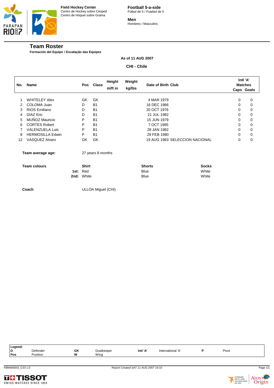

# **Team Roster**

**Formación del Equipo / Escalação das Equipes**

**As of 11 AUG 2007**

**CHI - Chile**

| No. | <b>Name</b>             |              | Pos Class         | Height<br>m/ft in | Weight<br>kg/lbs | Date of Birth Club             |              | Intl 'A' | <b>Matches</b><br>Caps Goals |
|-----|-------------------------|--------------|-------------------|-------------------|------------------|--------------------------------|--------------|----------|------------------------------|
| 1   | <b>WHITELEY Alex</b>    | GK.          | <b>GK</b>         |                   |                  | 4 MAR 1979                     |              | 0        | 0                            |
| 2   | COLOMA Juan             | D            | <b>B1</b>         |                   |                  | 16 DEC 1966                    |              | 0        | 0                            |
| 3   | RIOS Emiliano           | D            | <b>B1</b>         |                   |                  | 20 OCT 1976                    |              | 0        | 0                            |
| 4   | <b>DIAZ Eric</b>        | D            | <b>B1</b>         |                   |                  | 21 JUL 1982                    |              | 0        | 0                            |
| 5   | MUÑOZ Mauricio          | P            | <b>B1</b>         |                   |                  | 15 JUN 1979                    |              | 0        | 0                            |
| 6   | <b>CORTES Robert</b>    | P            | <b>B1</b>         |                   |                  | 7 OCT 1985                     |              | 0        | 0                            |
|     | <b>VALENZUELA Luis</b>  | P            | <b>B1</b>         |                   |                  | 28 JAN 1982                    |              | 0        | 0                            |
| 8   | <b>HERMOSILLA Edwin</b> | P            | <b>B1</b>         |                   |                  | 29 FEB 1980                    |              | 0        | 0                            |
| 12  | VASQUEZ Alvaro          | GK.          | GK                |                   |                  | 19 AUG 1983 SELECCION NACIONAL |              | 0        | 0                            |
|     | Team average age:       |              | 27 years 8 months |                   |                  |                                |              |          |                              |
|     | <b>Team colours</b>     | <b>Shirt</b> |                   |                   |                  | <b>Shorts</b>                  | <b>Socks</b> |          |                              |
|     |                         | 1st: Red     |                   |                   |                  | <b>Blue</b>                    | White        |          |                              |
|     | 2nd:                    | White        |                   |                   |                  | Blue                           | White        |          |                              |
|     |                         |              |                   |                   |                  |                                |              |          |                              |

**Coach** ULLOA Miguel (CHI)

| Legend: |               |    |            |          |                                           |       |
|---------|---------------|----|------------|----------|-------------------------------------------|-------|
|         | $D$ efender   | GK | :aalkaanar | Intl 'A' | $\cdot$ $\cdot$<br>Inte<br>. 12 P<br>нашо | Pivot |
| Pos     | .<br>Position |    | Wina       |          |                                           |       |



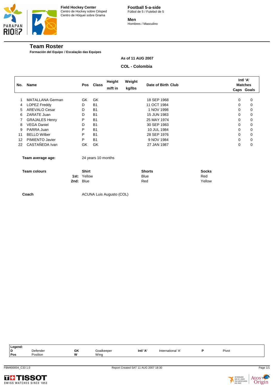

# **Team Roster**

**Formación del Equipo / Escalação das Equipes**

**As of 11 AUG 2007**

**COL - Colombia**

| No. | Name                    |      |                        | Pos Class          | Height<br>m/ft in | Weight<br>kg/lbs | Date of Birth Club           |                     |          | Intl 'A'<br><b>Matches</b> |
|-----|-------------------------|------|------------------------|--------------------|-------------------|------------------|------------------------------|---------------------|----------|----------------------------|
|     |                         |      |                        |                    |                   |                  |                              |                     |          | Caps Goals                 |
| 1   | <b>MATALLANA German</b> |      | GK                     | GK                 |                   |                  | 18 SEP 1968                  |                     | 0        | 0                          |
| 4   | <b>LOPEZ Freddy</b>     |      | D                      | <b>B1</b>          |                   |                  | 11 OCT 1984                  |                     | 0        | 0                          |
| 5   | <b>AREVALO Cesar</b>    |      | D                      | <b>B1</b>          |                   |                  | 1 NOV 1998                   |                     | $\Omega$ | 0                          |
| 6   | ZARATE Juan             |      | D                      | <b>B1</b>          |                   |                  | 15 JUN 1983                  |                     | 0        | 0                          |
|     | <b>GRAJALES Henry</b>   |      | P                      | <b>B1</b>          |                   |                  | 25 MAY 1974                  |                     | 0        | 0                          |
| 8   | <b>VEGA Daniel</b>      |      | D                      | <b>B1</b>          |                   |                  | 30 SEP 1983                  |                     | 0        | 0                          |
| 9   | PARRA Juan              |      | P                      | <b>B1</b>          |                   |                  | 10 JUL 1984                  |                     | $\Omega$ | 0                          |
| 11  | <b>BELLO Wilber</b>     |      | P                      | <b>B1</b>          |                   |                  | 28 SEP 1976                  |                     | 0        | 0                          |
| 12  | PIMIENTO Javier         |      | P                      | <b>B1</b>          |                   |                  | 9 NOV 1984                   |                     | 0        | 0                          |
| 22  | CASTAÑEDA Ivan          |      | GK                     | GK                 |                   |                  | 27 JAN 1987                  |                     | 0        | 0                          |
|     | Team average age:       |      |                        | 24 years 10 months |                   |                  |                              |                     |          |                            |
|     | <b>Team colours</b>     | 1st: | <b>Shirt</b><br>Yellow |                    |                   |                  | <b>Shorts</b><br><b>Blue</b> | <b>Socks</b><br>Red |          |                            |
|     |                         |      | 2nd: Blue              |                    |                   |                  | Red                          | Yellow              |          |                            |

**Coach** ACUNA Luis Augusto (COL)

| .egend. |                      |             |          |          |                                     |       |  |
|---------|----------------------|-------------|----------|----------|-------------------------------------|-------|--|
|         | Defender             | GK          | alkeeper | lntl '♪' | .<br>ntornational<br>$\overline{a}$ | Pivot |  |
| Pos     | $\cdots$<br>Position | <b>A</b> 45 | Wina     |          |                                     |       |  |



INTEGRADOR<br>DOS XV JOGOS<br>PAN-AMERICANOS<br>RIO 2007

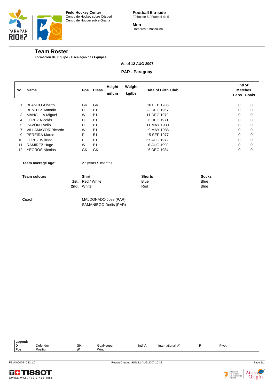

**Football 5-a-side** Fútbol de 5 / Futebol de 5

**Men** Hombres / Masculino

# **Team Roster**

**Formación del Equipo / Escalação das Equipes**

#### **As of 12 AUG 2007**

# **PAR - Paraguay**

| No.             | Name                      |           | Pos Class         | Height<br>m/ft in | Weight<br>kg/lbs | Date of Birth Club |          | Intl 'A'<br><b>Matches</b> |
|-----------------|---------------------------|-----------|-------------------|-------------------|------------------|--------------------|----------|----------------------------|
|                 |                           |           |                   |                   |                  |                    |          | Caps Goals                 |
| 1               | <b>BLANCO Alberto</b>     | <b>GK</b> | GK                |                   |                  | 10 FEB 1985        | 0        | 0                          |
| 2               | <b>BENÍTEZ Antonio</b>    | D         | <b>B1</b>         |                   |                  | 23 DEC 1967        | 0        | 0                          |
| 3               | <b>MANCILLA Miguel</b>    | W         | <b>B1</b>         |                   |                  | 11 DEC 1979        | 0        | 0                          |
| 4               | LÓPEZ Nicolás             | D         | <b>B1</b>         |                   |                  | 6 DEC 1971         | 0        | 0                          |
| 5               | PAVÓN Evelio              | D         | <b>B1</b>         |                   |                  | 11 MAY 1980        | 0        | 0                          |
|                 | <b>VILLAMAYOR Ricardo</b> | W         | <b>B1</b>         |                   |                  | 9 MAY 1985         | 0        | 0                          |
| 9               | PEREIRA Marco             | P         | <b>B1</b>         |                   |                  | 15 SEP 1977        | 0        | 0                          |
| 10 <sup>1</sup> | LÓPEZ Wilfrido            | P         | <b>B1</b>         |                   |                  | 27 AUG 1972        | 0        | 0                          |
| 11              | RAMÍREZ Hugo              | W         | <b>B1</b>         |                   |                  | 6 AUG 1990         | $\Omega$ | 0                          |
| 12              | <b>YEGROS Nicolás</b>     | GK        | GK                |                   |                  | 6 DEC 1984         | 0        | 0                          |
|                 | Team average age:         |           | 27 years 5 months |                   |                  |                    |          |                            |

| <b>Team colours</b> | <b>Shirt</b>            | <b>Shorts</b> | <b>Socks</b> |
|---------------------|-------------------------|---------------|--------------|
|                     | <b>1st:</b> Red / White | <b>Blue</b>   | Blue         |
|                     | 2nd: White              | Red           | Blue         |
|                     |                         |               |              |

**Coach** MALDONADO Jose (PAR) SAMANIEGO Derlis (PAR)

| Legend: |                      |    |           |                                                |                          |       |
|---------|----------------------|----|-----------|------------------------------------------------|--------------------------|-------|
| п.      | efender <sup>-</sup> | GK | oalkeeper | Intl 'A<br>the contract of the contract of the | $\cdots$<br>nternational | Pivot |
| Pos     | Position             | W  | Wing      |                                                |                          |       |
|         |                      |    |           |                                                |                          |       |



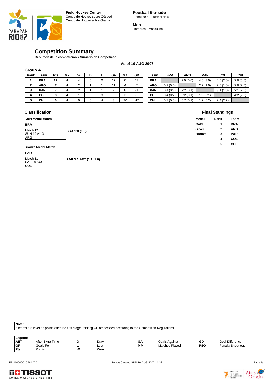

**Football 5-a-side** Fútbol de 5 / Futebol de 5

**Men** Hombres / Masculino

# **Competition Summary**

**Resumen de la competición / Sumário da Competição**

#### **As of 19 AUG 2007**

| <b>Group A</b> |            |     |           |   |   |   |    |    |       |            |            |            |            |          |          |
|----------------|------------|-----|-----------|---|---|---|----|----|-------|------------|------------|------------|------------|----------|----------|
| Rank           | Team       | Pts | <b>MP</b> | W | D |   | GF | GΑ | GD    | Team       | <b>BRA</b> | <b>ARG</b> | <b>PAR</b> | COL      | CHI      |
|                | <b>BRA</b> | 12  | 4         |   | 0 |   | 17 |    | 17    | <b>BRA</b> |            | 2:0(0:0)   | 4:0(3:0)   | 4:0(2:0) | 7:0(5:0) |
| 2              | <b>ARG</b> |     | 4         | C |   |   |    | 4  |       | <b>ARG</b> | 0:2(0:0)   |            | 2:2(1:0)   | 2:0(1:0) | 7:0(2:0) |
| 3              | <b>PAR</b> |     | 4         | C |   |   |    |    | ÷     | <b>PAR</b> | 0:4(0:3)   | 2:2(0:1)   |            | 3:1(1:0) | 2:1(2:0) |
| 4              | COL        | 3   | 4         |   | 0 |   | 5  | 11 | -6    | <b>COL</b> | 0:4(0:2)   | 0:2(0:1)   | 1:3(0:1)   |          | 4:2(2:2) |
| 5              | <b>CHI</b> | 0   | 4         |   |   | 4 | ◠  | 20 | $-17$ | CHI        | 0:7(0:5)   | 0:7(0:2)   | 1:2(0:2)   | 2:4(2:2) |          |

#### **Classification**

#### **Gold Medal Match**

**BRA**

| Match 12   | BRA 1:0 (0:0) |
|------------|---------------|
| SUN 19 AUG |               |
| ARG        |               |

#### **Bronze Medal Match**

**PAR**

| Match 11   | PAR 3:1 AET (1:1, 1:0) |
|------------|------------------------|
| SAT 18 AUG |                        |
| COL        |                        |

**Note:**

If teams are level on points after the first stage, ranking will be decided according to the Competition Regulations.

| Legend:    |                  |     |       |           |                       |            |                        |  |  |  |  |  |
|------------|------------------|-----|-------|-----------|-----------------------|------------|------------------------|--|--|--|--|--|
| <b>AET</b> | After Extra Time |     | Drawn | GΑ        | Goals Against         | GD         | <b>Goal Difference</b> |  |  |  |  |  |
| <b>GF</b>  | Goals For        |     | Lost  | <b>MP</b> | <b>Matches Played</b> | <b>PSO</b> | Penalty Shoot-out      |  |  |  |  |  |
| <b>Pts</b> | Points           | 181 | Won   |           |                       |            |                        |  |  |  |  |  |





**Final Standings Medal Rank Team Gold 1 BRA Silver 2 ARG Bronze 3 PAR**

> **4 COL 5 CHI**

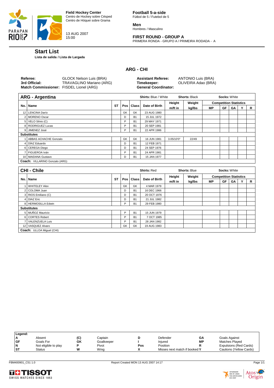

13 AUG 2007 15:00

**Football 5-a-side** Fútbol de 5 / Futebol de 5

**Men** Hombres / Masculino

# **FIRST ROUND - GROUP A**

PRIMERA RONDA - GRUPO A / PRIMEIRA RODADA - A

# **Start List**

**Lista de salida / Lista de Largada**

# **ARG - CHI**

| Referee:                                | GLOCK Nelson Luis (BRA)  | <b>Assistant Referee:</b>   | ANTONIO Luis (BRA)  |
|-----------------------------------------|--------------------------|-----------------------------|---------------------|
| 3rd Official:                           | TRAVAGLINO Mariano (ARG) | Timekeeper:                 | OLIVEIRA Adao (BRA) |
| Match Commissioner: FISDEL Lionel (ARG) |                          | <b>General Coordinator:</b> |                     |
|                                         |                          |                             |                     |

| <b>ARG - Argentina</b>         |    |    |             | <b>Shirts: Blue / White</b> |            | <b>Shorts: Black</b> | Socks: White |                               |    |  |   |
|--------------------------------|----|----|-------------|-----------------------------|------------|----------------------|--------------|-------------------------------|----|--|---|
|                                |    |    |             |                             | Height     | Weight               |              | <b>Competition Statistics</b> |    |  |   |
| No.   Name                     | ST |    | Pos   Class | Date of Birth               | m/ft in    | kg/lbs               | <b>MP</b>    | GF                            | GΑ |  | R |
| 12 LENCINA Darío               |    | GK | GK          | 23 AUG 1980                 |            |                      |              |                               |    |  |   |
| 2   MORENO Oscar               |    | D  | <b>B1</b>   | 15 JUL 1972                 |            |                      |              |                               |    |  |   |
| 5 VELO Silvio (C)              |    | P  | <b>B1</b>   | 29 MAY 1971                 |            |                      |              |                               |    |  |   |
| 8   RODRIGUEZ Lucas            |    | P  | <b>B1</b>   | 20 SEP 1981                 |            |                      |              |                               |    |  |   |
| 9 JIMENEZ José                 |    | P  | <b>B1</b>   | 22 APR 1986                 |            |                      |              |                               |    |  |   |
| <b>Substitutes</b>             |    |    |             |                             |            |                      |              |                               |    |  |   |
| ABBAS ACHACHE Gonzalo          |    | GK | GK          | 16 JUN 1981                 | 3.05/10'0" | 22/49                |              |                               |    |  |   |
| 4 DÍAZ Eduardo                 |    | D  | <b>B1</b>   | 12 FEB 1971                 |            |                      |              |                               |    |  |   |
| 6 CEREGA Diego                 |    | D  | <b>B1</b>   | 24 SEP 1976                 |            |                      |              |                               |    |  |   |
| 7 FIGUEROA Iván                |    | P  | <b>B1</b>   | 24 APR 1981                 |            |                      |              |                               |    |  |   |
| 10 MAIDANA Gustavo             |    | D  | <b>B1</b>   | 15 JAN 1977                 |            |                      |              |                               |    |  |   |
| Coach: VILLARINO Gonzalo (ARG) |    |    |             |                             |            |                      |              |                               |    |  |   |

|     | <b>CHI - Chile</b>        |           |             |           | <b>Shirts: Red</b> | <b>Shorts: Blue</b> |        | <b>Socks: White</b> |    |                               |  |   |
|-----|---------------------------|-----------|-------------|-----------|--------------------|---------------------|--------|---------------------|----|-------------------------------|--|---|
|     |                           |           |             |           |                    | Height              | Weight |                     |    | <b>Competition Statistics</b> |  |   |
| No. | <b>Name</b>               | <b>ST</b> | Pos   Class |           | Date of Birth      | m/ft in             | kg/lbs | MР                  | GF | GA                            |  | R |
|     | <b>WHITELEY Alex</b>      |           | GK          | GK        | 4 MAR 1979         |                     |        |                     |    |                               |  |   |
|     | 2 COLOMA Juan             |           | D           | <b>B1</b> | 16 DEC 1966        |                     |        |                     |    |                               |  |   |
|     | 3 RIOS Emiliano (C)       |           | D           | <b>B1</b> | 20 OCT 1976        |                     |        |                     |    |                               |  |   |
|     | 4 DIAZ Eric               |           | D           | <b>B1</b> | 21 JUL 1982        |                     |        |                     |    |                               |  |   |
|     | 8 HERMOSILLA Edwin        |           | P           | <b>B1</b> | 29 FEB 1980        |                     |        |                     |    |                               |  |   |
|     | <b>Substitutes</b>        |           |             |           |                    |                     |        |                     |    |                               |  |   |
|     | 5 MUÑOZ Mauricio          |           | P           | <b>B1</b> | 15 JUN 1979        |                     |        |                     |    |                               |  |   |
|     | 6 CORTES Robert           |           | P           | <b>B1</b> | 7 OCT 1985         |                     |        |                     |    |                               |  |   |
|     | VALENZUELA Luis           |           | D           | <b>B1</b> | 28 JAN 1982        |                     |        |                     |    |                               |  |   |
|     | 12 VASQUEZ Alvaro         |           | GK          | GK        | 19 AUG 1983        |                     |        |                     |    |                               |  |   |
|     | Coach: ULLOA Miguel (CHI) |           |             |           |                    |                     |        |                     |    |                               |  |   |

| Legend:   |                      |     |            |     |                               |    |                         |
|-----------|----------------------|-----|------------|-----|-------------------------------|----|-------------------------|
|           | Absent               | (C) | Captain    |     | Defender                      | GΑ | Goals Against           |
| GF        | Goals For            | GK  | Goalkeeper |     | Injured                       | МP | Matches Played          |
|           | Not eligible to play |     | Pivot      | Pos | Position                      |    | Expulsions (Red Cards)  |
| <b>ST</b> | Status               |     | Wina       |     | Misses next match if booked Y |    | Cautions (Yellow Cards) |
|           |                      |     |            |     |                               |    |                         |





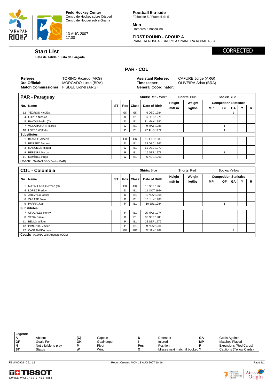

13 AUG 2007 17:00

**Football 5-a-side** Fútbol de 5 / Futebol de 5

**Men** Hombres / Masculino

# **FIRST ROUND - GROUP A**

PRIMERA RONDA - GRUPO A / PRIMEIRA RODADA - A

**CORRECTED** 

**Start List**

**Lista de salida / Lista de Largada**

**PAR - COL**

| Referee:                                | TORINO Ricardo (ARG) | <b>Assistant Referee:</b>   | CAFURE Jorge (ARG)  |
|-----------------------------------------|----------------------|-----------------------------|---------------------|
| 3rd Official:                           | MORGADO Lucio (BRA)  | Timekeeper:                 | OLIVEIRA Adao (BRA) |
| Match Commissioner: FISDEL Lionel (ARG) |                      | <b>General Coordinator:</b> |                     |
|                                         |                      |                             |                     |

**PAR - Paraguay Shirts:** Red / White **Shorts:** Blue **Socks:** Blue **No. Name ST Pos Class Date of Birth Height Weight Competition Statistics m/ft in kg/lbs MP GF GA Y R** 12 YEGROS Nicolás (CONSTRUCTURE CONSTRUCTED AND THE CONSTRUCTION OF A LOCAL CONSTRUCTION OF A LOCAL CONSTRUCTION OF A LOCAL CONSTRUCTION OF A LOCAL CONSTRUCTION OF A LOCAL CONSTRUCTION OF A LOCAL CONSTRUCTION OF A LOCAL CO 4 LÓPEZ Nicolás **DEC 1971 D** B1 6 DEC 1971 5 PAVÓN Evelio (C)<br>
7 VILLAMAYOR Ricardo<br>
7 VILLAMAYOR Ricardo<br>
2 D B1 9 MAY 1985 7 VILLAMAYOR Ricardo 11 W B1 9 MAY 1985 10 LÓPEZ Wilfrido P B1 27 AUG 1972 1 **Substitutes** 1 BLANCO Alberto GK GK 10 FEB 1985 2 BENÍTEZ Antonio 2002 DEC 1967 3 MANCILLA Miguel W B1 11 DEC 1979 9 PEREIRA Marco 2008 | P B1 | 15 SEP 1977 | | | | | | | 1 11 RAMÍREZ Hugo W B1 6 AUG 1990 **Coach:** SAMANIEGO Derlis (PAR)

|     | <b>COL - Colombia</b>           |           |    |             | <b>Shirts: Blue</b> | <b>Shorts: Red</b> |        | <b>Socks: Yellow</b> |                               |    |  |   |
|-----|---------------------------------|-----------|----|-------------|---------------------|--------------------|--------|----------------------|-------------------------------|----|--|---|
|     |                                 |           |    |             |                     | Height             | Weight |                      | <b>Competition Statistics</b> |    |  |   |
| No. | <b>Name</b>                     | <b>ST</b> |    | Pos   Class | Date of Birth       | m/ft in            | kg/lbs | MР                   | GF                            | GA |  | R |
|     | MATALLANA German (C)            |           | GK | GK          | 18 SEP 1968         |                    |        |                      |                               |    |  |   |
|     | 4 LOPEZ Freddy                  |           | D  | <b>B1</b>   | 11 OCT 1984         |                    |        |                      |                               |    |  |   |
|     | 5 AREVALO Cesar                 |           | D  | <b>B1</b>   | 1 NOV 1998          |                    |        |                      |                               |    |  |   |
|     | 6 ZARATE Juan                   |           | D  | <b>B1</b>   | 15 JUN 1983         |                    |        |                      |                               |    |  |   |
|     | 9 PARRA Juan                    |           | P  | <b>B1</b>   | 10 JUL 1984         |                    |        |                      |                               |    |  |   |
|     | <b>Substitutes</b>              |           |    |             |                     |                    |        |                      |                               |    |  |   |
|     | 7 GRAJALES Henry                |           | P  | <b>B1</b>   | 25 MAY 1974         |                    |        |                      |                               |    |  |   |
|     | 8 VEGA Daniel                   |           | D  | <b>B1</b>   | 30 SEP 1983         |                    |        |                      |                               |    |  |   |
|     | <b>BELLO Wilber</b>             |           | P  | <b>B1</b>   | 28 SEP 1976         |                    |        |                      |                               |    |  |   |
|     | 12 PIMIENTO Javier              |           | P  | <b>B1</b>   | 9 NOV 1984          |                    |        |                      |                               |    |  |   |
|     | 22 CASTAÑEDA Ivan               |           | GK | GK          | 27 JAN 1987         |                    |        |                      |                               | 3  |  |   |
|     | Coach: ACUNA Luis Augusto (COL) |           |    |             |                     |                    |        |                      |                               |    |  |   |

| Legend:   |                      |    |            |     |                               |    |                         |
|-----------|----------------------|----|------------|-----|-------------------------------|----|-------------------------|
| А         | Absent               | u  | Captain    |     | Defender                      | GΑ | Goals Against           |
| <b>GF</b> | Goals For            | GK | Goalkeeper |     | Injured                       | МP | Matches Played          |
| N         | Not eligible to play |    | Pivot      | Pos | Position                      |    | Expulsions (Red Cards)  |
| <b>ST</b> | <b>Status</b>        |    | Wing       |     | Misses next match if booked Y |    | Cautions (Yellow Cards) |
|           |                      |    |            |     |                               |    |                         |



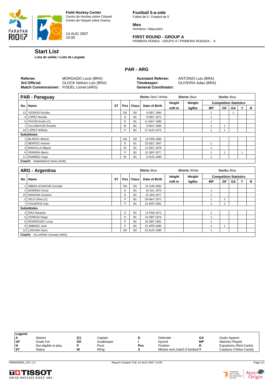

14 AUG 2007 15:00

**Football 5-a-side** Fútbol de 5 / Futebol de 5

**Men** Hombres / Masculino

# **FIRST ROUND - GROUP A**

PRIMERA RONDA - GRUPO A / PRIMEIRA RODADA - A

# **Start List**

**Lista de salida / Lista de Largada**

# **PAR - ARG**

| Referee:<br>3rd Official:<br>Match Commissioner: FISDEL Lionel (ARG) | MORGADO Lucio (BRA)<br>GLOCK Nelson Luis (BRA) | <b>Assistant Referee:</b><br>Timekeeper:<br><b>General Coordinator:</b> | ANTONIO Luis (BRA)<br>OLIVEIRA Adao (BRA) |
|----------------------------------------------------------------------|------------------------------------------------|-------------------------------------------------------------------------|-------------------------------------------|
|                                                                      |                                                |                                                                         |                                           |

| <b>PAR - Paraguay</b>                |           |    |                | <b>Shirts: Red / White</b> | <b>Shorts: Blue</b> | Socks: Blue |                               |    |    |  |   |  |
|--------------------------------------|-----------|----|----------------|----------------------------|---------------------|-------------|-------------------------------|----|----|--|---|--|
| No. Name                             | <b>ST</b> |    | Pos   Class    | Date of Birth              | Height              | Weight      | <b>Competition Statistics</b> |    |    |  |   |  |
|                                      |           |    |                |                            | m/ft in             | kg/lbs      | <b>MP</b>                     | GF | GA |  | R |  |
| 12   YEGROS Nicolás                  |           | GK | GK             | 6 DEC 1984                 |                     |             |                               |    |    |  |   |  |
| 4 LÓPEZ Nicolás                      |           | D  | B <sub>1</sub> | 6 DEC 1971                 |                     |             |                               |    |    |  |   |  |
| 5 PAVÓN Evelio (C)                   |           | D  | B <sub>1</sub> | 11 MAY 1980                |                     |             |                               |    |    |  |   |  |
| 7 VILLAMAYOR Ricardo                 |           | W  | <b>B1</b>      | 9 MAY 1985                 |                     |             |                               |    |    |  |   |  |
| 10 LÓPEZ Wilfrido                    |           | P  | <b>B1</b>      | 27 AUG 1972                |                     |             |                               |    |    |  |   |  |
| <b>Substitutes</b>                   |           |    |                |                            |                     |             |                               |    |    |  |   |  |
| <b>BLANCO Alberto</b>                |           | GK | GK             | 10 FEB 1985                |                     |             |                               |    |    |  |   |  |
| 2 BENÍTEZ Antonio                    |           | D  | B <sub>1</sub> | 23 DEC 1967                |                     |             |                               |    |    |  |   |  |
| 3   MANCILLA Miquel                  |           | W  | B <sub>1</sub> | 11 DEC 1979                |                     |             |                               |    |    |  |   |  |
| 9 PEREIRA Marco                      |           | P  | B <sub>1</sub> | 15 SEP 1977                |                     |             |                               |    |    |  |   |  |
| 11 RAMÍREZ Hugo                      |           | W  | B <sub>1</sub> | 6 AUG 1990                 |                     |             |                               |    |    |  |   |  |
| <b>Coach: SAMANIEGO Derlis (PAR)</b> |           |    |                |                            |                     |             |                               |    |    |  |   |  |

|     | <b>ARG - Argentina</b>         |           |    |             | <b>Shirts: Blue</b> | <b>Shorts: White</b> |        | Socks: Blue                   |                |    |  |   |  |
|-----|--------------------------------|-----------|----|-------------|---------------------|----------------------|--------|-------------------------------|----------------|----|--|---|--|
|     |                                |           |    |             |                     | Height               | Weight | <b>Competition Statistics</b> |                |    |  |   |  |
| No. | <b>Name</b>                    | <b>ST</b> |    | Pos   Class | Date of Birth       | m/ft in              | kg/lbs | <b>MP</b>                     | GF             | GΑ |  | R |  |
|     | ABBAS ACHACHE Gonzalo          |           | GK | GK          | 16 JUN 1981         |                      |        |                               |                |    |  |   |  |
|     | <b>MORENO Oscar</b>            |           | D  | <b>B1</b>   | 15 JUL 1972         |                      |        |                               |                |    |  |   |  |
|     | 10 MAIDANA Gustavo             |           | D  | <b>B1</b>   | 15 JAN 1977         |                      |        |                               |                |    |  |   |  |
|     | 5 VELO Silvio (C)              |           | P  | <b>B1</b>   | 29 MAY 1971         |                      |        |                               | $\overline{2}$ |    |  |   |  |
|     | FIGUEROA Iván                  |           | P  | <b>B1</b>   | 24 APR 1981         |                      |        |                               | 3              |    |  |   |  |
|     | <b>Substitutes</b>             |           |    |             |                     |                      |        |                               |                |    |  |   |  |
|     | 4 DÍAZ Eduardo                 |           | D  | <b>B1</b>   | 12 FEB 1971         |                      |        |                               |                |    |  |   |  |
|     | 6 CEREGA Diego                 |           | D  | <b>B1</b>   | 24 SEP 1976         |                      |        |                               |                |    |  |   |  |
|     | 8   RODRIGUEZ Lucas            |           | D  | <b>B1</b>   | 20 SEP 1981         |                      |        |                               |                |    |  |   |  |
|     | JIMENEZ José                   |           | P  | <b>B1</b>   | 22 APR 1986         |                      |        |                               |                |    |  |   |  |
|     | 12 LENCINA Darío               |           | GK | GK          | 23 AUG 1980         |                      |        |                               |                |    |  |   |  |
|     | Coach: VILLARINO Gonzalo (ARG) |           |    |             |                     |                      |        |                               |                |    |  |   |  |

| Legend: |                      |    |            |     |                               |           |                         |
|---------|----------------------|----|------------|-----|-------------------------------|-----------|-------------------------|
|         | Absent               |    | Captain    |     | Defender                      | GΑ        | Goals Against           |
| ⊺GF     | Goals For            | GK | Goalkeeper |     | Injured                       | <b>MP</b> | Matches Played          |
| N       | Not eligible to play |    | Pivot      | Pos | Position                      |           | Expulsions (Red Cards)  |
| .ST     | <b>Status</b>        | w  | Wina       |     | Misses next match if booked Y |           | Cautions (Yellow Cards) |
|         |                      |    |            |     |                               |           |                         |





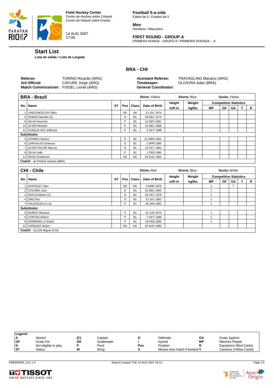

14 AUG 2007 17:00

**Football 5-a-side** Fútbol de 5 / Futebol de 5

**Men** Hombres / Masculino

# **FIRST ROUND - GROUP A**

PRIMERA RONDA - GRUPO A / PRIMEIRA RODADA - A

# **Start List**

**Lista de salida / Lista de Largada**

# **BRA - CHI**

| Referee:                                       | TORINO Ricardo (ARG) | <b>Assistant Referee:</b>   | TRAVAGLINO Mariano (ARG) |
|------------------------------------------------|----------------------|-----------------------------|--------------------------|
| 3rd Official:                                  | CAFURE Jorge (ARG)   | Timekeeper:                 | OLIVEIRA Adao (BRA)      |
| <b>Match Commissioner:</b> FISDEL Lionel (ARG) |                      | <b>General Coordinator:</b> |                          |

|     | <b>BRA - Brazil</b>           |    |       |              | <b>Shirts: Yellow</b> | <b>Shorts: Blue</b> |        | <b>Socks: Yellow</b>          |    |    |  |   |
|-----|-------------------------------|----|-------|--------------|-----------------------|---------------------|--------|-------------------------------|----|----|--|---|
|     |                               |    |       |              |                       | Height              | Weight | <b>Competition Statistics</b> |    |    |  |   |
| No. | <b>Name</b>                   | ST | Pos l | <b>Class</b> | Date of Birth         | m/ft in             | kg/lbs | МP                            | GF | GA |  | R |
|     | VASCONCELOS Fábio             |    | GK    | GK           | 22 JUL 1974           |                     |        |                               |    |    |  |   |
|     | 5 RAMOS Damião (C)            |    | D     | <b>B1</b>    | 28 DEC 1974           |                     |        |                               |    |    |  |   |
|     | 8 SILVA Severino              |    | P     | <b>B1</b>    | 13 SEP 1982           |                     |        |                               |    |    |  |   |
|     | 10 ALVES Ricardo              |    | P     | <b>B1</b>    | 15 DEC 1988           |                     |        |                               |    |    |  |   |
|     | 11 GONCALVES Jefferson        |    | P     | <b>B1</b>    | 5 OCT 1989            |                     |        |                               |    |    |  |   |
|     | <b>Substitutes</b>            |    |       |              |                       |                     |        |                               |    |    |  |   |
|     | SOARES Sandro                 |    | D     | <b>B1</b>    | 21 MAR 1981           |                     |        |                               |    |    |  |   |
|     | 6 CARVALHO Emerson            |    | D     | <b>B1</b>    | 2 APR 1984            |                     |        |                               |    |    |  |   |
|     | <b>ALVES FELIPE Marcos</b>    |    | D     | <b>B1</b>    | 14 OCT 1981           |                     |        |                               |    |    |  |   |
|     | 9 SILVA João                  |    | P     | <b>B1</b>    | 2 FEB 1980            |                     |        |                               |    |    |  |   |
|     | 12 REGO Andreonni             |    | GK    | GK           | 24 AUG 1984           |                     |        |                               |    |    |  |   |
|     | Coach: de PADUA Antonio (BRA) |    |       |              |                       |                     |        |                               |    |    |  |   |

|     | <b>CHI-Chile</b>          |           |    |             | <b>Shirts: Red</b> | <b>Shorts: Blue</b> |        | <b>Socks: White</b>           |    |                |  |   |
|-----|---------------------------|-----------|----|-------------|--------------------|---------------------|--------|-------------------------------|----|----------------|--|---|
|     |                           |           |    |             | Date of Birth      | Height              | Weight | <b>Competition Statistics</b> |    |                |  |   |
| No. | Name                      | <b>ST</b> |    | Pos   Class |                    | m/ft in             | kg/lbs | <b>MP</b>                     | GF | GA             |  | R |
|     | <b>WHITELEY Alex</b>      |           | GK | GK          | 4 MAR 1979         |                     |        |                               |    | $\overline{ }$ |  |   |
|     | 2 COLOMA Juan             |           | D  | <b>B1</b>   | 16 DEC 1966        |                     |        |                               |    |                |  |   |
|     | 3 RIOS Emiliano (C)       |           | D  | <b>B1</b>   | 20 OCT 1976        |                     |        |                               |    |                |  |   |
|     | 4 DIAZ Eric               |           | D  | <b>B1</b>   | 21 JUL 1982        |                     |        |                               |    |                |  |   |
|     | 7 VALENZUELA Luis         |           | Þ  | <b>B1</b>   | 28 JAN 1982        |                     |        |                               |    |                |  |   |
|     | <b>Substitutes</b>        |           |    |             |                    |                     |        |                               |    |                |  |   |
|     | 5 MUÑOZ Mauricio          |           | P  | <b>B1</b>   | 15 JUN 1979        |                     |        |                               |    |                |  |   |
|     | 6 CORTES Robert           |           | D  | <b>B1</b>   | 7 OCT 1985         |                     |        |                               |    |                |  |   |
|     | 8 HERMOSILLA Edwin        |           | Þ  | <b>B1</b>   | 29 FEB 1980        |                     |        |                               |    |                |  |   |
|     | 12 VASQUEZ Alvaro         |           | GK | GK          | 19 AUG 1983        |                     |        |                               |    |                |  |   |
|     | Coach: ULLOA Miguel (CHI) |           |    |             |                    |                     |        |                               |    |                |  |   |

| Legend:   |                      |     |            |     |                               |    |                         |
|-----------|----------------------|-----|------------|-----|-------------------------------|----|-------------------------|
|           | Absent               | (C) | Captain    |     | Defender                      | GΑ | Goals Against           |
| GF        | Goals For            | GK  | Goalkeeper |     | Injured                       | МP | Matches Played          |
|           | Not eligible to play |     | Pivot      | Pos | Position                      |    | Expulsions (Red Cards)  |
| <b>ST</b> | Status               |     | Wina       |     | Misses next match if booked Y |    | Cautions (Yellow Cards) |
|           |                      |     |            |     |                               |    |                         |



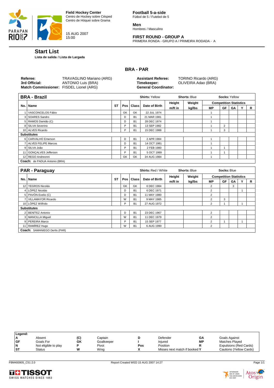

15 AUG 2007 15:00

**Football 5-a-side** Fútbol de 5 / Futebol de 5

**Men** Hombres / Masculino

# **FIRST ROUND - GROUP A**

PRIMERA RONDA - GRUPO A / PRIMEIRA RODADA - A

#### **Start List**

**Lista de salida / Lista de Largada**

# **BRA - PAR**

| DINA - DIGZIL                        |           |    |                | <b>UIIIII.</b> JUUW |         | סטוש. כווטווט |    | <b>UUUNJ.</b> LUUW            |           |   |
|--------------------------------------|-----------|----|----------------|---------------------|---------|---------------|----|-------------------------------|-----------|---|
|                                      |           |    |                |                     | Height  | Weight        |    | <b>Competition Statistics</b> |           |   |
| No. Name                             | <b>ST</b> |    | Pos Class      | Date of Birth       | m/ft in | kg/lbs        | MР | GF                            | <b>GA</b> | R |
| VASCONCELOS Fábio                    |           | GK | GK             | 22 JUL 1974         |         |               |    |                               |           |   |
| 3 SOARES Sandro                      |           | D  | B <sub>1</sub> | 21 MAR 1981         |         |               |    |                               |           |   |
| 5 RAMOS Damião (C)                   |           | D  | <b>B1</b>      | 28 DEC 1974         |         |               |    |                               |           |   |
| 8 SILVA Severino                     |           | P  | <b>B1</b>      | 13 SEP 1982         |         |               |    | $\overline{c}$                |           |   |
| 10 ALVES Ricardo                     |           | Þ  | <b>B1</b>      | 15 DEC 1988         |         |               |    | 3                             |           |   |
| <b>Substitutes</b>                   |           |    |                |                     |         |               |    |                               |           |   |
| 6 CARVALHO Emerson                   |           | D  | <b>B1</b>      | 2 APR 1984          |         |               |    |                               |           |   |
| 7 ALVES FELIPE Marcos                |           | D  | <b>B1</b>      | 14 OCT 1981         |         |               |    |                               |           |   |
| 9 SILVA João                         |           | Þ  | <b>B1</b>      | 2 FEB 1980          |         |               |    |                               |           |   |
| 11 GONCALVES Jefferson               |           | Þ  | <b>B1</b>      | 5 OCT 1989          |         |               |    |                               |           |   |
| 12 REGO Andreonni                    |           | GK | GK             | 24 AUG 1984         |         |               |    |                               |           |   |
| <b>Coach:</b> de PADUA Antonio (BRA) |           |    |                |                     |         |               |    |                               |           |   |

|                 | <b>PAR - Paraguay</b>                |           |    |             | <b>Shirts: Red / White</b> |         | <b>Shorts: Blue</b> |                               | Socks: Blue |    |  |   |
|-----------------|--------------------------------------|-----------|----|-------------|----------------------------|---------|---------------------|-------------------------------|-------------|----|--|---|
|                 |                                      |           |    |             | Date of Birth              | Height  | Weight              | <b>Competition Statistics</b> |             |    |  |   |
| No.             | <b>Name</b>                          | <b>ST</b> |    | Pos   Class |                            | m/ft in | kg/lbs              | МP                            | GF          | GA |  | R |
| 12 <sup>1</sup> | <b>YEGROS Nicolás</b>                |           | GK | GK          | 6 DEC 1984                 |         |                     | 2                             |             | 3  |  |   |
|                 | 4 LÓPEZ Nicolás                      |           | D  | <b>B1</b>   | 6 DEC 1971                 |         |                     | $\overline{2}$                |             |    |  |   |
|                 | 5 PAVÓN Evelio (C)                   |           | D  | <b>B1</b>   | 11 MAY 1980                |         |                     | $\overline{2}$                |             |    |  |   |
|                 | 7 VILLAMAYOR Ricardo                 |           | W  | <b>B1</b>   | 9 MAY 1985                 |         |                     | $\overline{2}$                | 3           |    |  |   |
|                 | 10 LÓPEZ Wilfrido                    |           | P  | <b>B1</b>   | 27 AUG 1972                |         |                     | 2                             |             |    |  |   |
|                 | <b>Substitutes</b>                   |           |    |             |                            |         |                     |                               |             |    |  |   |
|                 | BENÍTEZ Antonio                      |           | D  | <b>B1</b>   | 23 DEC 1967                |         |                     | $\overline{2}$                |             |    |  |   |
|                 | 3 MANCILLA Miquel                    |           | W  | <b>B1</b>   | 11 DEC 1979                |         |                     | $\overline{2}$                |             |    |  |   |
|                 | 9 PEREIRA Marco                      |           | P  | <b>B1</b>   | 15 SEP 1977                |         |                     | $\overline{2}$                |             |    |  |   |
|                 | 11 RAMÍREZ Hugo                      |           | W  | <b>B1</b>   | 6 AUG 1990                 |         |                     | 2                             |             |    |  |   |
|                 | <b>Coach: SAMANIEGO Derlis (PAR)</b> |           |    |             |                            |         |                     |                               |             |    |  |   |

Legend:<br>A<br>GF **A** Absent **(C)** Captain **D** Defender **GA** Goals Against **CO** Gaptain **C** Captain<br> **GF** Goals For **GK** Goalkeeper **I** Injured **MP** Matches Played<br> **GF** Goals For **GK** Goalkeeper I Injured **MP** Matches Played<br> **N** Not eligible to play **P** Pivot **Pos** Position R Expulsions (Red **N** Not eligible to play **P** Pivot **Pos** Position **R** Expulsions (Red Cards)<br> **Noteligible to play P** Pivot **Pos** Position **R** Expulsions (Red Cards)<br> **ST** Status **W** Wing X Misses next match if booked Y Cautions (Yellow C **X** Misses next match if booked Y





 $\overline{\phantom{a}}$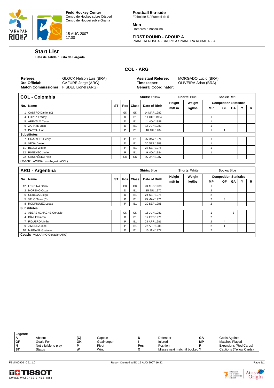

15 AUG 2007 17:00

**Football 5-a-side** Fútbol de 5 / Futebol de 5

**Men** Hombres / Masculino

# **FIRST ROUND - GROUP A**

PRIMERA RONDA - GRUPO A / PRIMEIRA RODADA - A

# **Start List**

**Lista de salida / Lista de Largada**

# **COL - ARG**

| <b>Referee:</b><br>3rd Official:<br>Match Commissioner: FISDEL Lionel (ARG) | <b>GLOCK Nelson Luis (BRA)</b><br>CAFURE Jorge (ARG) | <b>Assistant Referee:</b><br>Timekeeper:<br><b>General Coordinator:</b> | MORGADO Lucio (BRA)<br>OLIVEIRA Adao (BRA) |
|-----------------------------------------------------------------------------|------------------------------------------------------|-------------------------------------------------------------------------|--------------------------------------------|
|                                                                             |                                                      |                                                                         |                                            |

| <b>COL - Colombia</b>           |    |    |             | <b>Shirts: Yellow</b> |         | <b>Shorts: Blue</b> |           | Socks: Red                    |    |   |
|---------------------------------|----|----|-------------|-----------------------|---------|---------------------|-----------|-------------------------------|----|---|
|                                 |    |    |             |                       | Height  | Weight              |           | <b>Competition Statistics</b> |    |   |
| No.   Name                      | ST |    | Pos   Class | Date of Birth         | m/ft in | kg/lbs              | <b>MP</b> | GF                            | GΑ | R |
| CASTRO Daniel (C)               |    | GK | GK          | 14 MAR 1982           |         |                     |           |                               |    |   |
| 4 LOPEZ Freddy                  |    | D  | <b>B1</b>   | 11 OCT 1984           |         |                     |           |                               |    |   |
| 5 AREVALO Cesar                 |    | D  | <b>B1</b>   | 1 NOV 1998            |         |                     |           |                               |    |   |
| 6 ZARATE Juan                   |    | D  | <b>B1</b>   | 15 JUN 1983           |         |                     |           |                               |    |   |
| 9 PARRA Juan                    |    | P  | <b>B1</b>   | 10 JUL 1984           |         |                     |           |                               |    |   |
| <b>Substitutes</b>              |    |    |             |                       |         |                     |           |                               |    |   |
| 7 GRAJALES Henry                |    | P  | <b>B1</b>   | 25 MAY 1974           |         |                     |           |                               |    |   |
| 8 VEGA Daniel                   |    | D  | <b>B1</b>   | 30 SEP 1983           |         |                     |           |                               |    |   |
| 11 BELLO Wilber                 |    | P  | <b>B1</b>   | 28 SEP 1976           |         |                     |           |                               |    |   |
| 12 PIMIENTO Javier              |    | P  | <b>B1</b>   | 9 NOV 1984            |         |                     |           |                               |    |   |
| 22 CASTAÑEDA Ivan               |    | GK | GK          | 27 JAN 1987           |         |                     |           |                               |    |   |
| Coach: ACUNA Luis Augusto (COL) |    |    |             |                       |         |                     |           |                               |    |   |

|     | <b>ARG - Argentina</b>         |           |    |             | <b>Shirts: Blue</b> |         | <b>Shorts: White</b> |                | Socks: Blue                   |                |   |
|-----|--------------------------------|-----------|----|-------------|---------------------|---------|----------------------|----------------|-------------------------------|----------------|---|
|     |                                |           |    |             |                     | Height  | Weight               |                | <b>Competition Statistics</b> |                |   |
| No. | <b>Name</b>                    | <b>ST</b> |    | Pos   Class | Date of Birth       | m/ft in | kg/lbs               | <b>MP</b>      | GF                            | GΑ             | R |
|     | 12 LENCINA Darío               |           | GK | GK          | 23 AUG 1980         |         |                      |                |                               |                |   |
|     | <b>MORENO Oscar</b>            |           | D  | <b>B1</b>   | 15 JUL 1972         |         |                      | $\overline{2}$ |                               |                |   |
|     | 6 CEREGA Diego                 |           | D  | <b>B1</b>   | 24 SEP 1976         |         |                      | $\overline{2}$ |                               |                |   |
|     | 5 VELO Silvio (C)              |           | P  | <b>B1</b>   | 29 MAY 1971         |         |                      | $\overline{2}$ | 3                             |                |   |
|     | 8 RODRIGUEZ Lucas              |           | P  | <b>B1</b>   | 20 SEP 1981         |         |                      | 2              |                               |                |   |
|     | <b>Substitutes</b>             |           |    |             |                     |         |                      |                |                               |                |   |
|     | ABBAS ACHACHE Gonzalo          |           | GK | GK          | 16 JUN 1981         |         |                      |                |                               | $\overline{2}$ |   |
|     | 4 DÍAZ Eduardo                 |           | D  | <b>B1</b>   | 12 FEB 1971         |         |                      | 2              |                               |                |   |
|     | FIGUEROA Iván                  |           | P  | <b>B1</b>   | 24 APR 1981         |         |                      | $\overline{2}$ | 4                             |                |   |
| 9   | JIMENEZ José                   |           | P  | <b>B1</b>   | 22 APR 1986         |         |                      | 2              |                               |                |   |
|     | 10 MAIDANA Gustavo             |           | D  | <b>B1</b>   | 15 JAN 1977         |         |                      | $\overline{2}$ |                               |                |   |
|     | Coach: VILLARINO Gonzalo (ARG) |           |    |             |                     |         |                      |                |                               |                |   |

| Legend:   |                      |     |            |     |                               |    |                         |
|-----------|----------------------|-----|------------|-----|-------------------------------|----|-------------------------|
| ıА        | Absent               | (C) | Captain    |     | Defender                      | GΑ | Goals Against           |
| <b>GF</b> | Goals For            | GK  | Goalkeeper |     | Injured                       | МP | <b>Matches Plaved</b>   |
| N         | Not eligible to play |     | Pivot      | Pos | Position                      |    | Expulsions (Red Cards)  |
| <b>ST</b> | <b>Status</b>        | w   | Wina       |     | Misses next match if booked Y |    | Cautions (Yellow Cards) |
|           |                      |     |            |     |                               |    |                         |





٦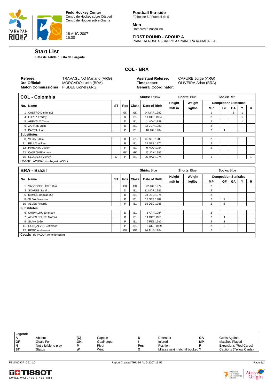

16 AUG 2007 15:00

**Football 5-a-side** Fútbol de 5 / Futebol de 5

**Men** Hombres / Masculino

# **FIRST ROUND - GROUP A**

PRIMERA RONDA - GRUPO A / PRIMEIRA RODADA - A

# **Start List**

**Lista de salida / Lista de Largada**

# **COL - BRA**

| ∣COL - Colombia                                                      |                                                 | <b>Shirts: Yellow</b>                                                   | <b>Shorts: Blue</b>                       | Socks: Red |
|----------------------------------------------------------------------|-------------------------------------------------|-------------------------------------------------------------------------|-------------------------------------------|------------|
| Referee:<br>3rd Official:<br>Match Commissioner: FISDEL Lionel (ARG) | TRAVAGLINO Mariano (ARG)<br>MORGADO Lucio (BRA) | <b>Assistant Referee:</b><br>Timekeeper:<br><b>General Coordinator:</b> | CAFURE Jorge (ARG)<br>OLIVEIRA Adao (BRA) |            |

| <b>UUL - UUIUIIIIII</b>                |           |    |             | <b>UIIIIW.</b> UIVI |         | vuvus. vuv |                | <b>000NJ.IVO</b>              |                |   |
|----------------------------------------|-----------|----|-------------|---------------------|---------|------------|----------------|-------------------------------|----------------|---|
|                                        |           |    |             |                     | Height  | Weight     |                | <b>Competition Statistics</b> |                |   |
| No.   Name                             | <b>ST</b> |    | Pos   Class | Date of Birth       | m/ft in | kg/lbs     | MР             | GF                            | GA             | R |
| CASTRO Daniel (C)                      |           | GK | GK          | 14 MAR 1982         |         |            |                |                               | $\overline{2}$ |   |
| 4 LOPEZ Freddy                         |           | D  | <b>B1</b>   | 11 OCT 1984         |         |            | $\overline{2}$ |                               |                |   |
| 5 AREVALO Cesar                        |           | D  | <b>B1</b>   | 1 NOV 1998          |         |            | 2              |                               |                |   |
| 6 ZARATE Juan                          |           | D  | <b>B1</b>   | 15 JUN 1983         |         |            | 2              |                               |                |   |
| 9 PARRA Juan                           |           | P  | <b>B1</b>   | 10 JUL 1984         |         |            | 2              |                               |                |   |
| <b>Substitutes</b>                     |           |    |             |                     |         |            |                |                               |                |   |
| 8 VEGA Daniel                          |           | D  | <b>B1</b>   | 30 SEP 1983         |         |            | 2              |                               |                |   |
| 11 BELLO Wilber                        |           | Þ  | <b>B1</b>   | 28 SEP 1976         |         |            | 2              |                               |                |   |
| 12 PIMIENTO Javier                     |           | P  | <b>B1</b>   | 9 NOV 1984          |         |            | $\overline{2}$ |                               |                |   |
| 22 CASTAÑEDA Ivan                      |           | GK | GK          | 27 JAN 1987         |         |            |                |                               |                |   |
| 10 GRAJALES Henry                      | Ν         | Þ  | <b>B1</b>   | 25 MAY 1974         |         |            |                |                               |                |   |
| <b>Coach:</b> ACUNA Luis Augusto (COL) |           |    |             |                     |         |            |                |                               |                |   |

|     | <b>BRA - Brazil</b>           |           |    |           | <b>Shirts: Blue</b> |         | <b>Shorts: Blue</b> |                | Socks: Blue    |                               |   |
|-----|-------------------------------|-----------|----|-----------|---------------------|---------|---------------------|----------------|----------------|-------------------------------|---|
|     |                               |           |    |           |                     | Height  | Weight              |                |                | <b>Competition Statistics</b> |   |
| No. | <b>Name</b>                   | <b>ST</b> |    | Pos Class | Date of Birth       | m/ft in | kg/lbs              | <b>MP</b>      | GF             | GA                            | R |
|     | VASCONCELOS Fábio             |           | GK | GK        | 22 JUL 1974         |         |                     | $\overline{2}$ |                |                               |   |
|     | SOARES Sandro                 |           | D  | <b>B1</b> | 21 MAR 1981         |         |                     | $\overline{2}$ |                |                               |   |
|     | 5 RAMOS Damião (C)            |           | D  | <b>B1</b> | 28 DEC 1974         |         |                     | 2              |                |                               |   |
|     | 8 SILVA Severino              |           | P  | <b>B1</b> | 13 SEP 1982         |         |                     | $\overline{2}$ | $\overline{2}$ |                               |   |
|     | 10 ALVES Ricardo              |           | P  | <b>B1</b> | 15 DEC 1988         |         |                     | $\overline{2}$ | 5              |                               |   |
|     | <b>Substitutes</b>            |           |    |           |                     |         |                     |                |                |                               |   |
|     | 6 CARVALHO Emerson            |           | D  | <b>B1</b> | 2 APR 1984          |         |                     | $\overline{2}$ |                |                               |   |
|     | 7 ALVES FELIPE Marcos         |           | D  | <b>B1</b> | 14 OCT 1981         |         |                     | 2              |                |                               |   |
|     | 9 SILVA João                  |           | P  | <b>B1</b> | 2 FEB 1980          |         |                     | 2              |                |                               |   |
|     | 11 GONCALVES Jefferson        |           | P  | <b>B1</b> | 5 OCT 1989          |         |                     | 2              | $\overline{2}$ |                               |   |
|     | 12 REGO Andreonni             |           | GK | GK        | 24 AUG 1984         |         |                     | $\overline{2}$ |                |                               |   |
|     | Coach: de PADUA Antonio (BRA) |           |    |           |                     |         |                     |                |                |                               |   |

| Legend:   |                      |     |            |     |                               |    |                         |
|-----------|----------------------|-----|------------|-----|-------------------------------|----|-------------------------|
|           | Absent               | (C) | Captain    |     | Defender                      | GΑ | Goals Against           |
| <b>GF</b> | Goals For            | GK  | Goalkeeper |     | Injured                       | МP | <b>Matches Played</b>   |
| N         | Not eligible to play |     | Pivot      | Pos | Position                      |    | Expulsions (Red Cards)  |
| .ST       | <b>Status</b>        | w   | Wina       | ۰.  | Misses next match if booked Y |    | Cautions (Yellow Cards) |
|           |                      |     |            |     |                               |    |                         |





 $\overline{\phantom{a}}$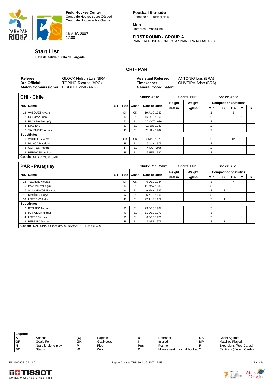

16 AUG 2007 17:00

**Football 5-a-side** Fútbol de 5 / Futebol de 5

**Men** Hombres / Masculino

# **FIRST ROUND - GROUP A**

PRIMERA RONDA - GRUPO A / PRIMEIRA RODADA - A

# **Start List**

**Lista de salida / Lista de Largada**

# **CHI - PAR**

| Referee:<br>3rd Official: | GLOCK Nelson Luis (BRA)<br>TORINO Ricardo (ARG) | <b>Assistant Referee:</b><br>Timekeeper: | ANTONIO Luis (BRA)<br>OLIVEIRA Adao (BRA) |
|---------------------------|-------------------------------------------------|------------------------------------------|-------------------------------------------|
|                           | Match Commissioner: FISDEL Lionel (ARG)         | <b>General Coordinator:</b>              |                                           |
|                           |                                                 |                                          |                                           |

|     | <b>CHI - Chile</b>               |           |    |             | <b>Shirts: White</b> |         | <b>Shorts: Blue</b> |                | <b>Socks: White</b>           |                |   |
|-----|----------------------------------|-----------|----|-------------|----------------------|---------|---------------------|----------------|-------------------------------|----------------|---|
|     |                                  |           |    |             |                      | Height  | Weight              |                | <b>Competition Statistics</b> |                |   |
| No. | <b>Name</b>                      | <b>ST</b> |    | Pos   Class | Date of Birth        | m/ft in | kg/lbs              | <b>MP</b>      | GF                            | GA             | R |
|     | 12 VASQUEZ Alvaro                |           | GK | GK          | 19 AUG 1983          |         |                     |                |                               | $\overline{2}$ |   |
|     | 2 COLOMA Juan                    |           | D  | <b>B1</b>   | 16 DEC 1966          |         |                     | 2              |                               |                |   |
|     | 3 RIOS Emiliano (C)              |           | D  | <b>B1</b>   | 20 OCT 1976          |         |                     | 2              |                               |                |   |
|     | 4 DIAZ Eric                      |           | D  | <b>B1</b>   | 21 JUL 1982          |         |                     | $\overline{2}$ |                               |                |   |
|     | 7 VALENZUELA Luis                |           | P  | <b>B1</b>   | 28 JAN 1982          |         |                     | 2              |                               |                |   |
|     | <b>Substitutes</b>               |           |    |             |                      |         |                     |                |                               |                |   |
|     | <b>WHITELEY Alex</b>             |           | GK | GK          | 4 MAR 1979           |         |                     | 2              |                               | 12             |   |
|     | 5 MUÑOZ Mauricio                 |           | P  | <b>B1</b>   | 15 JUN 1979          |         |                     | 2              |                               |                |   |
|     | 6 CORTES Robert                  |           | P  | <b>B1</b>   | 7 OCT 1985           |         |                     | $\overline{2}$ |                               |                |   |
|     | 8 HERMOSILLA Edwin               |           | P  | <b>B1</b>   | 29 FEB 1980          |         |                     | 2              |                               |                |   |
|     | <b>Coach:</b> ULLOA Miquel (CHI) |           |    |             |                      |         |                     |                |                               |                |   |

|     | <b>PAR - Paraguay</b>                               |           |    |             | <b>Shirts: Red / White</b> |         | <b>Shorts: Blue</b> |           | Socks: Blue                   |    |              |   |
|-----|-----------------------------------------------------|-----------|----|-------------|----------------------------|---------|---------------------|-----------|-------------------------------|----|--------------|---|
|     |                                                     |           |    |             |                            | Height  | Weight              |           | <b>Competition Statistics</b> |    |              |   |
| No. | <b>Name</b>                                         | <b>ST</b> |    | Pos   Class | Date of Birth              | m/ft in | kg/lbs              | <b>MP</b> | GF                            | GA | $\mathbf{v}$ | R |
| 12  | <b>YEGROS Nicolás</b>                               |           | GK | GK          | 6 DEC 1984                 |         |                     | 3         |                               |    |              |   |
|     | 5 PAVÓN Evelio (C)                                  |           | D  | <b>B1</b>   | 11 MAY 1980                |         |                     | 3         |                               |    |              |   |
|     | 7 VILLAMAYOR Ricardo                                |           | W  | <b>B1</b>   | 9 MAY 1985                 |         |                     | 3         | 3                             |    |              |   |
|     | 11 RAMÍREZ Hugo                                     |           | W  | <b>B1</b>   | 6 AUG 1990                 |         |                     | 3         |                               |    |              |   |
|     | 10 LÓPEZ Wilfrido                                   |           | P  | <b>B1</b>   | 27 AUG 1972                |         |                     | 3         |                               |    |              |   |
|     | <b>Substitutes</b>                                  |           |    |             |                            |         |                     |           |                               |    |              |   |
|     | BENÍTEZ Antonio                                     |           | D  | <b>B1</b>   | 23 DEC 1967                |         |                     | 3         |                               |    |              |   |
|     | 3 MANCILLA Miquel                                   |           | W  | <b>B1</b>   | 11 DEC 1979                |         |                     | 3         |                               |    |              |   |
|     | 4 LÓPEZ Nicolás                                     |           | D  | <b>B1</b>   | 6 DEC 1971                 |         |                     | 3         |                               |    |              |   |
|     | 9 PEREIRA Marco                                     |           | D  | <b>B1</b>   | 15 SEP 1977                |         |                     | 3         |                               |    |              |   |
|     | Conch: MALDONADO L.J. (DAD) (OMMANIFOO D.J.L. (DAD) |           |    |             |                            |         |                     |           |                               |    |              |   |

**Coach:** MALDONADO Jose (PAR) / SAMANIEGO Derlis (PAR)

| Legend:   |                      |     |            |     |                               |    |                               |
|-----------|----------------------|-----|------------|-----|-------------------------------|----|-------------------------------|
|           | Absent               | (C) | Captain    |     | Defender                      | GΑ | Goals Against                 |
| GF        | Goals For            | GK  | Goalkeeper |     | Injured                       | МP | Matches Played                |
|           | Not eligible to play |     | Pivot      | Pos | Position                      |    | <b>Expulsions (Red Cards)</b> |
| <b>ST</b> | <b>Status</b>        | w   | Wina       |     | Misses next match if booked Y |    | Cautions (Yellow Cards)       |
|           |                      |     |            |     |                               |    |                               |



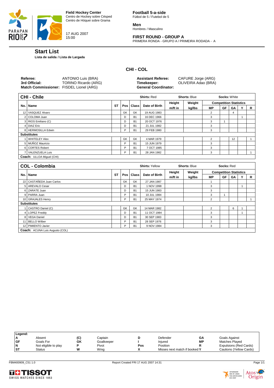

17 AUG 2007 15:00

**Football 5-a-side** Fútbol de 5 / Futebol de 5

**Men** Hombres / Masculino

# **FIRST ROUND - GROUP A**

PRIMERA RONDA - GRUPO A / PRIMEIRA RODADA - A

#### **Start List**

**Lista de salida / Lista de Largada**

# **CHI - COL**

| Match Commissioner: FISDEL Lionel (ARG)<br><b>General Coordinator:</b> |
|------------------------------------------------------------------------|
|------------------------------------------------------------------------|

| <b>CHI - Chile</b>        |           |    |             | <b>Shirts: Red</b> |         | <b>Shorts: Blue</b> |    | <b>Socks: White</b>           |    |   |
|---------------------------|-----------|----|-------------|--------------------|---------|---------------------|----|-------------------------------|----|---|
|                           |           |    |             |                    | Height  | Weight              |    | <b>Competition Statistics</b> |    |   |
| No. Name                  | <b>ST</b> |    | Pos   Class | Date of Birth      | m/ft in | kg/lbs              | МP | GF                            | GA | R |
| 12 VASQUEZ Alvaro         |           | GK | GK          | 19 AUG 1983        |         |                     | 2  |                               | 4  |   |
| 2 COLOMA Juan             |           | D  | <b>B1</b>   | 16 DEC 1966        |         |                     | 3  |                               |    |   |
| 3 RIOS Emiliano (C)       |           | D  | <b>B1</b>   | 20 OCT 1976        |         |                     | 3  |                               |    |   |
| 4 DIAZ Eric               |           | D  | <b>B1</b>   | 21 JUL 1982        |         |                     | 3  |                               |    |   |
| 8 HERMOSILLA Edwin        |           | Þ  | <b>B1</b>   | 29 FEB 1980        |         |                     | 3  |                               |    |   |
| <b>Substitutes</b>        |           |    |             |                    |         |                     |    |                               |    |   |
| <b>WHITELEY Alex</b>      |           | GK | GK          | 4 MAR 1979         |         |                     | 2  |                               | 12 |   |
| 5 MUÑOZ Mauricio          |           | Þ  | <b>B1</b>   | 15 JUN 1979        |         |                     | 3  |                               |    |   |
| 6 CORTES Robert           |           | P  | <b>B1</b>   | 7 OCT 1985         |         |                     | 3  |                               |    |   |
| 7 VALENZUELA Luis         |           | Þ  | <b>B1</b>   | 28 JAN 1982        |         |                     | 3  |                               |    |   |
| Coach: ULLOA Miquel (CHI) |           |    |             |                    |         |                     |    |                               |    |   |

|     | <b>COL - Colombia</b>           | <b>Shirts: Yellow</b> |    |             | <b>Shorts: Blue</b> |         | Socks: Red |           |                               |    |              |   |
|-----|---------------------------------|-----------------------|----|-------------|---------------------|---------|------------|-----------|-------------------------------|----|--------------|---|
|     |                                 |                       |    |             |                     | Height  | Weight     |           | <b>Competition Statistics</b> |    |              |   |
| No. | <b>Name</b>                     | <b>ST</b>             |    | Pos   Class | Date of Birth       | m/ft in | kg/lbs     | <b>MP</b> | GF                            | GA | $\checkmark$ | R |
|     | 22 CASTAÑEDA Juan Carlos        |                       | GK | GK          | 27 JAN 1987         |         |            |           |                               |    |              |   |
|     | 5 AREVALO Cesar                 |                       | D  | <b>B1</b>   | 1 NOV 1998          |         |            | 3         |                               |    |              |   |
|     | 6 ZARATE Juan                   |                       | D  | <b>B1</b>   | 15 JUN 1983         |         |            | 3         |                               |    |              |   |
|     | 9 PARRA Juan                    |                       | P  | <b>B1</b>   | 10 JUL 1984         |         |            | 3         |                               |    |              |   |
|     | 10 GRAJALES Henry               |                       | P  | <b>B1</b>   | 25 MAY 1974         |         |            | 2         |                               |    |              |   |
|     | <b>Substitutes</b>              |                       |    |             |                     |         |            |           |                               |    |              |   |
|     | CASTRO Daniel (C)               |                       | GK | GK          | 14 MAR 1982         |         |            | 2         |                               | 6  |              |   |
|     | 4 LOPEZ Freddy                  |                       | D  | <b>B1</b>   | 11 OCT 1984         |         |            | 3         |                               |    |              |   |
|     | 8 VEGA Daniel                   |                       | D  | <b>B1</b>   | 30 SEP 1983         |         |            | 3         |                               |    |              |   |
|     | 11 BELLO Wilber                 |                       | P  | <b>B1</b>   | 28 SEP 1976         |         |            | 3         |                               |    |              |   |
|     | 12 PIMIENTO Javier              |                       | P  | <b>B1</b>   | 9 NOV 1984          |         |            | 3         |                               |    |              |   |
|     | Coach: ACUNA Luis Augusto (COL) |                       |    |             |                     |         |            |           |                               |    |              |   |

Legend:<br>A<br>GF **A** Absent **(C)** Captain **D** Defender **GA** Goals Against **Community Community Community Community Community Community Community Community Community Community Community Community Community Community Community Community Community Community Community Community Community Community C N** Not eligible to play **P** Pivot **Pos** Position **R** Expulsions (Red Cards)<br> **Noteligible to play P** Pivot **Pos** Position **R** Expulsions (Red Cards)<br> **ST** Status **W** Wing X Misses next match if booked Y Cautions (Yellow C **X** Misses next match if booked Y



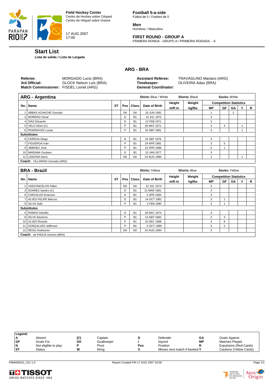

17 AUG 2007 17:00

**Football 5-a-side** Fútbol de 5 / Futebol de 5

**Men** Hombres / Masculino

# **FIRST ROUND - GROUP A**

PRIMERA RONDA - GRUPO A / PRIMEIRA RODADA - A

# **Start List**

**Lista de salida / Lista de Largada**

# **ARG - BRA**

| Referee:<br>3rd Official:<br>Match Commissioner: FISDEL Lionel (ARG) | MORGADO Lucio (BRA)<br>GLOCK Nelson Luis (BRA) | <b>Assistant Referee:</b><br>Timekeeper:<br><b>General Coordinator:</b> | TRAVAGLINO Mariano (ARG)<br>OLIVEIRA Adao (BRA) |
|----------------------------------------------------------------------|------------------------------------------------|-------------------------------------------------------------------------|-------------------------------------------------|
|                                                                      |                                                |                                                                         |                                                 |

| <b>ARG - Argentina</b>         |           |           |             | <b>Shirts: Blue / White</b><br><b>Shorts: Black</b> |         |        |                | <b>Socks: White</b>           |                |  |   |  |  |
|--------------------------------|-----------|-----------|-------------|-----------------------------------------------------|---------|--------|----------------|-------------------------------|----------------|--|---|--|--|
|                                |           |           |             |                                                     | Height  | Weight |                | <b>Competition Statistics</b> |                |  |   |  |  |
| No. Name                       | <b>ST</b> |           | Pos   Class | Date of Birth                                       | m/ft in | kg/lbs | МP             | GF                            | GA             |  | R |  |  |
| ABBAS ACHACHE Gonzalo          |           | <b>GK</b> | GK          | 16 JUN 1981                                         |         |        |                |                               | $\overline{2}$ |  |   |  |  |
| 2 MORENO Oscar                 |           | D         | <b>B1</b>   | 15 JUL 1972                                         |         |        | 3              |                               |                |  |   |  |  |
| 4 DÍAZ Eduardo                 |           | D         | <b>B1</b>   | 12 FEB 1971                                         |         |        | 3              |                               |                |  |   |  |  |
| 5 VELO Silvio (C)              |           | P         | <b>B1</b>   | 29 MAY 1971                                         |         |        | 3              | 4                             |                |  |   |  |  |
| 8 RODRIGUEZ Lucas              |           | P         | <b>B1</b>   | 20 SEP 1981                                         |         |        | 3              |                               |                |  |   |  |  |
| <b>Substitutes</b>             |           |           |             |                                                     |         |        |                |                               |                |  |   |  |  |
| 6 CEREGA Diego                 |           | D         | <b>B1</b>   | 24 SEP 1976                                         |         |        | 3              |                               |                |  |   |  |  |
| 7 FIGUEROA Iván                |           | P         | <b>B1</b>   | 24 APR 1981                                         |         |        | 3              | 5                             |                |  |   |  |  |
| JIMENEZ José                   |           | P         | <b>B1</b>   | 22 APR 1986                                         |         |        | 3              |                               |                |  |   |  |  |
| 10 MAIDANA Gustavo             |           | D         | <b>B1</b>   | 15 JAN 1977                                         |         |        | 3              |                               |                |  |   |  |  |
| 12 LENCINA Darío               |           | GK        | GK          | 23 AUG 1980                                         |         |        | $\overline{2}$ |                               |                |  |   |  |  |
| Coach: VILLARINO Gonzalo (ARG) |           |           |             |                                                     |         |        |                |                               |                |  |   |  |  |

|     | <b>BRA - Brazil</b>           | <b>Shirts: Yellow</b> |    |           |               | <b>Shorts: Blue</b> | Socks: Yellow |           |                |                               |  |   |
|-----|-------------------------------|-----------------------|----|-----------|---------------|---------------------|---------------|-----------|----------------|-------------------------------|--|---|
|     |                               |                       |    |           |               | Height              | Weight        |           |                | <b>Competition Statistics</b> |  |   |
| No. | <b>Name</b>                   | <b>ST</b>             |    | Pos Class | Date of Birth | m/ft in             | kg/lbs        | <b>MP</b> | GF             | <b>GA</b>                     |  | R |
|     | VASCONCELOS Fábio             |                       | GK | GK        | 22 JUL 1974   |                     |               | 3         |                |                               |  |   |
|     | SOARES Sandro (C)             |                       | D  | <b>B1</b> | 21 MAR 1981   |                     |               | 3         |                |                               |  |   |
|     | 6 CARVALHO Emerson            |                       | D  | <b>B1</b> | 2 APR 1984    |                     |               | 3         |                |                               |  |   |
|     | 7 ALVES FELIPE Marcos         |                       | D  | <b>B1</b> | 14 OCT 1981   |                     |               | 3         |                |                               |  |   |
|     | 9 SILVA João                  |                       | P  | <b>B1</b> | 2 FEB 1980    |                     |               | 3         |                |                               |  |   |
|     | <b>Substitutes</b>            |                       |    |           |               |                     |               |           |                |                               |  |   |
|     | 5 RAMOS Damião                |                       | D  | <b>B1</b> | 28 DEC 1974   |                     |               | 3         |                |                               |  |   |
|     | 8 SILVA Severino              |                       | P  | <b>B1</b> | 13 SEP 1982   |                     |               | 3         | 3              |                               |  |   |
|     | 10 ALVES Ricardo              |                       | P  | <b>B1</b> | 15 DEC 1988   |                     |               | 3         | 8              |                               |  |   |
|     | 11   GONCALVES Jefferson      |                       | P  | <b>B1</b> | 5 OCT 1989    |                     |               | 3         | $\overline{2}$ |                               |  |   |
|     | 12 REGO Andreonni             |                       | GK | GK        | 24 AUG 1984   |                     |               | 3         |                |                               |  |   |
|     | Coach: de PADUA Antonio (BRA) |                       |    |           |               |                     |               |           |                |                               |  |   |

| Legend:   |                      |     |            |     |                               |    |                         |
|-----------|----------------------|-----|------------|-----|-------------------------------|----|-------------------------|
| ΙA        | Absent               | (C) | Captain    |     | Defender                      | GΑ | Goals Against           |
| <b>GF</b> | Goals For            | GK  | Goalkeeper |     | Injured                       | МP | Matches Plaved          |
| <b>N</b>  | Not eligible to play |     | Pivot      | Pos | Position                      |    | Expulsions (Red Cards)  |
| <b>ST</b> | <b>Status</b>        | w   | Wina       |     | Misses next match if booked Y |    | Cautions (Yellow Cards) |
|           |                      |     |            |     |                               |    |                         |



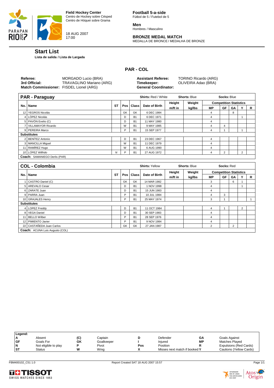

18 AUG 2007 17:00

**Football 5-a-side** Fútbol de 5 / Futebol de 5

**Men** Hombres / Masculino

# **BRONZE MEDAL MATCH**

MEDALLA DE BRONCE / MEDALHA DE BRONZE

# **Start List**

**Lista de salida / Lista de Largada**

# **PAR - COL**

| TRAVAGLINO Mariano (ARG)<br>3rd Official:<br>OLIVEIRA Adao (BRA)<br>Timekeeper:<br>Match Commissioner: FISDEL Lionel (ARG)<br><b>General Coordinator:</b> | Referee: | MORGADO Lucio (BRA) | <b>Assistant Referee:</b> | TORINO Ricardo (ARG) |
|-----------------------------------------------------------------------------------------------------------------------------------------------------------|----------|---------------------|---------------------------|----------------------|
|-----------------------------------------------------------------------------------------------------------------------------------------------------------|----------|---------------------|---------------------------|----------------------|

|                 | <b>PAR - Paraguay</b>                |           |    |             | <b>Shirts: Red / White</b><br><b>Shorts: Blue</b> |         |        | Socks: Blue |                               |    |                |   |  |
|-----------------|--------------------------------------|-----------|----|-------------|---------------------------------------------------|---------|--------|-------------|-------------------------------|----|----------------|---|--|
|                 |                                      |           |    |             |                                                   | Height  | Weight |             | <b>Competition Statistics</b> |    |                |   |  |
|                 | No.   Name                           | <b>ST</b> |    | Pos   Class | Date of Birth                                     | m/ft in | kg/lbs | MP          | GF                            | GA |                | R |  |
| 12 <sub>1</sub> | YEGROS Nicolás                       |           | GK | GK          | 6 DEC 1984                                        |         |        | 4           |                               | 8  |                |   |  |
|                 | 4 LÓPEZ Nicolás                      |           | D  | <b>B1</b>   | 6 DEC 1971                                        |         |        | 4           |                               |    |                |   |  |
|                 | 5 PAVÓN Evelio (C)                   |           | D  | <b>B1</b>   | 11 MAY 1980                                       |         |        | 4           |                               |    |                |   |  |
|                 | <b>VILLAMAYOR Ricardo</b>            |           | W  | <b>B1</b>   | 9 MAY 1985                                        |         |        | 4           | 4                             |    |                |   |  |
|                 | 9 PEREIRA Marco                      |           | Þ  | <b>B1</b>   | 15 SEP 1977                                       |         |        | 4           |                               |    |                |   |  |
|                 | <b>Substitutes</b>                   |           |    |             |                                                   |         |        |             |                               |    |                |   |  |
|                 | 2 BENÍTEZ Antonio                    |           | D  | <b>B1</b>   | 23 DEC 1967                                       |         |        | 4           |                               |    |                |   |  |
|                 | 3 MANCILLA Miquel                    |           | W  | <b>B1</b>   | 11 DEC 1979                                       |         |        | 4           |                               |    |                |   |  |
|                 | 11 RAMÍREZ Hugo                      |           | W  | <b>B1</b>   | 6 AUG 1990                                        |         |        | 4           |                               |    |                |   |  |
|                 | 10 LÓPEZ Wilfrido                    | Ν         | Þ  | <b>B1</b>   | 27 AUG 1972                                       |         |        | 4           | $\overline{2}$                |    | $\overline{2}$ |   |  |
|                 | <b>Coach: SAMANIEGO Derlis (PAR)</b> |           |    |             |                                                   |         |        |             |                               |    |                |   |  |

|     | <b>COL - Colombia</b>           | <b>Shirts: Yellow</b> |    |             | <b>Shorts: Blue</b> |         | Socks: Red |           |                               |                |                |   |
|-----|---------------------------------|-----------------------|----|-------------|---------------------|---------|------------|-----------|-------------------------------|----------------|----------------|---|
|     |                                 |                       |    |             |                     | Height  | Weight     |           | <b>Competition Statistics</b> |                |                |   |
| No. | <b>Name</b>                     | <b>ST</b>             |    | Pos   Class | Date of Birth       | m/ft in | kg/lbs     | <b>MP</b> | GF                            | GA             | v              | R |
|     | CASTRO Daniel (C)               |                       | GK | GK          | 14 MAR 1982         |         |            | 3         |                               | 6              |                |   |
|     | 5 AREVALO Cesar                 |                       | D  | <b>B1</b>   | 1 NOV 1998          |         |            | 4         |                               |                |                |   |
|     | 6 ZARATE Juan                   |                       | D  | <b>B1</b>   | 15 JUN 1983         |         |            | 4         |                               |                |                |   |
|     | 9 PARRA Juan                    |                       | P  | <b>B1</b>   | 10 JUL 1984         |         |            | 4         | 3                             |                |                |   |
|     | 10 GRAJALES Henry               |                       | P  | <b>B1</b>   | 25 MAY 1974         |         |            | 3         |                               |                |                |   |
|     | <b>Substitutes</b>              |                       |    |             |                     |         |            |           |                               |                |                |   |
|     | 4 LOPEZ Freddy                  |                       | D  | <b>B1</b>   | 11 OCT 1984         |         |            | 4         |                               |                | $\overline{2}$ |   |
|     | 8 VEGA Daniel                   |                       | D  | <b>B1</b>   | 30 SEP 1983         |         |            | 4         |                               |                |                |   |
|     | 11 BELLO Wilber                 |                       | Þ  | <b>B1</b>   | 28 SEP 1976         |         |            | 4         |                               |                |                |   |
|     | 12 PIMIENTO Javier              |                       | P  | <b>B1</b>   | 9 NOV 1984          |         |            | 4         |                               |                |                |   |
|     | 22 CASTAÑEDA Juan Carlos        |                       | GK | GK          | 27 JAN 1987         |         |            | 2         |                               | $\overline{2}$ |                |   |
|     | Coach: ACUNA Luis Augusto (COL) |                       |    |             |                     |         |            |           |                               |                |                |   |

| Legend:   |                      |     |            |     |                               |    |                         |
|-----------|----------------------|-----|------------|-----|-------------------------------|----|-------------------------|
|           | Absent               | (C) | Captain    |     | Defender                      | GΑ | Goals Against           |
| <b>GF</b> | Goals For            | GK  | Goalkeeper |     | Injured                       | МP | <b>Matches Played</b>   |
|           | Not eligible to play |     | Pivot      | Pos | Position                      |    | Expulsions (Red Cards)  |
| <b>ST</b> | Status               | w   | Wing       |     | Misses next match if booked Y |    | Cautions (Yellow Cards) |
|           |                      |     |            |     |                               |    |                         |





٦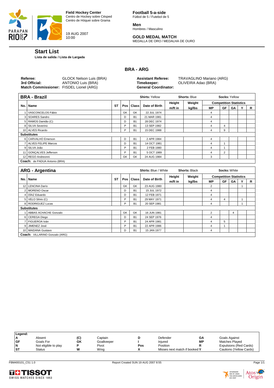

19 AUG 2007 10:00

**Football 5-a-side** Fútbol de 5 / Futebol de 5

**Men** Hombres / Masculino

# **GOLD MEDAL MATCH**

MEDALLA DE ORO / MEDALHA DE OURO

# **Start List**

**Lista de salida / Lista de Largada**

# **BRA - ARG**

| Referee:<br>3rd Official:<br>Match Commissioner: FISDEL Lionel (ARG) | GLOCK Nelson Luis (BRA)<br>ANTONIO Luis (BRA) | <b>Assistant Referee:</b><br>Timekeeper:<br><b>General Coordinator:</b> | TRAVAGLINO Mariano (ARG)<br>OLIVEIRA Adao (BRA) |
|----------------------------------------------------------------------|-----------------------------------------------|-------------------------------------------------------------------------|-------------------------------------------------|
|                                                                      |                                               |                                                                         |                                                 |

| <b>BRA - Brazil</b>                  |           |    |           | <b>Shirts: Yellow</b> | <b>Shorts: Blue</b> |        | Socks: Yellow |                               |    |  |   |
|--------------------------------------|-----------|----|-----------|-----------------------|---------------------|--------|---------------|-------------------------------|----|--|---|
|                                      |           |    |           |                       | Height              | Weight |               | <b>Competition Statistics</b> |    |  |   |
| No.   Name                           | <b>ST</b> |    | Pos Class | Date of Birth         | m/ft in             | kg/lbs | МP            | GF                            | GA |  | R |
| VASCONCELOS Fábio                    |           | GK | GK        | 22 JUL 1974           |                     |        | 4             |                               |    |  |   |
| 3 SOARES Sandro                      |           | D  | <b>B1</b> | 21 MAR 1981           |                     |        | 4             |                               |    |  |   |
| 5 RAMOS Damião (C)                   |           | D  | <b>B1</b> | 28 DEC 1974           |                     |        | 4             |                               |    |  |   |
| 8 SILVA Severino                     |           | P  | <b>B1</b> | 13 SEP 1982           |                     |        | 4             | 4                             |    |  |   |
| 10 ALVES Ricardo                     |           | P  | <b>B1</b> | 15 DEC 1988           |                     |        | 4             | 9                             |    |  |   |
| <b>Substitutes</b>                   |           |    |           |                       |                     |        |               |                               |    |  |   |
| 6 CARVALHO Emerson                   |           | D  | <b>B1</b> | 2 APR 1984            |                     |        | 4             |                               |    |  |   |
| 7 ALVES FELIPE Marcos                |           | D  | <b>B1</b> | 14 OCT 1981           |                     |        | 4             |                               |    |  |   |
| 9 SILVA João                         |           | P  | <b>B1</b> | 2 FEB 1980            |                     |        | 4             |                               |    |  |   |
| 11   GONCALVES Jefferson             |           | P  | <b>B1</b> | 5 OCT 1989            |                     |        | 4             | $\overline{2}$                |    |  |   |
| 12 REGO Andreonni                    |           | GK | GK        | 24 AUG 1984           |                     |        | 3             |                               |    |  |   |
| <b>Coach:</b> de PADUA Antonio (BRA) |           |    |           |                       |                     |        |               |                               |    |  |   |

|                 | <b>ARG - Argentina</b>         |  | <b>Shirts: Blue / White</b> | <b>Shorts: Black</b> | <b>Socks: White</b> |         |        |                               |    |    |  |   |
|-----------------|--------------------------------|--|-----------------------------|----------------------|---------------------|---------|--------|-------------------------------|----|----|--|---|
|                 |                                |  | <b>ST</b><br>Pos Class      |                      |                     | Height  | Weight | <b>Competition Statistics</b> |    |    |  |   |
| No.             | <b>Name</b>                    |  |                             |                      | Date of Birth       | m/ft in | kg/lbs | <b>MP</b>                     | GF | GA |  | R |
| 12 <sup>1</sup> | <b>LENCINA Darío</b>           |  | GK                          | GK                   | 23 AUG 1980         |         |        | $\overline{2}$                |    |    |  |   |
|                 | <b>MORENO Oscar</b>            |  | D                           | <b>B1</b>            | 15 JUL 1972         |         |        | $\overline{4}$                |    |    |  |   |
|                 | 4 DÍAZ Eduardo                 |  | D                           | <b>B1</b>            | 12 FEB 1971         |         |        | 4                             |    |    |  |   |
|                 | 5 VELO Silvio (C)              |  | P                           | <b>B1</b>            | 29 MAY 1971         |         |        | 4                             | 4  |    |  |   |
|                 | 8   RODRIGUEZ Lucas            |  | P                           | <b>B1</b>            | 20 SEP 1981         |         |        | 4                             |    |    |  |   |
|                 | <b>Substitutes</b>             |  |                             |                      |                     |         |        |                               |    |    |  |   |
|                 | ABBAS ACHACHE Gonzalo          |  | GK                          | GK                   | 16 JUN 1981         |         |        | $\overline{2}$                |    | 4  |  |   |
|                 | 6 CEREGA Diego                 |  | D                           | <b>B1</b>            | 24 SEP 1976         |         |        | 4                             |    |    |  |   |
|                 | FIGUEROA Iván                  |  | P                           | <b>B1</b>            | 24 APR 1981         |         |        | 4                             | 5  |    |  |   |
|                 | JIMENEZ José                   |  | P                           | <b>B1</b>            | 22 APR 1986         |         |        | 4                             |    |    |  |   |
|                 | 10 MAIDANA Gustavo             |  | D                           | <b>B1</b>            | 15 JAN 1977         |         |        | 4                             |    |    |  |   |
|                 | Coach: VILLARINO Gonzalo (ARG) |  |                             |                      |                     |         |        |                               |    |    |  |   |

| Legend:   |                      |     |            |     |                               |    |                         |
|-----------|----------------------|-----|------------|-----|-------------------------------|----|-------------------------|
| ıА        | Absent               | (C) | Captain    |     | Defender                      | GΑ | Goals Against           |
| <b>GF</b> | Goals For            | GK  | Goalkeeper |     | Injured                       | МP | <b>Matches Plaved</b>   |
| N         | Not eligible to play |     | Pivot      | Pos | Position                      |    | Expulsions (Red Cards)  |
| <b>ST</b> | <b>Status</b>        | w   | Wina       |     | Misses next match if booked Y |    | Cautions (Yellow Cards) |
|           |                      |     |            |     |                               |    |                         |



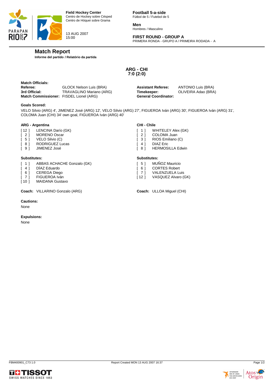

13 AUG 2007 15:00

**Football 5-a-side** Fútbol de 5 / Futebol de 5

**Men** Hombres / Masculino

# **FIRST ROUND - GROUP A**

PRIMERA RONDA - GRUPO A / PRIMEIRA RODADA - A

#### **Match Report**

**Informe del partido / Relatório da partida**

#### **ARG - CHI 7:0 (2:0)**

| <b>Match Officials:</b>                 |                          |                             |                     |
|-----------------------------------------|--------------------------|-----------------------------|---------------------|
| Referee:                                | GLOCK Nelson Luis (BRA)  | <b>Assistant Referee:</b>   | ANTONIO Luis (BRA)  |
| 3rd Official:                           | TRAVAGLINO Mariano (ARG) | Timekeeper:                 | OLIVEIRA Adao (BRA) |
| Match Commissioner: FISDEL Lionel (ARG) |                          | <b>General Coordinator:</b> |                     |

#### **Goals Scored:**

VELO Silvio (ARG) 4', JIMENEZ José (ARG) 12', VELO Silvio (ARG) 27', FIGUEROA Iván (ARG) 30', FIGUEROA Iván (ARG) 31', COLOMA Juan (CHI) 34' own goal, FIGUEROA Iván (ARG) 40'

#### **ARG - Argentina**

- [ 12 ] LENCINA Darío (GK)<br>[ 2 ] MORENO Oscar
- MORENO Oscar
- 
- [ 5 ] VELO Silvio (C)<br>[ 8 ] RODRIGUEZ Lu RODRIGUEZ Lucas
- [ 9 ] JIMENEZ José

#### **Substitutes:**

- [ 1 ] ABBAS ACHACHE Gonzalo (GK)
- [ 4 ] DÍAZ Eduardo<br>[ 6 ] CEREGA Diec
- CEREGA Diego
- [ 7 ] FIGUEROA Iván<br>[ 10 ] MAIDANA Gusta
- MAIDANA Gustavo

#### **Coach:** VILLARINO Gonzalo (ARG) **Coach:** ULLOA Miguel (CHI)

**Cautions:**

None

#### **Expulsions:**

None

#### **CHI - Chile**

- [ 1 ] WHITELEY Alex (GK)<br>[ 2 ] COLOMA Juan
- $\begin{bmatrix} 2 & 1 \end{bmatrix}$  COLOMA Juan
- 
- [ 3 ] RIOS Emiliano (C)<br>[ 4 ] DIAZ Eric [ 4 ] DIAZ Eric<br>[ 8 ] HERMOSI
- HERMOSILLA Edwin

#### **Substitutes:**

- [ 5 ] MUÑOZ Mauricio
- [ 6 ] CORTES Robert<br>[ 7 ] VALENZUELA Lu
- VALENZUELA Luis
- [12 ] VASQUEZ Alvaro (GK)



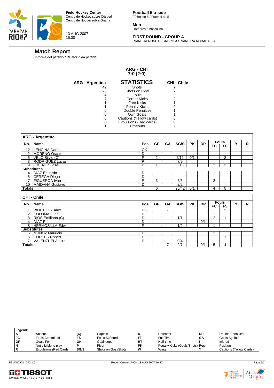



13 AUG 2007 15:00

**Football 5-a-side** Fútbol de 5 / Futebol de 5

**Men** Hombres / Masculino

# **FIRST ROUND - GROUP A**

PRIMERA RONDA - GRUPO A / PRIMEIRA RODADA - A

# **Match Report**

**Informe del partido / Relatório da partida**

#### **ARG - CHI 7:0 (2:0)**

| <b>ARG - Argentina</b> | <b>STATISTICS</b>       | <b>CHI - Chile</b> |
|------------------------|-------------------------|--------------------|
| 42                     | Shots                   |                    |
| 25                     | Shots on Goal           |                    |
|                        | Fouls                   | 5                  |
|                        | Corner Kicks            | 2                  |
|                        | Free Kicks              |                    |
|                        | <b>Penalty Kicks</b>    |                    |
|                        | <b>Double Penalties</b> |                    |
|                        | Own Goals               |                    |
|                        | Cautions (Yellow cards) |                    |
|                        | Expulsions (Red cards)  |                    |
|                        | Timeouts                | 2                  |

|                | <b>ARG - Argentina</b> |                |                |                |                  |           |           |                |                                |   |   |
|----------------|------------------------|----------------|----------------|----------------|------------------|-----------|-----------|----------------|--------------------------------|---|---|
|                |                        |                | <b>GF</b>      | GA             | SG/S             | <b>PK</b> | <b>DP</b> |                | <b>Fouls</b>                   |   | R |
| No.            | Name                   | Pos            |                |                |                  |           |           | FC             | FS                             | Y |   |
|                | 12   LENCINA Darío     | GK             |                |                |                  |           |           |                |                                |   |   |
|                | 2 MORENO Oscar         | D              |                |                |                  |           |           |                |                                |   |   |
| 5 <sup>1</sup> | VELO Silvio (C)        | $\overline{P}$ | $\overline{2}$ |                | 6/12             | 0/1       |           |                | 2                              |   |   |
|                | 8   RODRIGUEZ Lucas    | P              |                |                | $\overline{7/9}$ |           |           |                |                                |   |   |
|                | 9 JIMENEZ José         | P              | 4              |                | 5/13             |           |           |                | 3                              |   |   |
|                | <b>Substitutes</b>     |                |                |                |                  |           |           |                |                                |   |   |
|                | 4   DIAZ Eduardo       | D              |                |                |                  |           |           |                |                                |   |   |
| 6              | CEREGA Diego           | D              |                |                |                  |           |           |                |                                |   |   |
|                | 7 FIGUEROA Iván        | P              | 3              |                | 5/6              |           |           | $\overline{2}$ |                                |   |   |
|                | 10   MAIDANA Gustavo   | D              |                |                | 2/2              |           |           |                |                                |   |   |
| <b>Totals</b>  |                        |                | 6              |                | 25/42            | 0/1       |           | 4              | 5                              |   |   |
|                |                        |                |                |                |                  |           |           |                |                                |   |   |
|                | <b>CHI - Chile</b>     |                |                |                |                  |           |           |                |                                |   |   |
|                | No.   Name             | Pos            | GF             | GA             | SG/S             | <b>PK</b> | <b>DP</b> | $F_{\rm C}$    | <b>Fouls</b><br>F <sub>S</sub> | Y | R |
| $\mathbf{1}$   | <b>WHITELEY Alex</b>   | GK             |                | $\overline{7}$ |                  |           |           |                | $\overline{2}$                 |   |   |
| 2 <sup>1</sup> | COLOMA Juan            | D              |                |                |                  |           |           |                |                                |   |   |
|                | 3 RIOS Emiliano (C)    | D              |                |                | 1/1              |           |           | $\overline{2}$ | 4                              |   |   |
| 4 <sup>1</sup> | <b>DIAZ Eric</b>       | D              |                |                |                  |           | 0/1       |                |                                |   |   |
|                | 8   HERMOSILLA Edwin   | P              |                |                | $\overline{1/2}$ |           |           | и              |                                |   |   |
|                | <b>Substitutes</b>     |                |                |                |                  |           |           |                |                                |   |   |
|                | 5 MUÑOZ Mauricio       | P              |                |                |                  |           |           |                |                                |   |   |
| $6 \mid$       | <b>CORTES Robert</b>   | $\overline{P}$ |                |                |                  |           |           |                | 1                              |   |   |
| $\overline{7}$ | <b>VALENZUELA Luis</b> | P              |                |                | 0/4              |           |           |                |                                |   |   |
| <b>Totals</b>  |                        |                |                | 7              | 2/7              |           | 0/1       | 5              | 4                              |   |   |

| Legend:   |                               |      |                       |           |                                 |    |                         |
|-----------|-------------------------------|------|-----------------------|-----------|---------------------------------|----|-------------------------|
| ΙA        | Absent                        | (C)  | Captain               |           | Defender                        | DP | Double Penalties        |
| <b>FC</b> | <b>Fouls Committed</b>        | FS   | <b>Fouls Suffered</b> |           | Full Time                       | GΑ | Goals Against           |
| <b>GF</b> | Goals For                     | GK   | Goalkeeper            | HТ        | Half-time                       |    | Injured                 |
| <b>N</b>  | Not eligible to play          |      | Pivot                 | <b>PK</b> | Penalty Kicks (Goals/Shots) Pos |    | Position                |
| R         | <b>Expulsions (Red Cards)</b> | SG/S | Shots on Goal/Shots   | w         | Wina                            |    | Cautions (Yellow Cards) |
|           |                               |      |                       |           |                                 |    |                         |



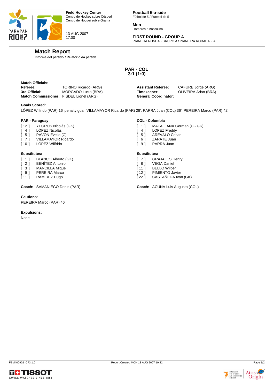

13 AUG 2007 17:00

**Football 5-a-side** Fútbol de 5 / Futebol de 5

**Men** Hombres / Masculino

# **FIRST ROUND - GROUP A**

PRIMERA RONDA - GRUPO A / PRIMEIRA RODADA - A

# **Match Report**

**Informe del partido / Relatório da partida**

**PAR - COL 3:1 (1:0)**

| <b>Match Officials:</b>                        |                      |                             |                     |
|------------------------------------------------|----------------------|-----------------------------|---------------------|
| Referee:                                       | TORINO Ricardo (ARG) | <b>Assistant Referee:</b>   | CAFURE Jorge (ARG)  |
| 3rd Official:                                  | MORGADO Lucio (BRA)  | Timekeeper:                 | OLIVEIRA Adao (BRA) |
| <b>Match Commissioner:</b> FISDEL Lionel (ARG) |                      | <b>General Coordinator:</b> |                     |

#### **Goals Scored:**

LÓPEZ Wilfrido (PAR) 16' penalty goal, VILLAMAYOR Ricardo (PAR) 28', PARRA Juan (COL) 36', PEREIRA Marco (PAR) 42'

#### **PAR - Paraguay**

- [ 12 ] YEGROS Nicolás (GK)<br>[ 4 ] LÓPEZ Nicolás
- [ 4 ] LÓPEZ Nicolás<br>[ 5 ] PAVÓN Evelio
- [ 5 ] PAVÓN Evelio (C)<br>[ 7 ] VILLAMAYOR Ric
- [ 7 ] VILLAMAYOR Ricardo<br>[ 10 ] LÓPEZ Wilfrido
- LÓPEZ Wilfrido

#### **Substitutes:**

- [ 1 ] BLANCO Alberto (GK)
- [ 2 ] BENÍTEZ Antonio
- [ 3 ] MANCILLA Miguel
- [ 9 ] PEREIRA Marco
- [11 ] RAMÍREZ Hugo

#### **Cautions:**

PEREIRA Marco (PAR) 46'

#### **Expulsions:**

None



- [ 1 ] MATALLANA German (C GK)
- [ 4 ] LOPEZ Freddy<br>[ 5 ] AREVALO Ces
- [ 5 ] AREVALO Cesar
- [ 6 ] ZARATE Juan<br>[ 9 ] PARRA Juan
- PARRA Juan

#### **Substitutes:**

- [ 7 ] GRAJALES Henry
- [ 8 ] VEGA Daniel
- [ 11 ] BELLO Wilber
- [12 ] PIMIENTO Javier
- [ 22 ] CASTAÑEDA Ivan (GK)

**Coach:** SAMANIEGO Derlis (PAR) **Coach:** ACUNA Luis Augusto (COL)



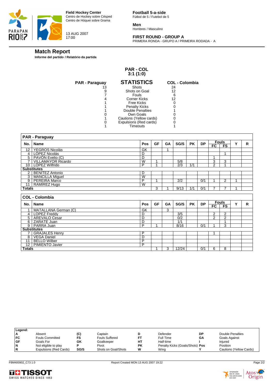



13 AUG 2007 17:00

**Football 5-a-side** Fútbol de 5 / Futebol de 5

**Men** Hombres / Masculino

# **FIRST ROUND - GROUP A**

PRIMERA RONDA - GRUPO A / PRIMEIRA RODADA - A

# **Match Report**

**Informe del partido / Relatório da partida**

#### **PAR - COL 3:1 (1:0)**

| <b>PAR - Paraguay</b> | <b>STATISTICS</b>       | <b>COL - Colombia</b> |
|-----------------------|-------------------------|-----------------------|
| 13                    | <b>Shots</b>            | 24                    |
| 9                     | Shots on Goal           | 12                    |
|                       | Fouls                   | 6                     |
|                       | Corner Kicks            | 12                    |
|                       | Free Kicks              |                       |
|                       | <b>Penalty Kicks</b>    |                       |
|                       | <b>Double Penalties</b> |                       |
| 0                     | Own Goals               |                       |
|                       | Cautions (Yellow cards) |                       |
|                       | Expulsions (Red cards)  |                       |
|                       | Timeouts                |                       |
|                       |                         |                       |

|                 | PAR - Paraguay                              |                         |                      |           |              |           |                  |                |                                |   |   |
|-----------------|---------------------------------------------|-------------------------|----------------------|-----------|--------------|-----------|------------------|----------------|--------------------------------|---|---|
| No.             | Name                                        | Pos                     | GF                   | <b>GA</b> | SG/S         | <b>PK</b> | <b>DP</b>        | <b>Fouls</b>   |                                | Υ | R |
|                 |                                             |                         |                      |           |              |           |                  | $F_{\rm C}$    | F <sub>S</sub>                 |   |   |
| 12              | YEGROS Nicolás                              | GK                      |                      |           |              |           |                  |                |                                |   |   |
| 4 <sup>1</sup>  | LÓPEZ Nicolás                               | D                       |                      |           |              |           |                  |                | 1                              |   |   |
|                 | 5   PAVÓN Evelio (C)                        | D                       |                      |           |              |           |                  | 1              |                                |   |   |
|                 | <b>VILLAMAYOR Ricardo</b>                   | W                       |                      |           | 5/8          |           |                  | 3              | 3                              |   |   |
|                 | 10 LÓPEZ Wilfrido                           | P                       |                      |           | $\sqrt{2/3}$ | 1/1       |                  | $\overline{2}$ | $\overline{\mathbf{A}}$        |   |   |
|                 | <b>Substitutes</b>                          |                         |                      |           |              |           |                  |                |                                |   |   |
|                 | 2 BENITEZ Antonio                           | D                       |                      |           |              |           |                  |                |                                |   |   |
|                 | 3   MANCILLA Miquel                         | W                       |                      |           |              |           |                  |                |                                |   |   |
|                 | 9 PEREIRA Marco                             | P                       | $\blacktriangleleft$ |           | 2/2          |           | 0/1              | 1              | 2                              | 1 |   |
| 11 <sup>1</sup> | RAMIREZ Hugo                                | $\overline{\mathsf{W}}$ |                      |           |              |           |                  |                |                                |   |   |
| Totals          |                                             |                         | 3                    |           | 9/13         | 1/1       | 0/1              | 7              |                                |   |   |
|                 |                                             |                         |                      |           |              |           |                  |                |                                |   |   |
|                 |                                             |                         |                      |           |              |           |                  |                |                                |   |   |
|                 | <b>COL - Colombia</b>                       |                         |                      |           |              |           |                  |                |                                |   |   |
| No.             | Name                                        | Pos                     | GF                   | GA        | SG/S         | <b>PK</b> | <b>DP</b>        | FC             | <b>Fouls</b><br>F <sub>S</sub> | Y | R |
| 1               |                                             | GK                      |                      | 3         |              |           |                  |                |                                |   |   |
| 4 I             | MATALLANA German (C)                        | D                       |                      |           | 3/5          |           |                  | $\overline{2}$ | $\overline{2}$                 |   |   |
| 5               | <b>LOPEZ</b> Freddy<br><b>AREVALO Cesar</b> | D                       |                      |           | 0/2          |           |                  | $\overline{2}$ | $\overline{2}$                 |   |   |
| 6               | ZARATE Juan                                 | D                       |                      |           | 1/1          |           |                  |                | $\overline{\mathbf{A}}$        |   |   |
|                 | 9   PARRA Juan                              | P                       |                      |           | 8/16         |           | $\overline{0/1}$ | 4              | 3                              |   |   |
|                 | <b>Substitutes</b>                          |                         |                      |           |              |           |                  |                |                                |   |   |
|                 | <b>GRAJALES Henry</b>                       | P                       |                      |           |              |           |                  | 1              |                                |   |   |
| 8               | <b>VEGA Daniel</b>                          | D                       |                      |           |              |           |                  |                |                                |   |   |
| 11              | <b>BELLO Wilber</b>                         | P                       |                      |           |              |           |                  |                |                                |   |   |
| 12              | PIMIENTO Javier                             | P                       |                      |           |              |           |                  |                |                                |   |   |

| Legend:   |                               |      |                       |           |                                 |    |                         |
|-----------|-------------------------------|------|-----------------------|-----------|---------------------------------|----|-------------------------|
| ΙA        | Absent                        | (C)  | Captain               |           | Defender                        | DP | Double Penalties        |
| <b>FC</b> | <b>Fouls Committed</b>        | FS   | <b>Fouls Suffered</b> |           | Full Time                       | GΑ | Goals Against           |
| <b>GF</b> | Goals For                     | GK   | Goalkeeper            | HТ        | Half-time                       |    | Injured                 |
| <b>N</b>  | Not eligible to play          |      | Pivot                 | <b>PK</b> | Penalty Kicks (Goals/Shots) Pos |    | Position                |
| R         | <b>Expulsions (Red Cards)</b> | SG/S | Shots on Goal/Shots   | w         | Wina                            |    | Cautions (Yellow Cards) |
|           |                               |      |                       |           |                                 |    |                         |



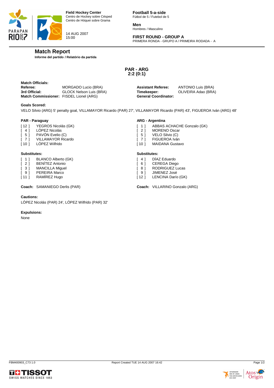

14 AUG 2007 15:00

**Football 5-a-side** Fútbol de 5 / Futebol de 5

**Men** Hombres / Masculino

# **FIRST ROUND - GROUP A**

PRIMERA RONDA - GRUPO A / PRIMEIRA RODADA - A

# **Match Report**

**Informe del partido / Relatório da partida**

**PAR - ARG 2:2 (0:1)**

| MORGADO Lucio (BRA)                     |
|-----------------------------------------|
| <b>GLOCK Nelson Luis (BRA)</b>          |
| Match Commissioner: FISDEL Lionel (ARG) |
|                                         |

**Assistant Referee: ANTONIO Luis (BRA) Timekeeper: OLIVEIRA Adao (BRA) General Coordinator:** 

**Goals Scored:**

VELO Silvio (ARG) 5' penalty goal, VILLAMAYOR Ricardo (PAR) 27', VILLAMAYOR Ricardo (PAR) 43', FIGUEROA Iván (ARG) 48'

#### **PAR - Paraguay**

- [ 12 ] YEGROS Nicolás (GK)<br>[ 4 ] LÓPEZ Nicolás
- [ 4 ] LÓPEZ Nicolás<br>[ 5 ] PAVÓN Evelio
- [ 5 ] PAVÓN Evelio (C)<br>[ 7 ] VILLAMAYOR Ric
- [ 7 ] VILLAMAYOR Ricardo<br>[ 10 ] LÓPEZ Wilfrido
- LÓPEZ Wilfrido

#### **Substitutes:**

- [ 1 ] BLANCO Alberto (GK)
- [ 2 ] BENÍTEZ Antonio
- [ 3 ] MANCILLA Miguel
- [ 9 ] PEREIRA Marco
- [11 ] RAMÍREZ Hugo

#### **Cautions:**

LÓPEZ Nicolás (PAR) 24', LÓPEZ Wilfrido (PAR) 32'

#### **Expulsions:**

None

# **ARG - Argentina**

- [ 1 ] ABBAS ACHACHE Gonzalo (GK)
- [ 2 ] MORENO Oscar<br>[ 5 ] VELO Silvio (C)
	- VELO Silvio (C)
- [ 7 ] FIGUEROA Iván<br>[ 10 ] MAIDANA Gusta MAIDANA Gustavo
- 

# **Substitutes:**

- [ 4 ] DÍAZ Eduardo
- [ 6 ] CEREGA Diego
- [ 8 ] RODRIGUEZ Lucas
- $\overline{1}$  9  $\overline{1}$  JIMENEZ José
- [12] LENCINA Darío (GK)

**Coach:** SAMANIEGO Derlis (PAR) **Coach:** VILLARINO Gonzalo (ARG)



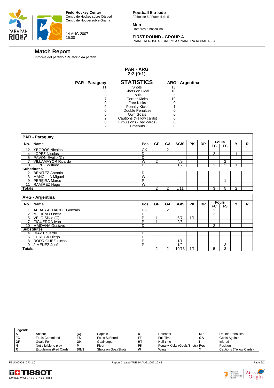



14 AUG 2007 15:00

**Football 5-a-side** Fútbol de 5 / Futebol de 5

**Men** Hombres / Masculino

# **FIRST ROUND - GROUP A**

PRIMERA RONDA - GRUPO A / PRIMEIRA RODADA - A

# **Match Report**

**Informe del partido / Relatório da partida**

#### **PAR - ARG 2:2 (0:1)**

| <b>PAR - Paraguay</b> | <b>STATISTICS</b>       | <b>ARG - Argentina</b> |
|-----------------------|-------------------------|------------------------|
|                       | <b>Shots</b>            | 13                     |
| 5                     | Shots on Goal           | 10                     |
| 3                     | Fouls                   | 5                      |
|                       | Corner Kicks            | 19                     |
|                       | Free Kicks              |                        |
|                       | <b>Penalty Kicks</b>    |                        |
|                       | <b>Double Penalties</b> |                        |
|                       | Own Goals               |                        |
| 2                     | Cautions (Yellow cards) |                        |
| Ω                     | Expulsions (Red cards)  |                        |
| 2                     | Timeouts                |                        |
|                       |                         |                        |

|                | <b>PAR - Paraguay</b>                         |                         |                |    |                  |           |           |                |                                |                         |   |
|----------------|-----------------------------------------------|-------------------------|----------------|----|------------------|-----------|-----------|----------------|--------------------------------|-------------------------|---|
| No.            | Name                                          | Pos                     | GF             | GA | SG/S             | <b>PK</b> | <b>DP</b> |                | <b>Fouls</b>                   | Y                       | R |
|                |                                               |                         |                |    |                  |           |           | $F$ C          | F <sub>S</sub>                 |                         |   |
| 12             | YEGROS Nicolás                                | GK                      |                | 2  |                  |           |           |                |                                |                         |   |
|                | 4   LÓPEZ Nicolás                             | D                       |                |    |                  |           |           | $\overline{2}$ |                                | 1                       |   |
|                | 5   PAVÓN Evelio (C)                          | D                       |                |    |                  |           |           |                |                                |                         |   |
|                | <b>VILLAMAYOR Ricardo</b>                     | W                       | $\overline{2}$ |    | 4/9              |           |           |                | 2                              |                         |   |
|                | 10 LÓPEZ Wilfrido                             | P                       |                |    | 1/2              |           |           | 4              | $\mathfrak{p}$                 | $\overline{\mathbf{A}}$ |   |
|                | <b>Substitutes</b>                            |                         |                |    |                  |           |           |                |                                |                         |   |
|                | 2 BENITEZ Antonio                             | D                       |                |    |                  |           |           |                |                                |                         |   |
|                | 3   MANCILLA Miguel                           | $\overline{\mathsf{W}}$ |                |    |                  |           |           |                |                                |                         |   |
|                | 9 PEREIRA Marco                               | P                       |                |    |                  |           |           |                | 1                              |                         |   |
| 11             | RAMIREZ Hugo                                  | $\overline{\mathsf{w}}$ |                |    |                  |           |           |                |                                |                         |   |
| Totals         |                                               |                         | 2              | 2  | 5/11             |           |           | 3              | 5                              | 2                       |   |
|                |                                               |                         |                |    |                  |           |           |                |                                |                         |   |
|                |                                               |                         |                |    |                  |           |           |                |                                |                         |   |
|                | <b>ARG - Argentina</b>                        |                         |                |    |                  |           |           |                |                                |                         |   |
| No.            | Name                                          | Pos                     | GF             | GA | SG/S             | <b>PK</b> | <b>DP</b> | FC             | <b>Fouls</b><br>F <sub>S</sub> | Y                       | R |
| 1              |                                               |                         |                | 2  |                  |           |           | 1              |                                |                         |   |
| 2 <sup>1</sup> | <b>ABBAS ACHACHE Gonzalo</b>                  | GK<br>D                 |                |    |                  |           |           | $\overline{2}$ |                                |                         |   |
| 5              | <b>MORENO Oscar</b>                           | P                       | $\overline{ }$ |    | 6/7              | 1/1       |           |                |                                |                         |   |
| 7              | VELO Silvio (C)<br>FIGUEROA Iván              | P                       | $\overline{A}$ |    | 2/3              |           |           |                |                                |                         |   |
| 10             | <b>MAIDANA Gustavo</b>                        | D                       |                |    |                  |           |           | $\overline{2}$ |                                |                         |   |
|                | <b>Substitutes</b>                            |                         |                |    |                  |           |           |                |                                |                         |   |
|                |                                               | D                       |                |    |                  |           |           |                |                                |                         |   |
| 6              | 4 DIAZ Eduardo                                | D                       |                |    |                  |           |           |                |                                |                         |   |
| $\overline{8}$ | <b>CEREGA Diego</b><br><b>RODRIGUEZ Lucas</b> | P                       |                |    | 1/1              |           |           |                |                                |                         |   |
| $\overline{9}$ | JIMENEZ José                                  | P                       |                |    | $\overline{1/2}$ |           |           |                | 3                              |                         |   |

| Legend:   |                        |      |                       |           |                                 |    |                         |
|-----------|------------------------|------|-----------------------|-----------|---------------------------------|----|-------------------------|
| ۱A        | Absent                 | (C)  | Captain               |           | Defender                        | DP | Double Penalties        |
| IFC.      | <b>Fouls Committed</b> | FS   | <b>Fouls Suffered</b> |           | Full Time                       | GΑ | Goals Against           |
| <b>GF</b> | Goals For              | GK   | Goalkeeper            | HТ        | Half-time                       |    | Injured                 |
| N         | Not eligible to play   |      | Pivot                 | <b>PK</b> | Penalty Kicks (Goals/Shots) Pos |    | Position                |
| R         | Expulsions (Red Cards) | SG/S | Shots on Goal/Shots   | w         | Wing                            |    | Cautions (Yellow Cards) |
|           |                        |      |                       |           |                                 |    |                         |



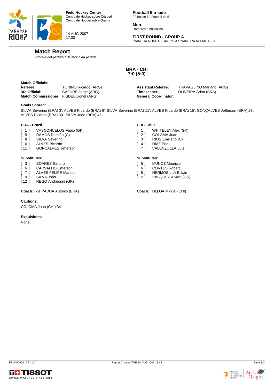



14 AUG 2007 17:00

**Football 5-a-side** Fútbol de 5 / Futebol de 5

**Men** Hombres / Masculino

# **FIRST ROUND - GROUP A**

PRIMERA RONDA - GRUPO A / PRIMEIRA RODADA - A

# **Match Report**

**Informe del partido / Relatório da partida**

# **BRA - CHI 7:0 (5:0)**

**Match Officials: Referee:** TORINO Ricardo (ARG) **Assistant Referee:** TRAVAGLINO Mariano (ARG) **3rd Official:** CAFURE Jorge (ARG) **Timekeeper:** OLIVEIRA Adao (BRA) **Match Commissioner:** FISDEL Lionel (ARG)

#### **Goals Scored:**

SILVA Severino (BRA) 3', ALVES Ricardo (BRA) 6', SILVA Severino (BRA) 11', ALVES Ricardo (BRA) 15', GONÇALVES Jefferson (BRA) 23', ALVES Ricardo (BRA) 30', SILVA João (BRA) 46'

#### **BRA - Brazil**

- [ 1 ] VASCONCELOS Fábio (GK)<br>[ 5 ] RAMOS Damião (C)
- RAMOS Damião (C)
- [ 8 ] SILVA Severino<br>[ 10 ] ALVES Ricardo
- ALVES Ricardo
- [11 ] GONÇALVES Jefferson

#### **Substitutes:**

- [ 3 ] SOARES Sandro
- [ 6 ] CARVALHO Emerson<br>[ 7 ] ALVES FELIPE Marco
- ALVES FELIPE Marcos
- [ 9 ] SILVA João<br>[ 12 ] REGO Andre
- REGO Andreonni (GK)

**Coach:** de PADUA Antonio (BRA) **Coach:** ULLOA Miguel (CHI)

#### **Cautions:**

COLOMA Juan (CHI) 34'

#### **Expulsions:**

None

#### **CHI - Chile**

- [ 1 ] WHITELEY Alex (GK)<br>[ 2 ] COLOMA Juan
- [ 2 ] COLOMA Juan
- [ 3 ] RIOS Emiliano (C)<br>[ 4 ] DIAZ Eric
- [ 4 ] DIAZ Eric<br>[ 7 ] VALENZU
- VALENZUELA Luis

#### **Substitutes:**

- [ 5 ] MUÑOZ Mauricio
- [ 6 ] CORTES Robert
- [ 8 ] HERMOSILLA Edwin
- [12 ] VASQUEZ Alvaro (GK)



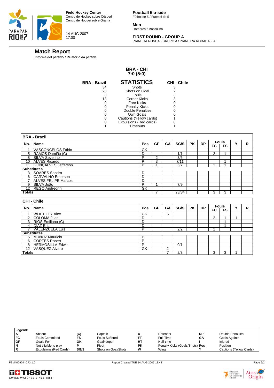



14 AUG 2007 17:00

**Football 5-a-side** Fútbol de 5 / Futebol de 5

**Men** Hombres / Masculino

# **FIRST ROUND - GROUP A**

PRIMERA RONDA - GRUPO A / PRIMEIRA RODADA - A

# **Match Report**

**Informe del partido / Relatório da partida**

#### **BRA - CHI 7:0 (5:0)**

| <b>BRA - Brazil</b> | <b>STATISTICS</b>       | <b>CHI - Chile</b> |
|---------------------|-------------------------|--------------------|
| 34                  | Shots                   | 3                  |
| 23                  | Shots on Goal           |                    |
| 3                   | Fouls                   | 3                  |
| 13                  | Corner Kicks            | 3                  |
|                     | Free Kicks              |                    |
|                     | <b>Penalty Kicks</b>    |                    |
|                     | Double Penalties        |                    |
|                     | Own Goals               |                    |
|                     | Cautions (Yellow cards) |                    |
|                     | Expulsions (Red cards)  |                    |
|                     | <b>Timeouts</b>         |                    |

|                 | <b>BRA - Brazil</b>        |     |                |           |       |           |           |                |                |   |   |
|-----------------|----------------------------|-----|----------------|-----------|-------|-----------|-----------|----------------|----------------|---|---|
|                 | No.   Name                 | Pos | <b>GF</b>      | <b>GA</b> | SG/S  | <b>PK</b> | <b>DP</b> |                | <b>Fouls</b>   | Y | R |
|                 |                            |     |                |           |       |           |           | FC             | F <sub>S</sub> |   |   |
| 1               | VASCONCELOS Fábio          | GK  |                |           |       |           |           |                |                |   |   |
|                 | 5 RAMOS Damião (C)         | D   |                |           | 1/1   |           |           | 2              | 1              |   |   |
| $\overline{8}$  | SILVA Severino             | P   | $\overline{2}$ |           | 3/6   |           |           |                |                |   |   |
|                 | 10 ALVES Ricardo           | P   | 3              |           | 7/11  |           |           |                | $\overline{ }$ |   |   |
| 11              | <b>GONCALVES Jefferson</b> | P   |                |           | 5/7   |           |           | 1              |                |   |   |
|                 | <b>Substitutes</b>         |     |                |           |       |           |           |                |                |   |   |
|                 | 3   SOARES Sandro          | D   |                |           |       |           |           |                |                |   |   |
| 6 <sup>1</sup>  | <b>CARVALHO Emerson</b>    | Đ   |                |           |       |           |           |                |                |   |   |
|                 | 7   ALVES FELIPE Marcos    | D   |                |           |       |           |           |                |                |   |   |
|                 | 9 SILVA João               | P   | 1              |           | 7/9   |           |           |                |                |   |   |
|                 | 12   REGO Andreonni        | GK  |                |           |       |           |           |                |                |   |   |
| <b>Totals</b>   |                            |     | $\overline{ }$ |           | 23/34 |           |           | 3              | 3              |   |   |
|                 |                            |     |                |           |       |           |           |                |                |   |   |
|                 | <b>CHI - Chile</b>         |     |                |           |       |           |           |                |                |   |   |
|                 | No.   Name                 | Pos | <b>GF</b>      | GA        | SG/S  | <b>PK</b> | <b>DP</b> |                | <b>Fouls</b>   | Y | R |
|                 |                            |     |                |           |       |           |           | $F_{\rm C}$    | F <sub>S</sub> |   |   |
| 1 <sup>1</sup>  | <b>WHITELEY Alex</b>       | GK  |                | 5         |       |           |           |                |                |   |   |
| $\overline{2}$  | COLOMA Juan                | D   |                |           |       |           |           | $\overline{2}$ |                |   |   |
|                 | 3 RIOS Emiliano (C)        | D   |                |           |       |           |           |                |                |   |   |
| 4 I             | <b>DIAZ Eric</b>           | D   |                |           |       |           |           |                |                |   |   |
| 7 <sup>1</sup>  | <b>VALENZUELA Luis</b>     | P   |                |           | 2/2   |           |           | 1              |                |   |   |
|                 | <b>Substitutes</b>         |     |                |           |       |           |           |                |                |   |   |
| 5 <sup>1</sup>  | <b>MUÑOZ Mauricio</b>      | P   |                |           |       |           |           |                |                |   |   |
|                 | 6 CORTES Robert            | P   |                |           |       |           |           |                |                |   |   |
|                 | 8   HERMOSILLA Edwin       | P   |                |           | 0/1   |           |           |                |                |   |   |
| 12 <sup>1</sup> | <b>VASQUEZ Alvaro</b>      | GK  |                |           |       |           |           |                |                |   |   |
|                 |                            |     |                | 2         |       |           |           |                |                |   |   |

| Legend:   |                        |      |                       |           |                                 |    |                         |
|-----------|------------------------|------|-----------------------|-----------|---------------------------------|----|-------------------------|
| А         | Absent                 | (C)  | Captain               |           | Defender                        | DP | Double Penalties        |
| <b>FC</b> | <b>Fouls Committed</b> | FS   | <b>Fouls Suffered</b> | FТ        | Full Time                       | GΑ | Goals Against           |
| <b>GF</b> | Goals For              | GK   | Goalkeeper            | HТ        | Half-time                       |    | Injured                 |
| N         | Not eligible to play   |      | Pivot                 | <b>PK</b> | Penalty Kicks (Goals/Shots) Pos |    | Position                |
| R         | Expulsions (Red Cards) | SG/S | Shots on Goal/Shots   | W         | Wing                            |    | Cautions (Yellow Cards) |
|           |                        |      |                       |           |                                 |    |                         |



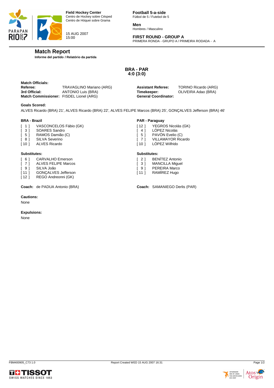

15 AUG 2007 15:00

**Football 5-a-side** Fútbol de 5 / Futebol de 5

**Men** Hombres / Masculino

# **FIRST ROUND - GROUP A**

PRIMERA RONDA - GRUPO A / PRIMEIRA RODADA - A

# **Match Report**

**Informe del partido / Relatório da partida**

# **BRA - PAR 4:0 (3:0)**

**Match Officials: Referee:** TRAVAGLINO Mariano (ARG) **Assistant Referee:** TORINO Ricardo (ARG) **3rd Official:** ANTONIO Luis (BRA) **Timekeeper:** OLIVEIRA Adao (BRA) **Match Commissioner:** FISDEL Lionel (ARG)

# **Goals Scored:**

ALVES Ricardo (BRA) 21', ALVES Ricardo (BRA) 22', ALVES FELIPE Marcos (BRA) 25', GONÇALVES Jefferson (BRA) 46'

#### **BRA - Brazil**

- [ 1 ] VASCONCELOS Fábio (GK)<br>[ 3 ] SOARES Sandro
- [ 3 ] SOARES Sandro<br>[ 5 ] RAMOS Damião
- [ 5 ] RAMOS Damião (C)<br>[ 8 ] SILVA Severino
- 
- [ 8 ] SILVA Severino<br>[ 10 ] ALVES Ricardo ALVES Ricardo

#### **Substitutes:**

- [ 6 ] CARVALHO Emerson
- [ 7 ] ALVES FELIPE Marcos
- [ 9 ] SILVA João
- [11 ] GONÇALVES Jefferson
- [12 ] REGO Andreonni (GK)

**Coach:** de PADUA Antonio (BRA) **Coach:** SAMANIEGO Derlis (PAR)

#### **Cautions:**

None

#### **Expulsions:**

None

#### **PAR - Paraguay**

- [ 12 ] YEGROS Nicolás (GK)<br>[ 4 ] LÓPEZ Nicolás
- 
- 4 ] LÓPEZ Nicolás<br>5 1 PAVÓN Evelio [ 5 ] PAVÓN Evelio (C)
- [ 7 ] VILLAMAYOR Ricardo<br>[ 10 ] LÓPEZ Wilfrido
- LÓPEZ Wilfrido

#### **Substitutes:**

- [ 2 ] BENÍTEZ Antonio
- [ 3 ] MANCILLA Miguel
- [ 9 ] PEREIRA Marco
- [11 ] RAMÍREZ Hugo









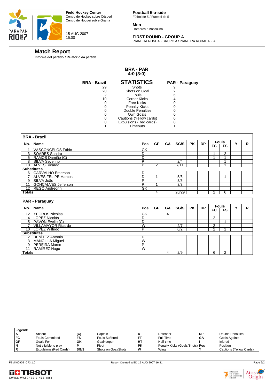



15 AUG 2007 15:00

**Football 5-a-side** Fútbol de 5 / Futebol de 5

**Men** Hombres / Masculino

# **FIRST ROUND - GROUP A**

PRIMERA RONDA - GRUPO A / PRIMEIRA RODADA - A

# **Match Report**

**Informe del partido / Relatório da partida**

#### **BRA - PAR 4:0 (3:0)**

| <b>BRA - Brazil</b> | <b>STATISTICS</b>       | <b>PAR - Paraguay</b> |
|---------------------|-------------------------|-----------------------|
| 29                  | Shots                   |                       |
| 20                  | Shots on Goal           |                       |
|                     | <b>Fouls</b>            |                       |
| 10                  | Corner Kicks            |                       |
|                     | Free Kicks              |                       |
|                     | <b>Penalty Kicks</b>    |                       |
|                     | Double Penalties        |                       |
|                     | Own Goals               |                       |
|                     | Cautions (Yellow cards) |                       |
|                     | Expulsions (Red cards)  |                       |
|                     | Timeouts                |                       |
|                     |                         |                       |

|                | <b>BRA - Brazil</b>                    |                 |                |           |                  |           |           |                 |                           |   |    |
|----------------|----------------------------------------|-----------------|----------------|-----------|------------------|-----------|-----------|-----------------|---------------------------|---|----|
| No.            | Name                                   | Pos             | <b>GF</b>      | <b>GA</b> | SG/S             | <b>PK</b> | <b>DP</b> | FC              | <b>Fouls</b><br>FS        | Y | R  |
| 1              | VASCONCELOS Fábio                      | GK              |                |           |                  |           |           |                 |                           |   |    |
| 3              | <b>SOARES Sandro</b>                   | D               |                |           |                  |           |           | $\overline{1}$  | 2                         |   |    |
| 5              | RAMOS Damião (C)                       | D               |                |           |                  |           |           | 4               | $\overline{\mathbf{A}}$   |   |    |
| 8              | SILVA Severino                         | P               |                |           | 2/4              |           |           |                 |                           |   |    |
| 10             | <b>ALVES Ricardo</b>                   | P               | $\overline{2}$ |           | 7/11             |           |           |                 |                           |   |    |
|                | <b>Substitutes</b>                     |                 |                |           |                  |           |           |                 |                           |   |    |
| 6 I            | <b>CARVALHO Emerson</b>                | D               |                |           |                  |           |           |                 |                           |   |    |
| $\overline{7}$ | <b>ALVES FELIPE Marcos</b>             | D               | 1              |           | 5/6              |           |           |                 | 1                         |   |    |
| 9              | SILVA João                             | P               |                |           | 3/5              |           |           |                 |                           |   |    |
| 11             | <b>GONÇALVES Jefferson</b>             | P               | 4              |           | $\overline{3/3}$ |           |           |                 |                           |   |    |
|                | 12 REGO Andreonni                      | $\overline{GK}$ |                |           |                  |           |           |                 |                           |   |    |
| <b>Totals</b>  |                                        |                 | 4              |           | 20/29            |           |           | $\overline{2}$  | 6                         |   |    |
|                |                                        |                 |                |           |                  |           |           |                 |                           |   |    |
|                | PAR - Paraguay                         |                 |                |           |                  |           |           |                 |                           |   |    |
|                |                                        |                 |                |           |                  |           |           |                 |                           |   |    |
| No.            | Name                                   | Pos             | <b>GF</b>      | GA        | SG/S             | <b>PK</b> | <b>DP</b> | $\overline{FC}$ | <b>Fouls</b><br><b>FS</b> | Y | R. |
| 12             |                                        | $\overline{GK}$ |                | 4         |                  |           |           |                 |                           |   |    |
| $\overline{4}$ | YEGROS Nicolás<br><b>LÓPEZ Nicolás</b> | D               |                |           |                  |           |           | 2               |                           |   |    |
| 5              | PAVÓN Evelio (C)                       | D               |                |           |                  |           |           |                 | 1                         |   |    |
| $\overline{7}$ | <b>VILLAMAYOR Ricardo</b>              | W               |                |           | 2/7              |           |           | $\overline{2}$  |                           |   |    |
| 10             |                                        | P               |                |           | 0/2              |           |           | $\overline{2}$  |                           |   |    |
|                | LÓPEZ Wilfrido<br><b>Substitutes</b>   |                 |                |           |                  |           |           |                 |                           |   |    |
| $\overline{2}$ | <b>BENITEZ Antonio</b>                 | D               |                |           |                  |           |           |                 |                           |   |    |
| 3              | <b>MANCILLA Miguel</b>                 | W               |                |           |                  |           |           |                 |                           |   |    |
| 9              | PEREIRA Marco                          | P               |                |           |                  |           |           |                 |                           |   |    |
| 11             | RAMÍREZ Hugo                           | W               |                |           |                  |           |           |                 |                           |   |    |

| Legend:      |                        |      |                       |           |                                 |    |                         |
|--------------|------------------------|------|-----------------------|-----------|---------------------------------|----|-------------------------|
| ۱A<br>Absent |                        | (C)  | Captain               |           | Defender                        | DP | Double Penalties        |
| IFC.         | <b>Fouls Committed</b> | FS   | <b>Fouls Suffered</b> | FТ        | Full Time                       | GΑ | Goals Against           |
| <b>GF</b>    | Goals For              | GK   | Goalkeeper            | HТ        | Half-time                       |    | Injured                 |
| N            | Not eligible to play   |      | Pivot                 | <b>PK</b> | Penalty Kicks (Goals/Shots) Pos |    | Position                |
| R            | Expulsions (Red Cards) | SG/S | Shots on Goal/Shots   | w         | Wina                            |    | Cautions (Yellow Cards) |



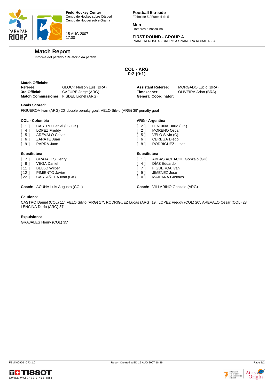

15 AUG 2007 17:00

**Football 5-a-side** Fútbol de 5 / Futebol de 5

**Men** Hombres / Masculino

# **FIRST ROUND - GROUP A**

PRIMERA RONDA - GRUPO A / PRIMEIRA RODADA - A

# **Match Report**

**Informe del partido / Relatório da partida**

**COL - ARG 0:2 (0:1)**

| <b>Match Officials:</b>                 |                                |                             |                     |
|-----------------------------------------|--------------------------------|-----------------------------|---------------------|
| Referee:                                | <b>GLOCK Nelson Luis (BRA)</b> | <b>Assistant Referee:</b>   | MORGADO Lucio (BRA) |
| 3rd Official:                           | CAFURE Jorge (ARG)             | Timekeeper:                 | OLIVEIRA Adao (BRA) |
| Match Commissioner: FISDEL Lionel (ARG) |                                | <b>General Coordinator:</b> |                     |

#### **Goals Scored:**

FIGUEROA Iván (ARG) 20' double penalty goal, VELO Silvio (ARG) 39' penalty goal

#### **COL - Colombia**

- [ 1 ] CASTRO Daniel (C GK)
- [ 4 ] LOPEZ Freddy<br>  $\begin{array}{cc} 1 & 5 & 1 \end{array}$  AREVALO Ces
- [ 5 ] AREVALO Cesar<br>[ 6 ] ZARATE Juan
- [ 6 ] ZARATE Juan<br>[ 9 ] PARRA Juan
- PARRA Juan

#### **Substitutes:**

- [ 7 ] GRAJALES Henry
- [ 8 ] VEGA Daniel
- [11 ] BELLO Wilber
- [12 ] PIMIENTO Javier
- [ 22 ] CASTAÑEDA Ivan (GK)

# **ARG - Argentina**

- [12] LENCINA Darío (GK)
- [ 2 ] MORENO Oscar<br>[ 5 ] VELO Silvio (C)
- $\overline{1}$  5  $\overline{1}$  VELO Silvio (C)
- 
- [ 6 ] CEREGA Diego<br>[ 8 ] RODRIGUEZ Lu RODRIGUEZ Lucas

#### **Substitutes:**

- [ 1 ] ABBAS ACHACHE Gonzalo (GK)
- [ 4 ] DÍAZ Eduardo
- [ 7 ] FIGUEROA Iván
- $\overline{1}$  9  $\overline{1}$  JIMENEZ José
- [ 10 ] MAIDANA Gustavo

**Coach:** ACUNA Luis Augusto (COL) **Coach:** VILLARINO Gonzalo (ARG)

#### **Cautions:**

CASTRO Daniel (COL) 11', VELO Silvio (ARG) 17', RODRIGUEZ Lucas (ARG) 19', LOPEZ Freddy (COL) 20', AREVALO Cesar (COL) 23', LENCINA Darío (ARG) 37'

#### **Expulsions:**

GRAJALES Henry (COL) 35'



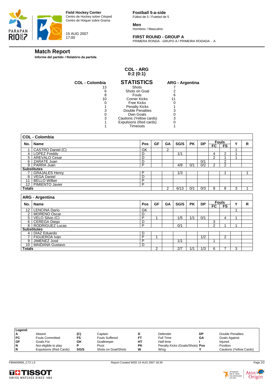



15 AUG 2007 17:00

**Football 5-a-side** Fútbol de 5 / Futebol de 5

**Men** Hombres / Masculino

# **FIRST ROUND - GROUP A**

PRIMERA RONDA - GRUPO A / PRIMEIRA RODADA - A

# **Match Report**

**Informe del partido / Relatório da partida**

#### **COL - ARG 0:2 (0:1)**

| <b>COL - Colombia</b> | <b>STATISTICS</b>       | <b>ARG - Argentina</b> |
|-----------------------|-------------------------|------------------------|
| 13                    | Shots                   |                        |
| 6                     | Shots on Goal           |                        |
| 8                     | Fouls                   |                        |
| 10                    | Corner Kicks            |                        |
|                       | Free Kicks              |                        |
|                       | <b>Penalty Kicks</b>    |                        |
| 3                     | <b>Double Penalties</b> |                        |
| O                     | Own Goals               |                        |
| 3                     | Cautions (Yellow cards) | 3                      |
|                       | Expulsions (Red cards)  |                        |
|                       | Timeouts                |                        |
|                       |                         |                        |

|                 | <b>COL - Colombia</b>  |     |                |           |      |           |                  |                |                    |   |   |
|-----------------|------------------------|-----|----------------|-----------|------|-----------|------------------|----------------|--------------------|---|---|
|                 |                        | Pos | <b>GF</b>      | GA        | SG/S | <b>PK</b> | <b>DP</b>        |                | <b>Fouls</b>       | Y | R |
| No.             | Name                   |     |                |           |      |           |                  | FC             | FS                 |   |   |
|                 | CASTRO Daniel (C)      | GK  |                | 2         |      |           |                  |                |                    |   |   |
| 4 <sup>1</sup>  | <b>LOPEZ Freddy</b>    | D   |                |           | 1/1  |           |                  | 4              | $\mathcal{P}$      |   |   |
| $\overline{5}$  | <b>AREVALO Cesar</b>   | D   |                |           |      |           |                  | $\overline{2}$ |                    |   |   |
| 6               | ZARATE Juan            | D   |                |           |      |           | 0/1              |                | $\overline{2}$     |   |   |
|                 | 9 PARRA Juan           | P   |                |           | 4/8  | 0/1       | $\overline{0/2}$ | $\overline{2}$ | $\overline{2}$     |   |   |
|                 | <b>Substitutes</b>     |     |                |           |      |           |                  |                |                    |   |   |
| 7 <sub>1</sub>  | <b>GRAJALES Henry</b>  | P   |                |           | 1/3  |           |                  |                |                    |   |   |
| 8               | <b>VEGA Daniel</b>     | D   |                |           |      |           |                  |                |                    |   |   |
| 11              | <b>BELLO Wilber</b>    | P   |                |           |      |           |                  |                |                    |   |   |
| 12 <sub>1</sub> | <b>PIMIENTO Javier</b> | P   |                |           |      |           |                  |                |                    |   |   |
| <b>Totals</b>   |                        |     |                | 2         | 6/13 | 0/1       | 0/3              | 8              | 8                  | 3 |   |
|                 |                        |     |                |           |      |           |                  |                |                    |   |   |
|                 | <b>ARG - Argentina</b> |     |                |           |      |           |                  |                |                    |   |   |
| No.             | <b>Name</b>            | Pos | <b>GF</b>      | <b>GA</b> | SG/S | <b>PK</b> | <b>DP</b>        | $_{\rm FC}$    | <b>Fouls</b><br>FS | Y | R |
| 12 <sub>1</sub> | <b>LENCINA Darío</b>   | GK  |                |           |      |           |                  |                |                    |   |   |
| $\overline{2}$  | <b>MORENO Oscar</b>    | D   |                |           |      |           |                  |                |                    |   |   |
| 5 <sup>1</sup>  | VELO Silvio (C)        | P   | 1              |           | 1/5  | 1/1       | 0/1              |                | 4                  | 1 |   |
|                 | 6 CEREGA Diego         | D   |                |           |      |           |                  | 3              |                    |   |   |
|                 | 8   RODRIGUEZ Lucas    | P   |                |           | 0/1  |           |                  | $\overline{2}$ |                    |   |   |
|                 | <b>Substitutes</b>     |     |                |           |      |           |                  |                |                    |   |   |
|                 | 4   DIAZ Eduardo       | D   |                |           |      |           |                  |                |                    |   |   |
| 7               | FIGUEROA Iván          | P   |                |           |      |           | 1/2              |                | $\overline{2}$     |   |   |
| 9 <sup>1</sup>  | JIMENEZ José           | P   |                |           | 1/1  |           |                  | 1              |                    |   |   |
|                 | 10   MAIDANA Gustavo   | D   |                |           |      |           |                  |                |                    |   |   |
| <b>Totals</b>   |                        |     | $\overline{2}$ |           | 2/7  | 1/1       | 1/3              | 6              | $\overline{7}$     | 3 |   |

| Legend:    |                        |      |                       |    |                                 |    |                         |
|------------|------------------------|------|-----------------------|----|---------------------------------|----|-------------------------|
| A          | Absent                 | (C)  | Captain               |    | Defender                        | DP | Double Penalties        |
| FC         | <b>Fouls Committed</b> | FS   | <b>Fouls Suffered</b> | FT | Full Time                       | GΑ | Goals Against           |
| <b>IGF</b> | Goals For              | GK   | Goalkeeper            | НT | Half-time                       |    | Injured                 |
| <b>N</b>   | Not eligible to play   |      | Pivot                 | PΚ | Penalty Kicks (Goals/Shots) Pos |    | Position                |
| R          | Expulsions (Red Cards) | SG/S | Shots on Goal/Shots   | W  | Wina                            |    | Cautions (Yellow Cards) |
|            |                        |      |                       |    |                                 |    |                         |



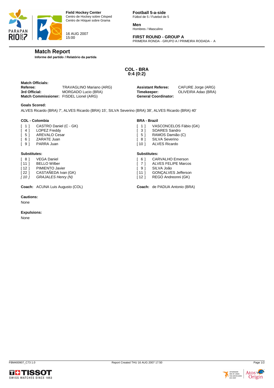

16 AUG 2007 15:00

**Football 5-a-side** Fútbol de 5 / Futebol de 5

**Men** Hombres / Masculino

# **FIRST ROUND - GROUP A**

PRIMERA RONDA - GRUPO A / PRIMEIRA RODADA - A

# **Match Report**

**Informe del partido / Relatório da partida**

**COL - BRA 0:4 (0:2)**

**Match Officials: Referee:** TRAVAGLINO Mariano (ARG) **Assistant Referee:** CAFURE Jorge (ARG) **3rd Official:** MORGADO Lucio (BRA) **Timekeeper:** OLIVEIRA Adao (BRA) **Match Commissioner:** FISDEL Lionel (ARG)

#### **Goals Scored:**

ALVES Ricardo (BRA) 7', ALVES Ricardo (BRA) 15', SILVA Severino (BRA) 38', ALVES Ricardo (BRA) 40'

#### **COL - Colombia**

- [ 1 ] CASTRO Daniel (C GK)
- [ 4 ] LOPEZ Freddy<br>  $\begin{array}{cc} 1 & 5 & 1 \end{array}$  AREVALO Ces
- [ 5 ] AREVALO Cesar<br>[ 6 ] ZARATE Juan
- [ 6 ] ZARATE Juan<br>[ 9 ] PARRA Juan
- PARRA Juan

#### **Substitutes:**

- [ 8 ] VEGA Daniel
- [11] BELLO Wilber
- [ 12 ] PIMIENTO Javier
- [ 22 ] CASTAÑEDA Ivan (GK)
- *[ 10 ] GRAJALES Henry (N)*

**Coach:** ACUNA Luis Augusto (COL) **Coach:** de PADUA Antonio (BRA)

#### **Cautions:**

None

#### **Expulsions:**

None



- [ 1 ] VASCONCELOS Fábio (GK)
- [ 3 ] SOARES Sandro<br>[ 5 ] RAMOS Damião
- [ 5 ] RAMOS Damião (C)
- 
- [ 8 ] SILVA Severino<br>[ 10 ] ALVES Ricardo ALVES Ricardo

#### **Substitutes:**

- [ 6 ] CARVALHO Emerson
- [ 7 ] ALVES FELIPE Marcos
- [ 9 ] SILVA João
- [11 ] GONÇALVES Jefferson
- [12 ] REGO Andreonni (GK)

![](_page_32_Picture_44.jpeg)

![](_page_32_Picture_45.jpeg)

![](_page_32_Picture_47.jpeg)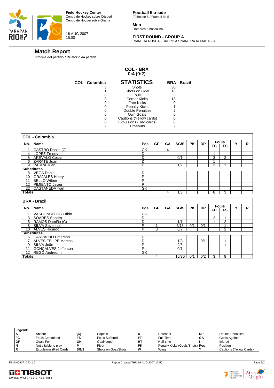![](_page_33_Picture_0.jpeg)

![](_page_33_Picture_1.jpeg)

16 AUG 2007 15:00

**Football 5-a-side** Fútbol de 5 / Futebol de 5

**Men** Hombres / Masculino

# **FIRST ROUND - GROUP A**

PRIMERA RONDA - GRUPO A / PRIMEIRA RODADA - A

# **Match Report**

**Informe del partido / Relatório da partida**

#### **COL - BRA 0:4 (0:2)**

| <b>COL - Colombia</b> | <b>STATISTICS</b>       | <b>BRA - Brazil</b> |
|-----------------------|-------------------------|---------------------|
| 3                     | <b>Shots</b>            | 30                  |
|                       | Shots on Goal           | 16                  |
| 8                     | Fouls                   | 3                   |
| 3                     | Corner Kicks            | 18                  |
|                       | <b>Free Kicks</b>       |                     |
|                       | <b>Penalty Kicks</b>    |                     |
|                       | <b>Double Penalties</b> |                     |
|                       | Own Goals               |                     |
|                       | Cautions (Yellow cards) |                     |
| O                     | Expulsions (Red cards)  |                     |
| 2                     | <b>Timeouts</b>         | 2                   |
|                       |                         |                     |

|                 | <b>COL - Colombia</b>                         |                 |           |           |             |           |           |                                  |                           |   |   |
|-----------------|-----------------------------------------------|-----------------|-----------|-----------|-------------|-----------|-----------|----------------------------------|---------------------------|---|---|
| No.             | <b>Name</b>                                   | Pos             | <b>GF</b> | GA        | SG/S        | <b>PK</b> | <b>DP</b> | FC                               | <b>Fouls</b><br><b>FS</b> | Y | R |
| 1               | CASTRO Daniel (C)                             | GK              |           | 4         |             |           |           |                                  |                           |   |   |
| 4               | <b>LOPEZ Freddy</b>                           | D               |           |           |             |           |           | 1                                |                           |   |   |
| 5               | <b>AREVALO Cesar</b>                          | $\overline{D}$  |           |           | 0/1         |           |           | 3                                | $\overline{2}$            |   |   |
| 6               | ZARATE Juan                                   | D               |           |           |             |           |           | 4                                |                           |   |   |
| 9               | PARRA Juan                                    | P               |           |           | 1/2         |           |           | 3                                | 1                         |   |   |
|                 | <b>Substitutes</b>                            |                 |           |           |             |           |           |                                  |                           |   |   |
|                 | 8 VEGA Daniel                                 | D               |           |           |             |           |           |                                  |                           |   |   |
| 10              | <b>GRAJALES Henry</b>                         | P               |           |           |             |           |           |                                  |                           |   |   |
| 11              | <b>BELLO Wilber</b>                           | P               |           |           |             |           |           |                                  |                           |   |   |
| 12 <sup>2</sup> | PIMIENTO Javier                               | Þ               |           |           |             |           |           |                                  |                           |   |   |
| 22              | CASTAÑEDA Ivan                                | $\overline{GK}$ |           |           |             |           |           |                                  |                           |   |   |
| <b>Totals</b>   |                                               |                 |           | 4         | 1/3         |           |           | 8                                | 3                         |   |   |
|                 |                                               |                 |           |           |             |           |           |                                  |                           |   |   |
|                 |                                               |                 |           |           |             |           |           |                                  |                           |   |   |
|                 | <b>BRA - Brazil</b>                           |                 |           |           |             |           |           |                                  |                           |   |   |
| No.             | <b>Name</b>                                   | Pos             | <b>GF</b> | <b>GA</b> | SG/S        | <b>PK</b> | <b>DP</b> |                                  | <b>Fouls</b>              | Y | R |
|                 |                                               |                 |           |           |             |           |           | <b>FC</b>                        | <b>FS</b>                 |   |   |
| 1               | VASCONCELOS Fábio                             | GK              |           |           |             |           |           |                                  | 1                         |   |   |
| 3               | <b>SOARES Sandro</b>                          | D               |           |           |             |           |           | $\overline{2}$<br>$\overline{ }$ |                           |   |   |
| 5               | RAMOS Damião (C)                              | D<br>P          | 4         |           | 1/1         | 0/1       | 0/1       |                                  | $\overline{2}$<br>4       |   |   |
| 8<br>10         | SILVA Severino                                | P               | 3         |           | 6/13<br>6/7 |           |           |                                  | 2                         |   |   |
|                 | <b>ALVES Ricardo</b>                          |                 |           |           |             |           |           |                                  |                           |   |   |
| 6               | <b>Substitutes</b><br><b>CARVALHO Emerson</b> | D               |           |           |             |           |           |                                  |                           |   |   |
| $\overline{7}$  | <b>ALVES FELIPE Marcos</b>                    | D               |           |           | 1/3         |           | 0/1       |                                  | 4                         |   |   |
| 9               |                                               | P               |           |           | 2/5         |           |           |                                  | 1                         |   |   |
| 11              | SILVA João<br><b>GONCALVES Jefferson</b>      | P               |           |           | 0/1         |           |           |                                  |                           |   |   |
| 12              | REGÓ Andreonni                                | GK              |           |           |             |           |           |                                  |                           |   |   |

| Legend: |                        |      |                       |    |                                 |    |                         |
|---------|------------------------|------|-----------------------|----|---------------------------------|----|-------------------------|
| A       | Absent                 | (C)  | Captain               |    | Defender                        | DP | Double Penalties        |
| FC      | <b>Fouls Committed</b> | FS   | <b>Fouls Suffered</b> | FT | Full Time                       | GA | Goals Against           |
| GF      | Goals For              | GK   | Goalkeeper            | HT | Half-time                       |    | Injured                 |
| N       | Not eligible to play   |      | Pivot                 | ΡK | Penalty Kicks (Goals/Shots) Pos |    | Position                |
| R       | Expulsions (Red Cards) | SG/S | Shots on Goal/Shots   | W  | Wina                            |    | Cautions (Yellow Cards) |

![](_page_33_Picture_14.jpeg)

![](_page_33_Picture_15.jpeg)

![](_page_33_Picture_16.jpeg)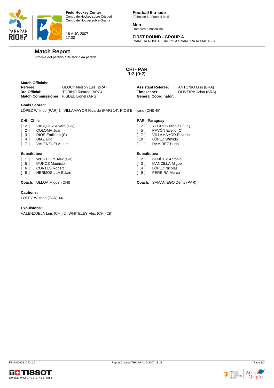![](_page_34_Picture_0.jpeg)

16 AUG 2007 17:00

**Football 5-a-side** Fútbol de 5 / Futebol de 5

**Men** Hombres / Masculino

# **FIRST ROUND - GROUP A**

PRIMERA RONDA - GRUPO A / PRIMEIRA RODADA - A

# **Match Report**

**Informe del partido / Relatório da partida**

**CHI - PAR 1:2 (0:2)**

| <b>Match Officials:</b>                 |                         |                             |                     |
|-----------------------------------------|-------------------------|-----------------------------|---------------------|
| Referee:                                | GLOCK Nelson Luis (BRA) | <b>Assistant Referee:</b>   | ANTONIO Luis (BRA)  |
| 3rd Official:                           | TORINO Ricardo (ARG)    | Timekeeper:                 | OLIVEIRA Adao (BRA) |
| Match Commissioner: FISDEL Lionel (ARG) |                         | <b>General Coordinator:</b> |                     |

#### **Goals Scored:**

LÓPEZ Wilfrido (PAR) 1', VILLAMAYOR Ricardo (PAR) 14', RIOS Emiliano (CHI) 48'

#### **CHI - Chile**

- [ 12 ] VASQUEZ Alvaro (GK)<br>[ 2 ] COLOMA Juan
- [ 2 ] COLOMA Juan<br>[ 3 ] RIOS Emiliano
- RIOS Emiliano (C)
- [ 4 ] DIAZ Eric<br>[ 7 ] VALENZU
- VALENZUELA Luis

#### **Substitutes:**

- [ 1 ] WHITELEY Alex (GK)
- [ 5 ] MUÑOZ Mauricio
- [ 6 ] CORTES Robert
- [ 8 ] HERMOSILLA Edwin

#### **Cautions:**

LÓPEZ Wilfrido (PAR) 44'

#### **Expulsions:**

VALENZUELA Luis (CHI) 2', WHITELEY Alex (CHI) 28'

#### **PAR - Paraguay**

- [ 12 ] YEGROS Nicolás (GK)
- 
- [ 5 ] PAVÓN Evelio (C)<br>[ 7 ] VILLAMAYOR Rica [ 7 ] VILLAMAYOR Ricardo
- 
- [ 10 ] LÓPEZ Wilfrido<br>[ 11 ] RAMÍREZ Hugo RAMÍREZ Hugo

#### **Substitutes:**

- [ 2 ] BENÍTEZ Antonio
- [ 3 ] MANCILLA Miguel
- [ 4 ] LÓPEZ Nicolás
- [ 9 ] PEREIRA Marco

**Coach:** ULLOA Miguel (CHI) **Coach:** SAMANIEGO Derlis (PAR)

![](_page_34_Picture_43.jpeg)

![](_page_34_Picture_45.jpeg)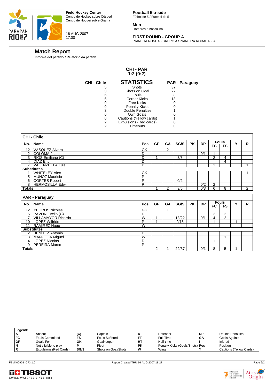![](_page_35_Picture_0.jpeg)

![](_page_35_Picture_1.jpeg)

16 AUG 2007 17:00

**Football 5-a-side** Fútbol de 5 / Futebol de 5

**Men** Hombres / Masculino

# **FIRST ROUND - GROUP A**

PRIMERA RONDA - GRUPO A / PRIMEIRA RODADA - A

# **Match Report**

**Informe del partido / Relatório da partida**

#### **CHI - PAR 1:2 (0:2)**

| <b>CHI-Chile</b> | <b>STATISTICS</b>       | <b>PAR - Paraguay</b> |
|------------------|-------------------------|-----------------------|
| 5                | Shots                   | 37                    |
| 3                | Shots on Goal           | 22                    |
| 6                | Fouls                   | 8                     |
| 6                | Corner Kicks            | 13                    |
|                  | Free Kicks              |                       |
|                  | <b>Penalty Kicks</b>    |                       |
| 3                | Double Penalties        |                       |
|                  | Own Goals               |                       |
|                  | Cautions (Yellow cards) |                       |
| 2                | Expulsions (Red cards)  |                       |
| 2                | Timeouts                |                       |
|                  |                         |                       |

|                | <b>CHI - Chile</b>                              |                 |           |                |                  |           |           |                |                    |   |                |
|----------------|-------------------------------------------------|-----------------|-----------|----------------|------------------|-----------|-----------|----------------|--------------------|---|----------------|
| No.            | Name                                            | Pos             | <b>GF</b> | GA             | SG/S             | <b>PK</b> | <b>DP</b> |                | <b>Fouls</b>       | Y | R.             |
|                |                                                 |                 |           |                |                  |           |           | $_{\sf FC}$    | F <sub>S</sub>     |   |                |
| 12             | VASQUEZ Alvaro                                  | GK              |           | $\overline{2}$ |                  |           |           |                |                    |   |                |
| 2 <sup>1</sup> | COLOMA Juan                                     | D               |           |                |                  |           | 0/1       | 1              |                    |   |                |
| $\overline{3}$ | RIOS Emiliano (C)                               | D               |           |                | $\overline{3/3}$ |           |           | $\overline{2}$ | 4                  |   |                |
| $4 \mid$       | <b>DIAZ Eric</b>                                | D               |           |                |                  |           |           |                | 4                  |   |                |
| $\overline{7}$ | <b>VALENZUELA Luis</b>                          | P               |           |                |                  |           |           | 1              |                    |   |                |
|                | <b>Substitutes</b>                              |                 |           |                |                  |           |           |                |                    |   |                |
| 1 <sup>1</sup> | <b>WHITELEY Alex</b>                            | $\overline{GK}$ |           |                |                  |           |           |                |                    |   |                |
| 5 <sup>1</sup> | <b>MUÑOZ Mauricio</b>                           | P               |           |                |                  |           |           |                |                    |   |                |
| $6 \mid$       | <b>CORTES Robert</b>                            | P               |           |                | 0/2              |           |           |                |                    |   |                |
|                | 8   HERMOSILLA Edwin                            | P               |           |                |                  |           | 0/2       | $\overline{2}$ |                    |   |                |
| <b>Totals</b>  |                                                 |                 |           | 2              | 3/5              |           | 0/3       | 6              | 8                  |   | $\overline{2}$ |
|                |                                                 |                 |           |                |                  |           |           |                |                    |   |                |
|                |                                                 |                 |           |                |                  |           |           |                |                    |   |                |
|                | PAR - Paraguay                                  |                 |           |                |                  |           |           |                |                    |   |                |
| No.            | <b>Name</b>                                     | Pos             | <b>GF</b> | GA             | SG/S             | <b>PK</b> | <b>DP</b> | FC             | <b>Fouls</b><br>FS | Y | R              |
|                |                                                 |                 |           | 1              |                  |           |           |                |                    |   |                |
| 12             | YEGROS Nicolás                                  | GK<br>D         |           |                |                  |           |           | $\overline{2}$ | $\overline{2}$     |   |                |
| $\overline{7}$ | 5 PAVON Evelio (C)<br><b>VILLAMAYOR Ricardo</b> | W               |           |                | 13/22            |           | 0/1       | 4              | $\overline{2}$     |   |                |
|                | 10 LÓPEZ Wilfrido                               | P               |           |                | 9/15             |           |           | 1              |                    |   |                |
| 11             |                                                 | W               |           |                |                  |           |           |                |                    |   |                |
|                | RAMIREZ Hugo<br><b>Substitutes</b>              |                 |           |                |                  |           |           |                |                    |   |                |
| 2 <sub>1</sub> |                                                 | D               |           |                |                  |           |           |                |                    |   |                |
| 3              | <b>BENITEZ Antonio</b>                          | W               |           |                |                  |           |           |                | 4                  |   |                |
| $\overline{4}$ | <b>MANCILLA Miguel</b><br>LÓPEZ Nicolás         | D               |           |                |                  |           |           | 1              |                    |   |                |
|                | 9   PEREIRA Marco                               | P               |           |                |                  |           |           |                |                    |   |                |

| Legend:   |                        |      |                       |           |                                 |    |                         |
|-----------|------------------------|------|-----------------------|-----------|---------------------------------|----|-------------------------|
| ۱A        | Absent                 | (C)  | Captain               |           | Defender                        | DP | Double Penalties        |
| <b>FC</b> | <b>Fouls Committed</b> | FS   | <b>Fouls Suffered</b> | FT        | Full Time                       | GΑ | Goals Against           |
| <b>GF</b> | Goals For              | GK   | Goalkeeper            | HТ        | Half-time                       |    | Injured                 |
| N         | Not eligible to play   |      | Pivot                 | <b>PK</b> | Penalty Kicks (Goals/Shots) Pos |    | Position                |
| R         | Expulsions (Red Cards) | SG/S | Shots on Goal/Shots   | w         | Wing                            |    | Cautions (Yellow Cards) |
|           |                        |      |                       |           |                                 |    |                         |

![](_page_35_Picture_14.jpeg)

![](_page_35_Picture_16.jpeg)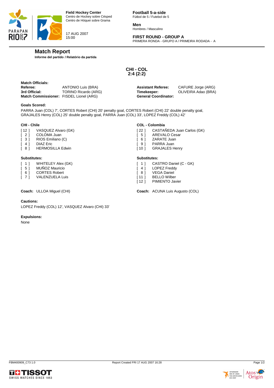![](_page_36_Picture_0.jpeg)

17 AUG 2007 15:00

**Football 5-a-side** Fútbol de 5 / Futebol de 5

**Men** Hombres / Masculino

# **FIRST ROUND - GROUP A**

PRIMERA RONDA - GRUPO A / PRIMEIRA RODADA - A

# **Match Report**

**Informe del partido / Relatório da partida**

**CHI - COL 2:4 (2:2)**

| <b>Match Officials:</b>                        |                      |                             |                     |
|------------------------------------------------|----------------------|-----------------------------|---------------------|
| Referee:                                       | ANTONIO Luis (BRA)   | <b>Assistant Referee:</b>   | CAFURE Jorge (ARG)  |
| 3rd Official:                                  | TORINO Ricardo (ARG) | Timekeeper:                 | OLIVEIRA Adao (BRA) |
| <b>Match Commissioner:</b> FISDEL Lionel (ARG) |                      | <b>General Coordinator:</b> |                     |

#### **Goals Scored:**

PARRA Juan (COL) 7', CORTES Robert (CHI) 20' penalty goal, CORTES Robert (CHI) 22' double penalty goal, GRAJALES Henry (COL) 25' double penalty goal, PARRA Juan (COL) 33', LOPEZ Freddy (COL) 42'

#### **CHI - Chile**

- [ 12 ] VASQUEZ Alvaro (GK)<br>[ 2 ] COLOMA Juan
- COLOMA Juan
- [ 3 ] RIOS Emiliano (C)<br>[ 4 ] DIAZ Eric
- [ 4 ] DIAZ Eric<br>[ 8 ] HERMOSI HERMOSILLA Edwin

#### **Substitutes:**

- [ 1 ] WHITELEY Alex (GK)
- 
- [ 5 ] MUÑOZ Mauricio<br>[ 6 ] CORTES Robert CORTES Robert
- [ 7 ] VALENZUELA Luis

#### **Cautions:**

LOPEZ Freddy (COL) 12', VASQUEZ Alvaro (CHI) 33'

#### **Expulsions:**

None

#### **COL - Colombia**

- [ 22 ] CASTAÑEDA Juan Carlos (GK)<br>[ 5 ] AREVALO Cesar
- AREVALO Cesar
- [ 6 ] ZARATE Juan<br>[ 9 ] PARRA Juan
- PARRA Juan [ 10 ] GRAJALES Henry
- **Substitutes:**
- [ 1 ] CASTRO Daniel (C GK)
- 
- [ 4 ] LOPEZ Freddy<br>[ 8 ] VEGA Daniel VEGA Daniel
- [11 ] BELLO Wilber
- [12 ] PIMIENTO Javier

**Coach:** ULLOA Miguel (CHI) **Coach:** ACUNA Luis Augusto (COL)

![](_page_36_Picture_43.jpeg)

![](_page_36_Picture_45.jpeg)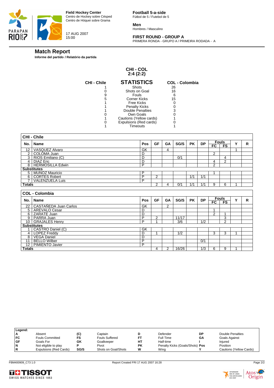![](_page_37_Picture_0.jpeg)

![](_page_37_Picture_1.jpeg)

17 AUG 2007 15:00

**Football 5-a-side** Fútbol de 5 / Futebol de 5

**Men** Hombres / Masculino

# **FIRST ROUND - GROUP A**

PRIMERA RONDA - GRUPO A / PRIMEIRA RODADA - A

# **Match Report**

**Informe del partido / Relatório da partida**

#### **CHI - COL 2:4 (2:2)**

| <b>CHI-Chile</b> | <b>STATISTICS</b>       | <b>COL - Colombia</b> |
|------------------|-------------------------|-----------------------|
|                  | Shots                   | 26                    |
|                  | Shots on Goal           | 16                    |
| 9                | Fouls                   |                       |
| 5                | Corner Kicks            | 15                    |
|                  | Free Kicks              |                       |
|                  | <b>Penalty Kicks</b>    |                       |
|                  | Double Penalties        |                       |
|                  | Own Goals               |                       |
|                  | Cautions (Yellow cards) |                       |
| Ω                | Expulsions (Red cards)  |                       |
|                  | Timeouts                |                       |
|                  |                         |                       |

|                | <b>CHI - Chile</b>         |                |                |    |       |           |           |                |                |   |   |
|----------------|----------------------------|----------------|----------------|----|-------|-----------|-----------|----------------|----------------|---|---|
|                |                            | Pos            | <b>GF</b>      | GA |       | <b>PK</b> | <b>DP</b> |                | <b>Fouls</b>   | Y | R |
|                | No.   Name                 |                |                |    | SG/S  |           |           | $F_{\rm C}$    | F <sub>S</sub> |   |   |
| 12             | VASQUEZ Alvaro             | GK             |                | 4  |       |           |           |                |                | 4 |   |
|                | 2   COLOMA Juan            | D              |                |    |       |           |           | 2              |                |   |   |
|                | 3 RIOS Emiliano (C)        | D              |                |    | 0/1   |           |           |                | 4              |   |   |
| 4 <sup>1</sup> | <b>DIAZ Eric</b>           | D              |                |    |       |           |           | 4              | $\overline{2}$ |   |   |
|                | 8   HERMOSILLA Edwin       | P              |                |    |       |           |           | $\overline{2}$ |                |   |   |
|                | <b>Substitutes</b>         |                |                |    |       |           |           |                |                |   |   |
|                | 5 MUÑOZ Mauricio           | P              |                |    |       |           |           |                |                |   |   |
|                | 6 CORTES Robert            | P              | 2              |    |       | 1/1       | 1/1       |                |                |   |   |
| $\overline{7}$ | <b>VALENZUELA Luis</b>     | P              |                |    |       |           |           |                |                |   |   |
| Totals         |                            |                | 2              | 4  | 0/1   | 1/1       | 1/1       | 9              | 6              | 1 |   |
|                |                            |                |                |    |       |           |           |                |                |   |   |
|                |                            |                |                |    |       |           |           |                |                |   |   |
|                | <b>COL - Colombia</b>      |                |                |    |       |           |           |                |                |   |   |
|                |                            |                |                |    |       |           |           |                | <b>Fouls</b>   |   |   |
|                | No.   Name                 | Pos            | <b>GF</b>      | GA | SG/S  | <b>PK</b> | <b>DP</b> | $F_{\rm C}$    | F <sub>S</sub> | Y | R |
|                | 22   CASTAÑEDA Juan Carlos | GK             |                | 2  |       |           |           |                |                |   |   |
|                | 5   AREVALO Cesar          | D              |                |    |       |           |           | $\overline{ }$ |                |   |   |
|                | 6 ZARATE Juan              | D              |                |    |       |           |           | $\overline{2}$ | 1              |   |   |
|                | 9 PARRA Juan               | P              | $\overline{2}$ |    | 11/17 |           |           |                | 3              |   |   |
|                | 10   GRAJALES Henry        | P              |                |    | 3/6   |           | 1/2       |                | $\mathcal{P}$  |   |   |
|                | <b>Substitutes</b>         |                |                |    |       |           |           |                |                |   |   |
|                | CASTRO Daniel (C)          | GK             |                |    |       |           |           |                |                |   |   |
|                | 4   LOPEZ Freddy           | D              | 4              |    | 1/2   |           |           | 3              | 3              | 1 |   |
| 8              | <b>VEGA Daniel</b>         | D              |                |    |       |           |           |                |                |   |   |
| 11             | <b>BELLO Wilber</b>        | $\overline{P}$ |                |    |       |           | 0/1       |                |                |   |   |
| 12             | PIMIENTO Javier            | P              |                |    |       |           |           |                |                |   |   |

| Legend:   |                        |      |                       |           |                                 |    |                         |
|-----------|------------------------|------|-----------------------|-----------|---------------------------------|----|-------------------------|
| ۱A        | Absent                 | (C)  | Captain               |           | Defender                        | DP | Double Penalties        |
| IFC.      | <b>Fouls Committed</b> | FS   | <b>Fouls Suffered</b> |           | Full Time                       | GΑ | Goals Against           |
| <b>GF</b> | Goals For              | GK   | Goalkeeper            | HТ        | Half-time                       |    | Injured                 |
| N         | Not eligible to play   |      | Pivot                 | <b>PK</b> | Penalty Kicks (Goals/Shots) Pos |    | Position                |
| R         | Expulsions (Red Cards) | SG/S | Shots on Goal/Shots   | w         | Wing                            |    | Cautions (Yellow Cards) |
|           |                        |      |                       |           |                                 |    |                         |

![](_page_37_Picture_14.jpeg)

![](_page_37_Picture_16.jpeg)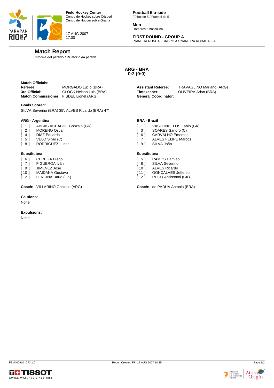![](_page_38_Picture_0.jpeg)

17 AUG 2007 17:00

**Football 5-a-side** Fútbol de 5 / Futebol de 5

**Men** Hombres / Masculino

# **FIRST ROUND - GROUP A**

PRIMERA RONDA - GRUPO A / PRIMEIRA RODADA - A

# **Match Report**

**Informe del partido / Relatório da partida**

**ARG - BRA 0:2 (0:0)**

**Match Officials: 3rd Official:** GLOCK Nelson Luis (BRA) **Timekeeper:** OLIVEIRA Adao (BRA) **Match Commissioner:** FISDEL Lionel (ARG)

**Goals Scored:**

SILVA Severino (BRA) 35', ALVES Ricardo (BRA) 47'

# **ARG - Argentina**

- [ 1 ] ABBAS ACHACHE Gonzalo (GK)<br>[ 2 ] MORENO Oscar
- [ 2 ] MORENO Oscar<br>[ 4 ] DÍAZ Eduardo
- DÍAZ Eduardo
- 
- [ 5 ] VELO Silvio (C)<br>[ 8 ] RODRIGUEZ Lu RODRIGUEZ Lucas

#### **Substitutes:**

- [ 6 ] CEREGA Diego
- [ 7 ] FIGUEROA Iván
- [ 9 ] JIMENEZ José
- [ 10 ] MAIDANA Gustavo
- [12] LENCINA Darío (GK)

**Coach:** VILLARINO Gonzalo (ARG) **Coach:** de PADUA Antonio (BRA)

#### **Cautions:**

None

#### **Expulsions:**

None

![](_page_38_Picture_30.jpeg)

**Referee:** MORGADO Lucio (BRA) **Assistant Referee:** TRAVAGLINO Mariano (ARG)

#### **BRA - Brazil**

- [ 1 ] VASCONCELOS Fábio (GK)
- [ 3 ] SOARES Sandro (C)<br>[ 6 ] CARVALHO Emersor
- $\overline{1}$  6  $\overline{1}$  CARVALHO Emerson
- [ 7 ] ALVES FELIPE Marcos<br>[ 9 ] SILVA João
- SILVA João

#### **Substitutes:**

- [ 5 ] RAMOS Damião
- [ 8 ] SILVA Severino
- [ 10 ] ALVES Ricardo
- [11 ] GONÇALVES Jefferson
- [12 ] REGO Andreonni (GK)

![](_page_38_Picture_46.jpeg)

![](_page_38_Picture_48.jpeg)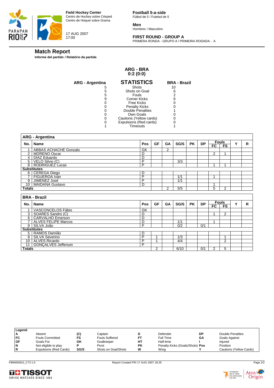![](_page_39_Picture_0.jpeg)

![](_page_39_Picture_1.jpeg)

17 AUG 2007 17:00

**Football 5-a-side** Fútbol de 5 / Futebol de 5

**Men** Hombres / Masculino

# **FIRST ROUND - GROUP A**

PRIMERA RONDA - GRUPO A / PRIMEIRA RODADA - A

# **Match Report**

**Informe del partido / Relatório da partida**

#### **ARG - BRA 0:2 (0:0)**

| <b>ARG - Argentina</b> | <b>STATISTICS</b>       | <b>BRA - Brazil</b> |
|------------------------|-------------------------|---------------------|
| 5                      | Shots                   | 10                  |
| 5                      | Shots on Goal           |                     |
| 5                      | <b>Fouls</b>            |                     |
| 9                      | <b>Corner Kicks</b>     | 6                   |
|                        | Free Kicks              |                     |
|                        | <b>Penalty Kicks</b>    |                     |
|                        | Double Penalties        |                     |
|                        | Own Goals               |                     |
|                        | Cautions (Yellow cards) |                     |
|                        | Expulsions (Red cards)  |                     |
|                        | <b>Timeouts</b>         |                     |

|                | <b>ARG - Argentina</b>       |     |                |           |      |           |           |              |                    |   |   |
|----------------|------------------------------|-----|----------------|-----------|------|-----------|-----------|--------------|--------------------|---|---|
|                |                              |     | <b>GF</b>      | GA        | SG/S | <b>PK</b> | <b>DP</b> | <b>Fouls</b> |                    | Y | R |
| No. l          | <b>Name</b>                  | Pos |                |           |      |           |           | FC           | FS                 |   |   |
|                | <b>ABBAS ACHACHE Gonzalo</b> | GK  |                | 2         |      |           |           |              |                    |   |   |
| 2 <sup>1</sup> | <b>MORENO Oscar</b>          | D   |                |           |      |           |           | 2            | 1                  |   |   |
| 4              | DIAZ Eduardo                 | D   |                |           |      |           |           |              |                    |   |   |
| $5\vert$       | VELO Silvio (C)              | P   |                |           | 3/3  |           |           |              |                    |   |   |
|                | 8   RODRIGUEZ Lucas          | P   |                |           |      |           |           | 4            | 4                  |   |   |
|                | <b>Substitutes</b>           |     |                |           |      |           |           |              |                    |   |   |
|                | 6 CEREGA Diego               | D   |                |           |      |           |           |              |                    |   |   |
| $\overline{7}$ | FIGUEROA Iván                | P   |                |           | 1/1  |           |           | 1            |                    |   |   |
| '9             | JIMENEZ José                 | P   |                |           | 1/1  |           |           |              |                    |   |   |
|                | 10   MAIDANA Gustavo         | D   |                |           |      |           |           | 1            |                    |   |   |
| <b>Totals</b>  |                              |     |                | 2         | 5/5  |           |           | 5            | $\overline{2}$     |   |   |
|                |                              |     |                |           |      |           |           |              |                    |   |   |
|                | <b>BRA - Brazil</b>          |     |                |           |      |           |           |              |                    |   |   |
| No. I          | <b>Name</b>                  | Pos | GF             | <b>GA</b> | SG/S | <b>PK</b> | <b>DP</b> | $F_{\rm C}$  | <b>Fouls</b><br>FS | Y | R |
| 1              | VASCONCELOS Fábio            | GK  |                |           |      |           |           |              |                    |   |   |
|                | 3 SOARES Sandro (C)          | D   |                |           |      |           |           | 1            | $\overline{2}$     |   |   |
|                | 6 CARVALHO Emerson           | D   |                |           |      |           |           |              |                    |   |   |
|                | 7 ALVES FELIPE Marcos        | D   |                |           | 1/1  |           |           | 1            |                    |   |   |
|                | 9 SILVA João                 | P   |                |           | 0/2  |           | 0/1       |              |                    |   |   |
|                | <b>Substitutes</b>           |     |                |           |      |           |           |              |                    |   |   |
|                | 5   RAMOS Damião             | D   |                |           |      |           |           |              |                    |   |   |
| 8              | SILVA Severino               | P   |                |           | 1/3  |           |           |              | 1                  |   |   |
|                | 10 ALVES Ricardo             | P   | $\overline{A}$ |           | 4/4  |           |           |              | $\overline{2}$     |   |   |
| 11             | <b>GONÇALVES Jefferson</b>   | P   |                |           |      |           |           |              |                    |   |   |
| <b>Totals</b>  |                              |     | $\overline{2}$ |           | 6/10 |           | 0/1       |              | 5                  |   |   |

| Legend: |                        |      |                       |           |                                 |    |                         |
|---------|------------------------|------|-----------------------|-----------|---------------------------------|----|-------------------------|
| А       | Absent                 | (C)  | Captain               |           | Defender                        | DΡ | Double Penalties        |
| FC      | <b>Fouls Committed</b> | FS   | <b>Fouls Suffered</b> | FТ        | Full Time                       | GΑ | Goals Against           |
| ∣GF     | Goals For              | GK   | Goalkeeper            | НT        | Half-time                       |    | Injured                 |
| N       | Not eligible to play   |      | Pivot                 | <b>PK</b> | Penalty Kicks (Goals/Shots) Pos |    | Position                |
| R       | Expulsions (Red Cards) | SG/S | Shots on Goal/Shots   | W         | Wina                            |    | Cautions (Yellow Cards) |
|         |                        |      |                       |           |                                 |    |                         |

![](_page_39_Picture_14.jpeg)

![](_page_39_Picture_16.jpeg)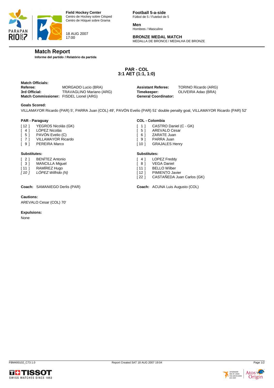![](_page_40_Picture_0.jpeg)

18 AUG 2007 17:00

**Football 5-a-side** Fútbol de 5 / Futebol de 5

**Men** Hombres / Masculino

# **BRONZE MEDAL MATCH**

MEDALLA DE BRONCE / MEDALHA DE BRONZE

# **Match Report**

**Informe del partido / Relatório da partida**

**PAR - COL 3:1 AET (1:1, 1:0)**

| <b>Match Officials:</b>                 |                                 |                             |
|-----------------------------------------|---------------------------------|-----------------------------|
| Referee:                                | MORGADO Lucio (BRA)             | <b>Assistant Referee:</b>   |
| 3rd Official:                           | <b>TRAVAGLINO Mariano (ARG)</b> | Timekeeper:                 |
| Match Commissioner: FISDEL Lionel (ARG) |                                 | <b>General Coordinator:</b> |

**Assistant Referee:** TORINO Ricardo (ARG) **Timekeeper: OLIVEIRA Adao (BRA)** 

#### **Goals Scored:**

VILLAMAYOR Ricardo (PAR) 5', PARRA Juan (COL) 49', PAVÓN Evelio (PAR) 51' double penalty goal, VILLAMAYOR Ricardo (PAR) 52'

#### **PAR - Paraguay**

- [ 12 ] YEGROS Nicolás (GK)<br>[ 4 ] LÓPEZ Nicolás
- [ 4 ] LÓPEZ Nicolás<br>[ 5 ] PAVÓN Evelio
- PAVÓN Evelio (C)
- [ 7 ] VILLAMAYOR Ricardo<br>[ 9 ] PEREIRA Marco
- PEREIRA Marco

#### **Substitutes:**

- [ 2 ] BENÍTEZ Antonio
- [ 3 ] MANCILLA Miguel
- [ 11 ] RAMÍREZ Hugo
- *[ 10 ] LÓPEZ Wilfrido (N)*

#### **Cautions:**

AREVALO Cesar (COL) 70'

#### **Expulsions:**

None

# **COL - Colombia**

- [ 1 ] CASTRO Daniel (C GK)
- [ 5 ] AREVALO Cesar<br>[ 6 ] ZARATE Juan
- [ 6 ] ZARATE Juan
- [ 9 ] PARRA Juan<br>[ 10 ] GRAJALES H
- GRAJALES Henry

#### **Substitutes:**

- [ 4 ] LOPEZ Freddy
- [ 8 ] VEGA Daniel
- [ 11 ] BELLO Wilber
- [12 ] PIMIENTO Javier
- [ 22 ] CASTAÑEDA Juan Carlos (GK)
- **Coach:** SAMANIEGO Derlis (PAR) **Coach:** ACUNA Luis Augusto (COL)

![](_page_40_Picture_45.jpeg)

![](_page_40_Picture_47.jpeg)

![](_page_40_Picture_50.jpeg)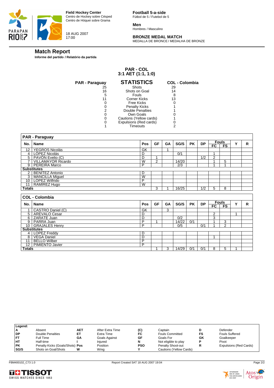![](_page_41_Picture_0.jpeg)

![](_page_41_Picture_1.jpeg)

18 AUG 2007 17:00

**Football 5-a-side** Fútbol de 5 / Futebol de 5

**Men** Hombres / Masculino

# **BRONZE MEDAL MATCH**

MEDALLA DE BRONCE / MEDALHA DE BRONZE

# **Match Report**

**Informe del partido / Relatório da partida**

#### **PAR - COL 3:1 AET (1:1, 1:0)**

| <b>PAR - Paraguay</b> | <b>STATISTICS</b>       | <b>COL - Colombia</b> |
|-----------------------|-------------------------|-----------------------|
| 25                    | Shots                   | 29                    |
| 16                    | Shots on Goal           | 14                    |
| 5                     | Fouls                   | 8                     |
| 11                    | Corner Kicks            | 13                    |
|                       | Free Kicks              |                       |
|                       | <b>Penalty Kicks</b>    |                       |
| 2                     | <b>Double Penalties</b> |                       |
|                       | Own Goals               |                       |
|                       | Cautions (Yellow cards) |                       |
|                       | Expulsions (Red cards)  |                       |
|                       | <b>Timeouts</b>         |                       |
|                       |                         |                       |

|                 | <b>PAR - Paraguay</b>          |     |           |    |                  |           |           |                         |                    |                         |   |
|-----------------|--------------------------------|-----|-----------|----|------------------|-----------|-----------|-------------------------|--------------------|-------------------------|---|
| No.             | Name                           | Pos | <b>GF</b> | GA | SG/S             | <b>PK</b> | <b>DP</b> |                         | <b>Fouls</b>       | Y                       | R |
|                 |                                |     |           |    |                  |           |           | $_{\sf FC}$             | F <sub>S</sub>     |                         |   |
| 12              | YEGROS Nicolás                 | GK  |           |    |                  |           |           |                         |                    |                         |   |
| 4 <sup>1</sup>  | <b>LOPEZ Nicolás</b>           | D   |           |    | 0/1              |           |           | 1                       |                    |                         |   |
|                 | 5   PAVÓN Evelio (C)           | D   |           |    |                  |           | 1/2       | $\overline{2}$          |                    |                         |   |
|                 | <b>VILLAMAYOR Ricardo</b>      | W   | 2         |    | 14/20            |           |           | 4                       | 5                  |                         |   |
|                 | 9   PEREIRA Marco              | P   |           |    | $\overline{2/3}$ |           |           | $\overline{\mathbf{A}}$ | $\overline{A}$     |                         |   |
|                 | <b>Substitutes</b>             |     |           |    |                  |           |           |                         |                    |                         |   |
|                 | 2   BENİTEZ Antonio            | D   |           |    |                  |           |           |                         |                    |                         |   |
|                 | 3   MANCILLA Miguel            | W   |           |    |                  |           |           |                         |                    |                         |   |
|                 | 10 LÓPEZ Wilfrido              | P   |           |    |                  |           |           |                         |                    |                         |   |
| 11 <sup>1</sup> | RAMIREZ Hugo                   | W   |           |    |                  |           |           |                         |                    |                         |   |
| Totals          |                                |     | 3         |    | 16/25            |           | 1/2       | 5                       | 8                  |                         |   |
|                 |                                |     |           |    |                  |           |           |                         |                    |                         |   |
|                 | <b>COL - Colombia</b>          |     |           |    |                  |           |           |                         |                    |                         |   |
|                 |                                |     |           |    |                  |           |           |                         |                    |                         |   |
| No.             | Name                           | Pos | GF        | GA | SG/S             | <b>PK</b> | <b>DP</b> | FC                      | <b>Fouls</b><br>FS | Y                       | R |
| 1               |                                | GK  |           | 3  |                  |           |           |                         |                    |                         |   |
|                 | CASTRO Daniel (C)              | D   |           |    |                  |           |           | $\overline{2}$          |                    | $\overline{\mathbf{A}}$ |   |
| 6               | 5 AREVALO Cesar<br>ZARATE Juan | D   |           |    | 0/2              |           |           | 3                       |                    |                         |   |
| 9 <sup>1</sup>  | PARRA Juan                     | P   |           |    | 14/22            | 0/1       |           | $\overline{\mathbf{A}}$ | 3                  |                         |   |
| 10              | <b>GRAJALES Henry</b>          | P   |           |    | 0/5              |           | 0/1       |                         | $\mathfrak{p}$     |                         |   |
|                 | <b>Substitutes</b>             |     |           |    |                  |           |           |                         |                    |                         |   |
|                 | 4   LOPEZ Freddy               | D   |           |    |                  |           |           |                         |                    |                         |   |
| 8               | <b>VEGA Daniel</b>             | D   |           |    |                  |           |           | 1                       |                    |                         |   |
| 11              | <b>BELLO Wilber</b>            | P   |           |    |                  |           |           |                         |                    |                         |   |
| 12 <sub>1</sub> | PIMIENTO Javier                | P   |           |    |                  |           |           |                         |                    |                         |   |

| Legend:   |                                 |     |                  |            |                         |    |                        |
|-----------|---------------------------------|-----|------------------|------------|-------------------------|----|------------------------|
| A         | Absent                          | AET | After Extra Time | (C)        | Captain                 |    | Defender               |
| <b>DP</b> | Double Penalties                | EТ  | Extra Time       | FC         | <b>Fouls Committed</b>  | FS | <b>Fouls Suffered</b>  |
| <b>FT</b> | Full Time                       | GΑ  | Goals Against    | GF         | Goals For               | GK | Goalkeeper             |
| <b>HT</b> | Half-time                       |     | Injured          | N          | Not eligible to play    |    | Pivot                  |
| <b>PK</b> | Penalty Kicks (Goals/Shots) Pos |     | Position         | <b>PSO</b> | Penalty Shoot-out       |    | Expulsions (Red Cards) |
| SG/S      | Shots on Goal/Shots             | w   | Wina             |            | Cautions (Yellow Cards) |    |                        |

![](_page_41_Picture_14.jpeg)

![](_page_41_Picture_16.jpeg)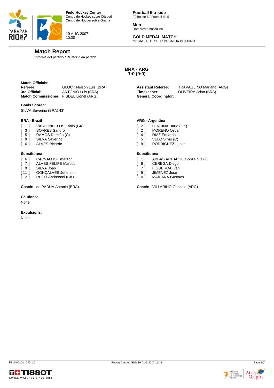![](_page_42_Picture_0.jpeg)

19 AUG 2007 10:00

**Football 5-a-side** Fútbol de 5 / Futebol de 5

**Men** Hombres / Masculino

# **GOLD MEDAL MATCH**

MEDALLA DE ORO / MEDALHA DE OURO

# **Match Report**

**Informe del partido / Relatório da partida**

**BRA - ARG 1:0 (0:0)**

**Referee:** GLOCK Nelson Luis (BRA) **Assistant Referee:** TRAVAGLINO Mariano (ARG) **Match Commissioner:** FISDEL Lionel (ARG)

#### **Goals Scored:**

**Match Officials:** 

SILVA Severino (BRA) 43'

#### **BRA - Brazil**

- [ 1 ] VASCONCELOS Fábio (GK)<br>[ 3 ] SOARES Sandro
- 
- [ 3 ] SOARES Sandro<br>[ 5 ] RAMOS Damião [ 5 ] RAMOS Damião (C)<br>[ 8 ] SILVA Severino
- [ 8 ] SILVA Severino<br>[ 10 ] ALVES Ricardo
- ALVES Ricardo

#### **Substitutes:**

- [ 6 ] CARVALHO Emerson
- [ 7 ] ALVES FELIPE Marcos
- [ 9 ] SILVA João
- [11 ] GONÇALVES Jefferson
- [12 ] REGO Andreonni (GK)

#### **Cautions:**

None

#### **Expulsions:**

None

![](_page_42_Picture_30.jpeg)

**3rd Official:** ANTONIO Luis (BRA) **Timekeeper:** OLIVEIRA Adao (BRA)

#### **ARG - Argentina**

- [ 12 ] LENCINA Darío (GK)<br>[ 2 ] MORENO Oscar
- 2 ] MORENO Oscar<br>4 1 DÍAZ Eduardo
- $\overline{1}$  4  $\overline{1}$  DÍAZ Eduardo
- [ 5 ] VELO Silvio (C)<br>[ 8 ] RODRIGUEZ Lu
	- RODRIGUEZ Lucas

#### **Substitutes:**

- [ 1 ] ABBAS ACHACHE Gonzalo (GK)
- [ 6 ] CEREGA Diego
- [ 7 ] FIGUEROA Iván
- [ 9 ] JIMENEZ José
- [ 10 ] MAIDANA Gustavo

**Coach:** de PADUA Antonio (BRA) **Coach:** VILLARINO Gonzalo (ARG)

![](_page_42_Picture_49.jpeg)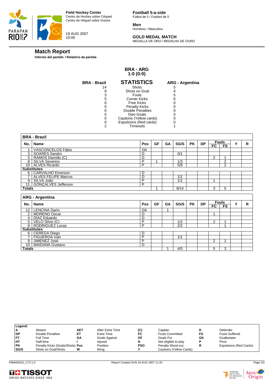![](_page_43_Picture_0.jpeg)

![](_page_43_Picture_1.jpeg)

19 AUG 2007 10:00

**Football 5-a-side** Fútbol de 5 / Futebol de 5

**Men** Hombres / Masculino

# **GOLD MEDAL MATCH**

MEDALLA DE ORO / MEDALHA DE OURO

# **Match Report**

**Informe del partido / Relatório da partida**

#### **BRA - ARG 1:0 (0:0)**

| <b>BRA - Brazil</b> | <b>STATISTICS</b>       | <b>ARG - Argentina</b> |
|---------------------|-------------------------|------------------------|
| 14                  | Shots                   |                        |
|                     | Shots on Goal           |                        |
| 3                   | <b>Fouls</b>            | 5                      |
| 5                   | <b>Corner Kicks</b>     |                        |
|                     | Free Kicks              |                        |
|                     | <b>Penalty Kicks</b>    |                        |
|                     | Double Penalties        |                        |
|                     | Own Goals               |                        |
|                     | Cautions (Yellow cards) |                        |
|                     | Expulsions (Red cards)  |                        |
|                     | Timeouts                |                        |
|                     |                         |                        |

|                 | <b>BRA - Brazil</b>                         |         |           |           |                  |           |           |                |                         |   |   |
|-----------------|---------------------------------------------|---------|-----------|-----------|------------------|-----------|-----------|----------------|-------------------------|---|---|
|                 | No.   Name                                  | Pos     | GF        | <b>GA</b> | SG/S             | <b>PK</b> | <b>DP</b> |                | <b>Fouls</b>            | Y | R |
|                 |                                             |         |           |           |                  |           |           | $F$ C          | FS                      |   |   |
|                 | VASCONCELOS Fábio                           | GK      |           |           |                  |           |           |                |                         |   |   |
|                 | 3   SOARES Sandro                           | D       |           |           | 0/1              |           |           |                |                         |   |   |
|                 | 5   RAMOS Damião (C)                        | D       |           |           |                  |           |           | 2              | $\overline{ }$          |   |   |
| 8               | <b>SILVA Severino</b>                       | P       |           |           | 1/3              |           |           |                | 2                       |   |   |
|                 | 10 ALVES Ricardo                            | P       |           |           | $\overline{5/8}$ |           |           |                | $\overline{2}$          |   |   |
|                 | <b>Substitutes</b>                          |         |           |           |                  |           |           |                |                         |   |   |
|                 | 6   CARVALHO Emerson                        | D       |           |           |                  |           |           |                |                         |   |   |
|                 | 7 ALVES FELIPE Marcos                       | D       |           |           | 1/1              |           |           |                |                         |   |   |
|                 | 9 SILVA João                                | P       |           |           | 1/1              |           |           | 1              |                         |   |   |
| 11              | <b>GONÇALVES Jefferson</b>                  | P       |           |           |                  |           |           |                |                         |   |   |
| Totals          |                                             |         |           |           | 8/14             |           |           | 3              | 5                       |   |   |
|                 |                                             |         |           |           |                  |           |           |                |                         |   |   |
|                 | <b>ARG - Argentina</b>                      |         |           |           |                  |           |           |                |                         |   |   |
| No.             | <b>Name</b>                                 | Pos     | <b>GF</b> | GA        | SG/S             | <b>PK</b> | <b>DP</b> |                |                         |   |   |
| 12 <sub>1</sub> |                                             |         |           |           |                  |           |           | FC             | <b>Fouls</b><br>FS      | Y | R |
|                 |                                             |         |           | 1         |                  |           |           |                |                         |   |   |
| 2 <sup>1</sup>  | <b>LENCINA Darío</b><br><b>MORENO Oscar</b> | GK<br>D |           |           |                  |           |           | 1              |                         |   |   |
| $\overline{4}$  | DIAZ Eduardo                                | D       |           |           |                  |           |           |                |                         |   |   |
| 5 <sup>1</sup>  | VELO Silvio (C)                             | P       |           |           | 1/2              |           |           | $\overline{2}$ |                         |   |   |
|                 | 8   RODRIGUEZ Lucas                         | P       |           |           | $\overline{2/2}$ |           |           |                |                         |   |   |
|                 | <b>Substitutes</b>                          |         |           |           |                  |           |           |                |                         |   |   |
|                 |                                             | D       |           |           |                  |           |           |                |                         |   |   |
| 7               | 6 CEREGA Diego<br>FIGUEROA Iván             | P       |           |           | 1/1              |           |           |                |                         |   |   |
| 9 <sup>1</sup>  | JIMENEZ José                                | P       |           |           |                  |           |           | $\overline{2}$ | $\overline{\mathbf{A}}$ |   |   |
|                 | 10   MAIDANA Gustavo                        | D       |           |           |                  |           |           |                |                         |   |   |

| Legend:   |                                 |            |                  |            |                         |    |                        |
|-----------|---------------------------------|------------|------------------|------------|-------------------------|----|------------------------|
| A         | Absent                          | <b>AET</b> | After Extra Time | (C)        | Captain                 |    | Defender               |
| <b>DP</b> | Double Penalties                | EТ         | Extra Time       | FC         | <b>Fouls Committed</b>  | FS | <b>Fouls Suffered</b>  |
| <b>FT</b> | Full Time                       | GΑ         | Goals Against    | GF         | Goals For               | GK | Goalkeeper             |
| <b>HT</b> | Half-time                       |            | Injured          | N          | Not eligible to play    |    | Pivot                  |
| PK        | Penalty Kicks (Goals/Shots) Pos |            | Position         | <b>PSO</b> | Penalty Shoot-out       |    | Expulsions (Red Cards) |
| SG/S      | Shots on Goal/Shots             | w          | Wina             | v          | Cautions (Yellow Cards) |    |                        |

![](_page_43_Picture_14.jpeg)

![](_page_43_Picture_15.jpeg)

![](_page_43_Picture_16.jpeg)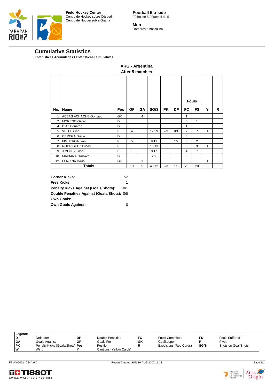![](_page_44_Picture_0.jpeg)

**Football 5-a-side** Fútbol de 5 / Futebol de 5

**Men** Hombres / Masculino

# **Cumulative Statistics**

**Estadísticas Acumuladas / Estatísticas Cumulativas**

|                 |                              |     |    |    |       |           |           |                | <b>Fouls</b>   |              |   |
|-----------------|------------------------------|-----|----|----|-------|-----------|-----------|----------------|----------------|--------------|---|
| No.             | <b>Name</b>                  | Pos | GF | GA | SG/S  | <b>PK</b> | <b>DP</b> | FC             | <b>FS</b>      | Y            | R |
| 1               | <b>ABBAS ACHACHE Gonzalo</b> | GK  |    | 4  |       |           |           | 1              |                |              |   |
| 2               | <b>MORENO Oscar</b>          | D   |    |    |       |           |           | 5              | 1              |              |   |
| 4               | DÍAZ Eduardo                 | D   |    |    |       |           |           | 1              |                |              |   |
| 5               | <b>VELO Silvio</b>           | P   | 4  |    | 17/29 | 2/3       | 0/1       | $\overline{2}$ | $\overline{7}$ | 1            |   |
| 6               | <b>CEREGA Diego</b>          | D   |    |    |       |           |           | 3              |                |              |   |
| $\overline{7}$  | FIGUEROA Iván                | P   | 5  |    | 9/11  |           | 1/2       | 3              | 2              |              |   |
| 8               | RODRIGUEZ Lucas              | P   |    |    | 10/13 |           |           | 3              | 3              | $\mathbf{1}$ |   |
| 9               | JIMENEZ José                 | P   | 1  |    | 8/17  |           |           | 4              | $\overline{7}$ |              |   |
| 10              | <b>MAIDANA Gustavo</b>       | D   |    |    | 2/2   |           |           | 3              |                |              |   |
| 12 <sup>1</sup> | <b>LENCINA Darío</b>         | GK  |    | 1  |       |           |           |                |                | 1            |   |
|                 | <b>Totals</b>                |     | 10 | 5  | 46/72 | 2/3       | 1/3       | 25             | 20             | 3            |   |

| <b>ARG - Argentina</b> |
|------------------------|
| After 5 matches        |

| <b>Corner Kicks:</b>                        | 52  |
|---------------------------------------------|-----|
| Free Kicks:                                 |     |
| <b>Penalty Kicks Against (Goals/Shots):</b> | 0/1 |
| Double Penalties Against (Goals/Shots): 0/5 |     |
| Own Goals:                                  |     |
| <b>Own Goals Against:</b>                   |     |

|           | Legend: |                                 |    |                         |    |                        |      |                       |
|-----------|---------|---------------------------------|----|-------------------------|----|------------------------|------|-----------------------|
|           |         | Defender                        | DP | <b>Double Penalties</b> | FC | <b>Fouls Committed</b> | FS   | <b>Fouls Suffered</b> |
| GA        |         | Goals Against                   | GF | Goals For               | GK | Goalkeeper             |      | Pivot                 |
| <b>PK</b> |         | Penalty Kicks (Goals/Shots) Pos |    | Position                |    | Expulsions (Red Cards) | SG/S | Shots on Goal/Shots   |
| ١w        |         | Wina                            |    | Cautions (Yellow Cards) |    |                        |      |                       |

![](_page_44_Picture_11.jpeg)

![](_page_44_Picture_13.jpeg)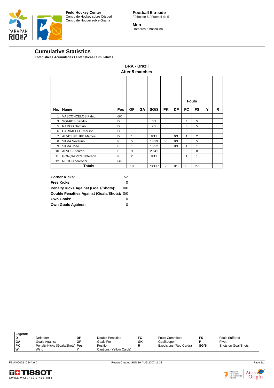![](_page_45_Picture_0.jpeg)

**Football 5-a-side** Fútbol de 5 / Futebol de 5

**Men** Hombres / Masculino

# **Cumulative Statistics**

**Estadísticas Acumuladas / Estatísticas Cumulativas**

|     | After 5 matches            |     |                |           |        |           |           |              |              |   |   |
|-----|----------------------------|-----|----------------|-----------|--------|-----------|-----------|--------------|--------------|---|---|
|     |                            |     |                |           |        |           |           |              | <b>Fouls</b> |   |   |
| No. | Name                       | Pos | GF             | <b>GA</b> | SG/S   | <b>PK</b> | <b>DP</b> | FC           | <b>FS</b>    | Y | R |
| 1   | VASCONCELOS Fábio          | GK  |                |           |        |           |           |              |              |   |   |
| 3   | SOARES Sandro              | D   |                |           | 0/1    |           |           | 4            | 5            |   |   |
| 5   | RAMOS Damião               | D   |                |           | 2/2    |           |           | 6            | 5            |   |   |
| 6   | <b>CARVALHO Emerson</b>    | D   |                |           |        |           |           |              |              |   |   |
| 7   | <b>ALVES FELIPE Marcos</b> | D   | 1              |           | 8/11   |           | 0/1       | $\mathbf{1}$ | 2            |   |   |
| 8   | SILVA Severino             | P   | 5              |           | 13/29  | 0/1       | 0/1       |              | 5            |   |   |
| 9   | SILVA João                 | P   | 1              |           | 13/22  |           | 0/1       | 1            | 1            |   |   |
| 10  | <b>ALVES Ricardo</b>       | P   | 9              |           | 29/41  |           |           |              | 8            |   |   |
| 11  | GONÇALVES Jefferson        | P   | $\overline{2}$ |           | 8/11   |           |           | 1            | 1            |   |   |
| 12  | REGO Andreonni             | GK  |                |           |        |           |           |              |              |   |   |
|     | <b>Totals</b>              |     |                |           | 73/117 | 0/1       | 0/3       | 13           | 27           |   |   |

**BRA - Brazil**

| <b>Corner Kicks:</b>                        | 52  |
|---------------------------------------------|-----|
| <b>Free Kicks:</b>                          | O   |
| <b>Penalty Kicks Against (Goals/Shots):</b> | 0/0 |
| Double Penalties Against (Goals/Shots): 0/0 |     |
| Own Goals:                                  |     |
| <b>Own Goals Against:</b>                   |     |

| Legend:   |                                 |    |                         |    |                               |      |                       |
|-----------|---------------------------------|----|-------------------------|----|-------------------------------|------|-----------------------|
|           | Defender                        | DP | Double Penalties        | FC | <b>Fouls Committed</b>        | FS   | <b>Fouls Suffered</b> |
| GA        | Goals Against                   | GF | Goals For               | GK | Goalkeeper                    |      | Pivot                 |
| <b>PK</b> | Penalty Kicks (Goals/Shots) Pos |    | Position                | R  | <b>Expulsions (Red Cards)</b> | SG/S | Shots on Goal/Shots   |
| W         | Wina                            |    | Cautions (Yellow Cards) |    |                               |      |                       |

![](_page_45_Picture_10.jpeg)

![](_page_45_Picture_12.jpeg)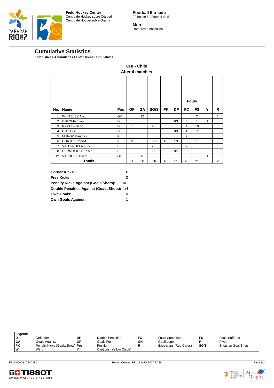![](_page_46_Picture_0.jpeg)

**Football 5-a-side** Fútbol de 5 / Futebol de 5

**Men** Hombres / Masculino

# **Cumulative Statistics**

**Estadísticas Acumuladas / Estatísticas Cumulativas**

|     | After 4 matches         |     |                |    |      |           |           |                |                |   |   |
|-----|-------------------------|-----|----------------|----|------|-----------|-----------|----------------|----------------|---|---|
|     |                         |     |                |    |      |           |           |                | <b>Fouls</b>   |   |   |
| No. | <b>Name</b>             | Pos | GF             | GA | SG/S | <b>PK</b> | <b>DP</b> | FC             | <b>FS</b>      | Y | R |
| 1   | <b>WHITELEY Alex</b>    | GK  |                | 12 |      |           |           |                | $\overline{2}$ |   | 1 |
| 2   | COLOMA Juan             | D   |                |    |      |           | 0/1       | 6              | 1              | 1 |   |
| 3   | RIOS Emiliano           | D   | 1              |    | 4/5  |           |           | 4              | 10             |   |   |
| 4   | <b>DIAZ Eric</b>        | D   |                |    |      |           | 0/1       | $\overline{4}$ | $\overline{7}$ |   |   |
| 5   | MUÑOZ Mauricio          | P   |                |    |      |           |           | 2              |                |   |   |
| 6   | <b>CORTES Robert</b>    | P   | $\overline{2}$ |    | 0/2  | 1/1       | 1/1       |                | 1              |   |   |
| 7   | <b>VALENZUELA Luis</b>  | P   |                |    | 2/6  |           |           | 2              |                |   | 1 |
| 8   | <b>HERMOSILLA Edwin</b> | P   |                |    | 1/3  |           | 0/2       | 5              |                |   |   |
| 12  | VASQUEZ Alvaro          | GK  |                | 8  |      |           |           |                |                | 1 |   |
|     | <b>Totals</b>           |     | 3              | 20 | 7/16 | 1/1       | 1/5       | 23             | 21             | 2 | 2 |

**CHI - Chile**

| <b>Corner Kicks:</b>                        | 16  |
|---------------------------------------------|-----|
| <b>Free Kicks:</b>                          | 2   |
| <b>Penalty Kicks Against (Goals/Shots):</b> | 0/1 |
| Double Penalties Against (Goals/Shots): 1/4 |     |
| <b>Own Goals:</b>                           | 0   |
| <b>Own Goals Against:</b>                   |     |

| Legend:   |                                 |    |                         |    |                               |      |                       |
|-----------|---------------------------------|----|-------------------------|----|-------------------------------|------|-----------------------|
| D         | Defender                        | DP | Double Penalties        | FC | <b>Fouls Committed</b>        | FS   | <b>Fouls Suffered</b> |
| ∣GA       | Goals Against                   | GF | Goals For               | GK | Goalkeeper                    |      | Pivot                 |
| <b>PK</b> | Penalty Kicks (Goals/Shots) Pos |    | Position                | R  | <b>Expulsions (Red Cards)</b> | SG/S | Shots on Goal/Shots   |
| ۱w        | Wing                            |    | Cautions (Yellow Cards) |    |                               |      |                       |

![](_page_46_Picture_10.jpeg)

![](_page_46_Picture_12.jpeg)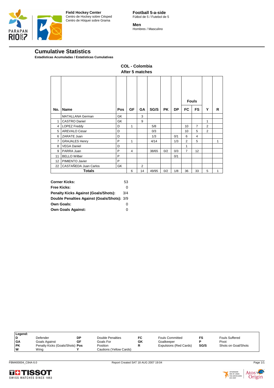![](_page_47_Picture_0.jpeg)

**Football 5-a-side** Fútbol de 5 / Futebol de 5

**Men** Hombres / Masculino

# **Cumulative Statistics**

**Estadísticas Acumuladas / Estatísticas Cumulativas**

|                 | After 5 matches         |             |                |                |       |           |           |                |                |                |   |  |
|-----------------|-------------------------|-------------|----------------|----------------|-------|-----------|-----------|----------------|----------------|----------------|---|--|
|                 |                         |             |                |                |       |           |           |                | <b>Fouls</b>   |                |   |  |
| No.             | <b>Name</b>             | Pos         | GF             | GА             | SG/S  | <b>PK</b> | <b>DP</b> | FC             | <b>FS</b>      | Y              | R |  |
|                 | <b>MATALLANA German</b> | GK          |                | 3              |       |           |           |                |                |                |   |  |
| 1               | <b>CASTRO Daniel</b>    | GK          |                | 9              |       |           |           |                |                | 1              |   |  |
| 4               | <b>LOPEZ Freddy</b>     | D           | $\mathbf{1}$   |                | 5/8   |           |           | 10             | $\overline{7}$ | 2              |   |  |
| 5               | <b>AREVALO Cesar</b>    | D           |                |                | 0/3   |           |           | 10             | 5              | $\overline{2}$ |   |  |
| 6               | ZARATE Juan             | D           |                |                | 1/3   |           | 0/1       | 6              | 4              |                |   |  |
| 7               | <b>GRAJALES Henry</b>   | $\mathsf P$ | 1              |                | 4/14  |           | 1/3       | $\overline{2}$ | 5              |                | 1 |  |
| 8               | <b>VEGA Daniel</b>      | D           |                |                |       |           |           | 1              |                |                |   |  |
| 9               | PARRA Juan              | P           | $\overline{4}$ |                | 38/65 | 0/2       | 0/3       | $\overline{7}$ | 12             |                |   |  |
| 11              | <b>BELLO Wilber</b>     | P           |                |                |       |           | 0/1       |                |                |                |   |  |
| 12 <sup>°</sup> | PIMIENTO Javier         | P           |                |                |       |           |           |                |                |                |   |  |
| 22              | CASTAÑEDA Juan Carlos   | GK          |                | $\overline{2}$ |       |           |           |                |                |                |   |  |
|                 | <b>Totals</b>           |             | 6              | 14             | 49/95 | 0/2       | 1/8       | 36             | 33             | 5              | 1 |  |

**COL - Colombia**

| <b>Corner Kicks:</b>                        | 53  |
|---------------------------------------------|-----|
| Free Kicks:                                 | ŋ   |
| <b>Penalty Kicks Against (Goals/Shots):</b> | 3/4 |
| Double Penalties Against (Goals/Shots): 3/9 |     |
| <b>Own Goals:</b>                           | ŋ   |
| <b>Own Goals Against:</b>                   | ŋ   |

| Legend:   |                                 |    |                         |    |                               |      |                       |
|-----------|---------------------------------|----|-------------------------|----|-------------------------------|------|-----------------------|
|           | Defender                        | DP | Double Penalties        | FC | <b>Fouls Committed</b>        | FS   | <b>Fouls Suffered</b> |
| <b>GA</b> | Goals Against                   | GF | Goals For               | GK | Goalkeeper                    |      | Pivot                 |
| PK        | Penalty Kicks (Goals/Shots) Pos |    | Position                |    | <b>Expulsions (Red Cards)</b> | SG/S | Shots on Goal/Shots   |
| W         | Wina                            |    | Cautions (Yellow Cards) |    |                               |      |                       |

![](_page_47_Picture_10.jpeg)

![](_page_47_Picture_11.jpeg)

![](_page_47_Picture_12.jpeg)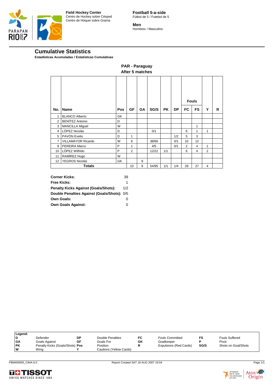![](_page_48_Picture_0.jpeg)

**Football 5-a-side** Fútbol de 5 / Futebol de 5

**Men** Hombres / Masculino

# **Cumulative Statistics**

**Estadísticas Acumuladas / Estatísticas Cumulativas**

|                | After 5 matches        |     |                |    |       |           |           |                |              |                |   |
|----------------|------------------------|-----|----------------|----|-------|-----------|-----------|----------------|--------------|----------------|---|
|                |                        |     |                |    |       |           |           |                | <b>Fouls</b> |                |   |
| No.            | <b>Name</b>            | Pos | GF             | GA | SG/S  | <b>PK</b> | <b>DP</b> | FC             | <b>FS</b>    | Y              | R |
| 1              | <b>BLANCO Alberto</b>  | GK  |                |    |       |           |           |                |              |                |   |
| 2              | <b>BENÍTEZ Antonio</b> | D   |                |    |       |           |           |                |              |                |   |
| 3              | <b>MANCILLA Miguel</b> | W   |                |    |       |           |           |                | 1            |                |   |
| 4              | LÓPEZ Nicolás          | D   |                |    | 0/1   |           |           | 6              | 1            | 1              |   |
| 5              | PAVÓN Evelio           | D   | 1              |    |       |           | 1/2       | 5              | 3            |                |   |
| $\overline{7}$ | VILLAMAYOR Ricardo     | W   | 6              |    | 38/66 |           | 0/1       | 10             | 12           |                |   |
| 9              | PEREIRA Marco          | P   | 1              |    | 4/5   |           | 0/1       | $\overline{2}$ | 4            | $\mathbf{1}$   |   |
| 10             | LÓPEZ Wilfrido         | P   | $\overline{2}$ |    | 12/22 | 1/1       |           | 6              | 4            | $\overline{2}$ |   |
| 11             | RAMÍREZ Hugo           | W   |                |    |       |           |           |                |              |                |   |
| 12             | YEGROS Nicolás         | GK  |                | 9  |       |           |           |                |              |                |   |
|                | Totals                 |     |                | 9  | 54/95 | 1/1       | 1/4       | 29             | 27           | 4              |   |

**PAR - Paraguay**

| <b>Corner Kicks:</b>                        | 39  |
|---------------------------------------------|-----|
| <b>Free Kicks:</b>                          |     |
| <b>Penalty Kicks Against (Goals/Shots):</b> | 1/2 |
| Double Penalties Against (Goals/Shots): 0/5 |     |
| Own Goals:                                  |     |
| <b>Own Goals Against:</b>                   |     |

|           | Legend: |                                 |    |                         |    |                               |      |                       |
|-----------|---------|---------------------------------|----|-------------------------|----|-------------------------------|------|-----------------------|
|           |         | Defender                        | DP | <b>Double Penalties</b> | FC | <b>Fouls Committed</b>        | FS   | <b>Fouls Suffered</b> |
| <b>GA</b> |         | Goals Against                   | GF | Goals For               | GK | Goalkeeper                    |      | Pivot                 |
| <b>PK</b> |         | Penalty Kicks (Goals/Shots) Pos |    | Position                |    | <b>Expulsions (Red Cards)</b> | SG/S | Shots on Goal/Shots   |
| W         |         | Wina                            |    | Cautions (Yellow Cards) |    |                               |      |                       |

![](_page_48_Picture_10.jpeg)

![](_page_48_Picture_12.jpeg)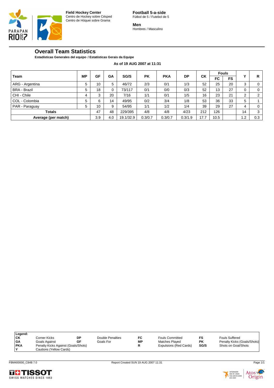![](_page_49_Picture_0.jpeg)

**Football 5-a-side** Fútbol de 5 / Futebol de 5

**Men** Hombres / Masculino

# **Overall Team Statistics**

**Estadísticas Generales del equipo / Estatísticas Gerais da Equipe**

**As of 19 AUG 2007 at 11:31**

|                     |           | GF  | GΑ  | SG/S      | <b>PK</b> | <b>PKA</b> | <b>DP</b> |      | <b>Fouls</b> |           |     |     |
|---------------------|-----------|-----|-----|-----------|-----------|------------|-----------|------|--------------|-----------|-----|-----|
| <b>Team</b>         | <b>MP</b> |     |     |           |           |            |           | СK   | FC           | <b>FS</b> |     | R   |
| ARG - Argentina     | 5         | 10  | 5   | 46/72     | 2/3       | 0/1        | 1/3       | 52   | 25           | 20        | 3   | 0   |
| <b>BRA - Brazil</b> | 5         | 18  | 0   | 73/117    | 0/1       | 0/0        | 0/3       | 52   | 13           | 27        | 0   | 0   |
| CHI - Chile         | 4         | 3   | 20  | 7/16      | 1/1       | 0/1        | 1/5       | 16   | 23           | 21        | ◠   | ົ   |
| COL - Colombia      | 5         | 6   | 14  | 49/95     | 0/2       | 3/4        | 1/8       | 53   | 36           | 33        | 5   |     |
| PAR - Paraguay      | 5         | 10  | 9   | 54/95     | 1/1       | 1/2        | 1/4       | 39   | 29           | 27        | 4   | 0   |
| <b>Totals</b>       |           | 47  | 48  | 229/395   | 4/8       | 4/8        | 4/23      | 212  | 126          |           | 14  | 3   |
| Average (per match) |           | 3.9 | 4.0 | 19.1/32.9 | 0.3/0.7   | 0.3/0.7    | 0.3/1.9   | 17.7 | 10.5         |           | 1.2 | 0.3 |

| Legend:                                           |                         |    |                  |    |                        |           |                             |
|---------------------------------------------------|-------------------------|----|------------------|----|------------------------|-----------|-----------------------------|
| <b>CK</b>                                         | Corner Kicks            | DΡ | Double Penalties | FC | <b>Fouls Committed</b> |           | <b>Fouls Suffered</b>       |
| GA                                                | Goals Against           | GF | Goals For        | МP | Matches Played         | <b>PK</b> | Penalty Kicks (Goals/Shots) |
| <b>PKA</b><br>Penalty Kicks Against (Goals/Shots) |                         |    |                  |    | Expulsions (Red Cards) | SG/S      | Shots on Goal/Shots         |
|                                                   | Cautions (Yellow Cards) |    |                  |    |                        |           |                             |

![](_page_49_Picture_10.jpeg)

![](_page_49_Picture_11.jpeg)

![](_page_49_Picture_12.jpeg)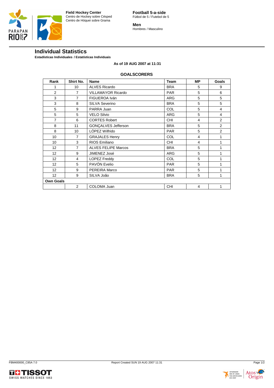![](_page_50_Picture_0.jpeg)

**Football 5-a-side** Fútbol de 5 / Futebol de 5

**Men** Hombres / Masculino

# **Individual Statistics**

**Estadísticas Individuales / Estatísticas Individuais**

# **As of 19 AUG 2007 at 11:31**

#### **GOALSCORERS**

| Rank             | Shirt No.      | <b>Name</b>                | Team       | <b>MP</b>      | Goals          |
|------------------|----------------|----------------------------|------------|----------------|----------------|
|                  | 10             | <b>ALVES Ricardo</b>       | <b>BRA</b> | 5              | 9              |
| 2                | 7              | <b>VILLAMAYOR Ricardo</b>  | <b>PAR</b> | 5              | 6              |
| 3                | $\overline{7}$ | FIGUEROA Iván              | <b>ARG</b> | 5              | 5              |
| 3                | 8              | SILVA Severino             | <b>BRA</b> | 5              | 5              |
| 5                | 9              | PARRA Juan                 | COL        | 5              | 4              |
| 5                | 5              | <b>VELO Silvio</b>         | <b>ARG</b> | 5              | 4              |
| 7                | 6              | <b>CORTES Robert</b>       | <b>CHI</b> | 4              | $\overline{2}$ |
| 8                | 11             | GONÇALVES Jefferson        | <b>BRA</b> | 5              | 2              |
| 8                | 10             | LÓPEZ Wilfrido             | <b>PAR</b> | 5              | $\overline{2}$ |
| 10               | $\overline{7}$ | <b>GRAJALES Henry</b>      | COL        | 4              | 1              |
| 10               | 3              | RIOS Emiliano              | <b>CHI</b> | $\overline{4}$ | 1              |
| 12               | $\overline{7}$ | <b>ALVES FELIPE Marcos</b> | <b>BRA</b> | 5              | 1              |
| 12               | 9              | JIMENEZ José               | <b>ARG</b> | 5              | 1              |
| 12               | 4              | LOPEZ Freddy               | <b>COL</b> | 5              | 1              |
| 12               | 5              | PAVÓN Evelio               | <b>PAR</b> | 5              | 1              |
| 12               | 9              | <b>PEREIRA Marco</b>       | <b>PAR</b> | 5              | 1              |
| 12               | 9              | SILVA João                 | <b>BRA</b> | 5              | 1              |
| <b>Own Goals</b> |                |                            |            |                |                |
|                  | $\overline{2}$ | COLOMA Juan                | <b>CHI</b> | 4              | 1              |

![](_page_50_Picture_10.jpeg)

![](_page_50_Picture_12.jpeg)